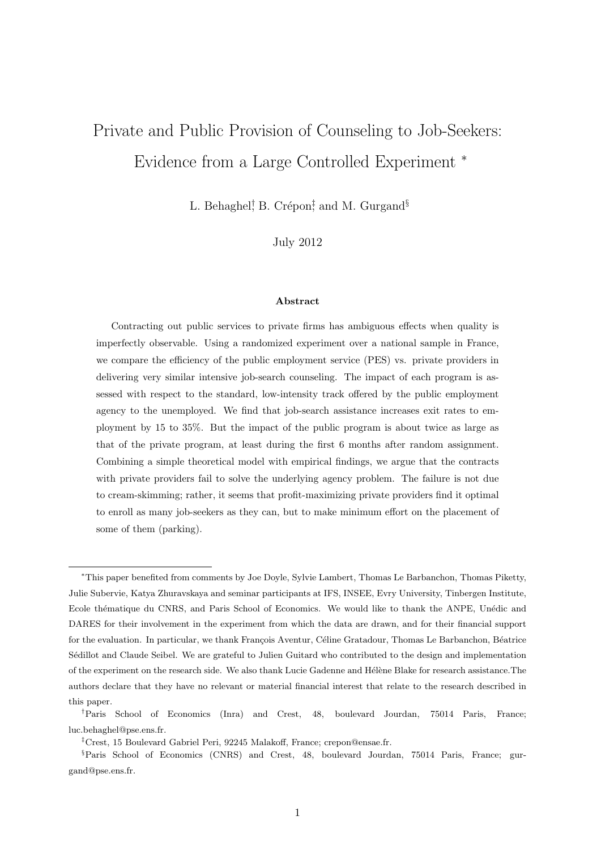# <span id="page-0-0"></span>Private and Public Provision of Counseling to Job-Seekers: Evidence from a Large Controlled Experiment <sup>∗</sup>

L. Behaghel<sup>†</sup>, B. Crépon<sup>‡</sup>, and M. Gurgand<sup>§</sup>

July 2012

#### Abstract

Contracting out public services to private firms has ambiguous effects when quality is imperfectly observable. Using a randomized experiment over a national sample in France, we compare the efficiency of the public employment service (PES) vs. private providers in delivering very similar intensive job-search counseling. The impact of each program is assessed with respect to the standard, low-intensity track offered by the public employment agency to the unemployed. We find that job-search assistance increases exit rates to employment by 15 to 35%. But the impact of the public program is about twice as large as that of the private program, at least during the first 6 months after random assignment. Combining a simple theoretical model with empirical findings, we argue that the contracts with private providers fail to solve the underlying agency problem. The failure is not due to cream-skimming; rather, it seems that profit-maximizing private providers find it optimal to enroll as many job-seekers as they can, but to make minimum effort on the placement of some of them (parking).

<sup>∗</sup>This paper benefited from comments by Joe Doyle, Sylvie Lambert, Thomas Le Barbanchon, Thomas Piketty, Julie Subervie, Katya Zhuravskaya and seminar participants at IFS, INSEE, Evry University, Tinbergen Institute, Ecole thématique du CNRS, and Paris School of Economics. We would like to thank the ANPE, Unédic and DARES for their involvement in the experiment from which the data are drawn, and for their financial support for the evaluation. In particular, we thank François Aventur, Céline Gratadour, Thomas Le Barbanchon, Béatrice Sédillot and Claude Seibel. We are grateful to Julien Guitard who contributed to the design and implementation of the experiment on the research side. We also thank Lucie Gadenne and Hélène Blake for research assistance.The authors declare that they have no relevant or material financial interest that relate to the research described in this paper.

<sup>†</sup>Paris School of Economics (Inra) and Crest, 48, boulevard Jourdan, 75014 Paris, France; luc.behaghel@pse.ens.fr.

<sup>‡</sup>Crest, 15 Boulevard Gabriel Peri, 92245 Malakoff, France; crepon@ensae.fr.

<sup>§</sup>Paris School of Economics (CNRS) and Crest, 48, boulevard Jourdan, 75014 Paris, France; gurgand@pse.ens.fr.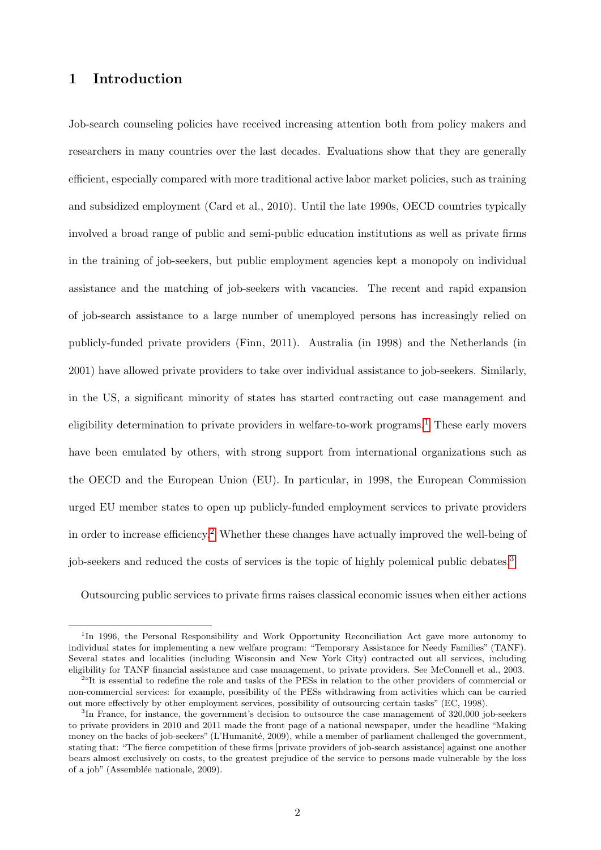# 1 Introduction

Job-search counseling policies have received increasing attention both from policy makers and researchers in many countries over the last decades. Evaluations show that they are generally efficient, especially compared with more traditional active labor market policies, such as training and subsidized employment (Card et al., 2010). Until the late 1990s, OECD countries typically involved a broad range of public and semi-public education institutions as well as private firms in the training of job-seekers, but public employment agencies kept a monopoly on individual assistance and the matching of job-seekers with vacancies. The recent and rapid expansion of job-search assistance to a large number of unemployed persons has increasingly relied on publicly-funded private providers (Finn, 2011). Australia (in 1998) and the Netherlands (in 2001) have allowed private providers to take over individual assistance to job-seekers. Similarly, in the US, a significant minority of states has started contracting out case management and eligibility determination to private providers in welfare-to-work programs.<sup>[1](#page-0-0)</sup> These early movers have been emulated by others, with strong support from international organizations such as the OECD and the European Union (EU). In particular, in 1998, the European Commission urged EU member states to open up publicly-funded employment services to private providers in order to increase efficiency.[2](#page-0-0) Whether these changes have actually improved the well-being of job-seekers and reduced the costs of services is the topic of highly polemical public debates.<sup>[3](#page-0-0)</sup>

Outsourcing public services to private firms raises classical economic issues when either actions

<sup>&</sup>lt;sup>1</sup>In 1996, the Personal Responsibility and Work Opportunity Reconciliation Act gave more autonomy to individual states for implementing a new welfare program: "Temporary Assistance for Needy Families" (TANF). Several states and localities (including Wisconsin and New York City) contracted out all services, including eligibility for TANF financial assistance and case management, to private providers. See McConnell et al., 2003.

<sup>&</sup>lt;sup>2</sup>"It is essential to redefine the role and tasks of the PESs in relation to the other providers of commercial or non-commercial services: for example, possibility of the PESs withdrawing from activities which can be carried out more effectively by other employment services, possibility of outsourcing certain tasks" (EC, 1998).

<sup>&</sup>lt;sup>3</sup>In France, for instance, the government's decision to outsource the case management of 320,000 job-seekers to private providers in 2010 and 2011 made the front page of a national newspaper, under the headline "Making money on the backs of job-seekers" (L'Humanité, 2009), while a member of parliament challenged the government, stating that: "The fierce competition of these firms [private providers of job-search assistance] against one another bears almost exclusively on costs, to the greatest prejudice of the service to persons made vulnerable by the loss of a job" (Assemblée nationale, 2009).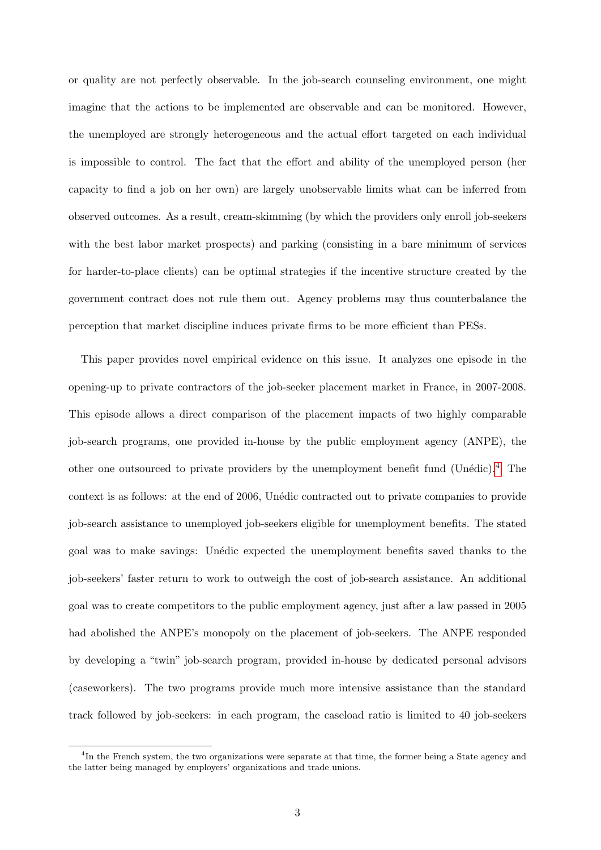or quality are not perfectly observable. In the job-search counseling environment, one might imagine that the actions to be implemented are observable and can be monitored. However, the unemployed are strongly heterogeneous and the actual effort targeted on each individual is impossible to control. The fact that the effort and ability of the unemployed person (her capacity to find a job on her own) are largely unobservable limits what can be inferred from observed outcomes. As a result, cream-skimming (by which the providers only enroll job-seekers with the best labor market prospects) and parking (consisting in a bare minimum of services for harder-to-place clients) can be optimal strategies if the incentive structure created by the government contract does not rule them out. Agency problems may thus counterbalance the perception that market discipline induces private firms to be more efficient than PESs.

This paper provides novel empirical evidence on this issue. It analyzes one episode in the opening-up to private contractors of the job-seeker placement market in France, in 2007-2008. This episode allows a direct comparison of the placement impacts of two highly comparable job-search programs, one provided in-house by the public employment agency (ANPE), the other one outsourced to private providers by the unemployment benefit fund (Unédic).<sup>[4](#page-0-0)</sup> The context is as follows: at the end of 2006, Unédic contracted out to private companies to provide job-search assistance to unemployed job-seekers eligible for unemployment benefits. The stated goal was to make savings: Un´edic expected the unemployment benefits saved thanks to the job-seekers' faster return to work to outweigh the cost of job-search assistance. An additional goal was to create competitors to the public employment agency, just after a law passed in 2005 had abolished the ANPE's monopoly on the placement of job-seekers. The ANPE responded by developing a "twin" job-search program, provided in-house by dedicated personal advisors (caseworkers). The two programs provide much more intensive assistance than the standard track followed by job-seekers: in each program, the caseload ratio is limited to 40 job-seekers

<sup>&</sup>lt;sup>4</sup>In the French system, the two organizations were separate at that time, the former being a State agency and the latter being managed by employers' organizations and trade unions.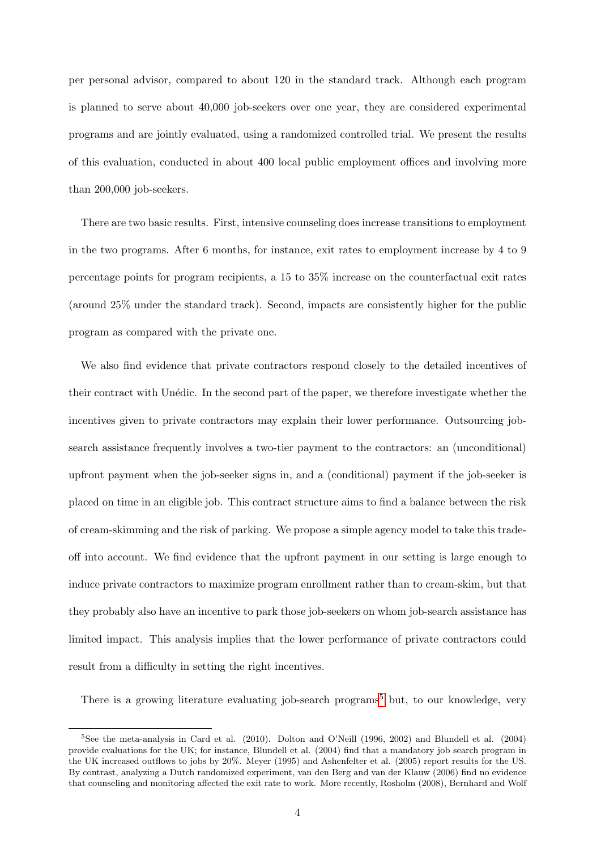per personal advisor, compared to about 120 in the standard track. Although each program is planned to serve about 40,000 job-seekers over one year, they are considered experimental programs and are jointly evaluated, using a randomized controlled trial. We present the results of this evaluation, conducted in about 400 local public employment offices and involving more than 200,000 job-seekers.

There are two basic results. First, intensive counseling does increase transitions to employment in the two programs. After 6 months, for instance, exit rates to employment increase by 4 to 9 percentage points for program recipients, a 15 to 35% increase on the counterfactual exit rates (around 25% under the standard track). Second, impacts are consistently higher for the public program as compared with the private one.

We also find evidence that private contractors respond closely to the detailed incentives of their contract with Unédic. In the second part of the paper, we therefore investigate whether the incentives given to private contractors may explain their lower performance. Outsourcing jobsearch assistance frequently involves a two-tier payment to the contractors: an (unconditional) upfront payment when the job-seeker signs in, and a (conditional) payment if the job-seeker is placed on time in an eligible job. This contract structure aims to find a balance between the risk of cream-skimming and the risk of parking. We propose a simple agency model to take this tradeoff into account. We find evidence that the upfront payment in our setting is large enough to induce private contractors to maximize program enrollment rather than to cream-skim, but that they probably also have an incentive to park those job-seekers on whom job-search assistance has limited impact. This analysis implies that the lower performance of private contractors could result from a difficulty in setting the right incentives.

There is a growing literature evaluating job-search programs<sup>[5](#page-0-0)</sup> but, to our knowledge, very

<sup>&</sup>lt;sup>5</sup>See the meta-analysis in Card et al. (2010). Dolton and O'Neill (1996, 2002) and Blundell et al. (2004) provide evaluations for the UK; for instance, Blundell et al. (2004) find that a mandatory job search program in the UK increased outflows to jobs by 20%. Meyer (1995) and Ashenfelter et al. (2005) report results for the US. By contrast, analyzing a Dutch randomized experiment, van den Berg and van der Klauw (2006) find no evidence that counseling and monitoring affected the exit rate to work. More recently, Rosholm (2008), Bernhard and Wolf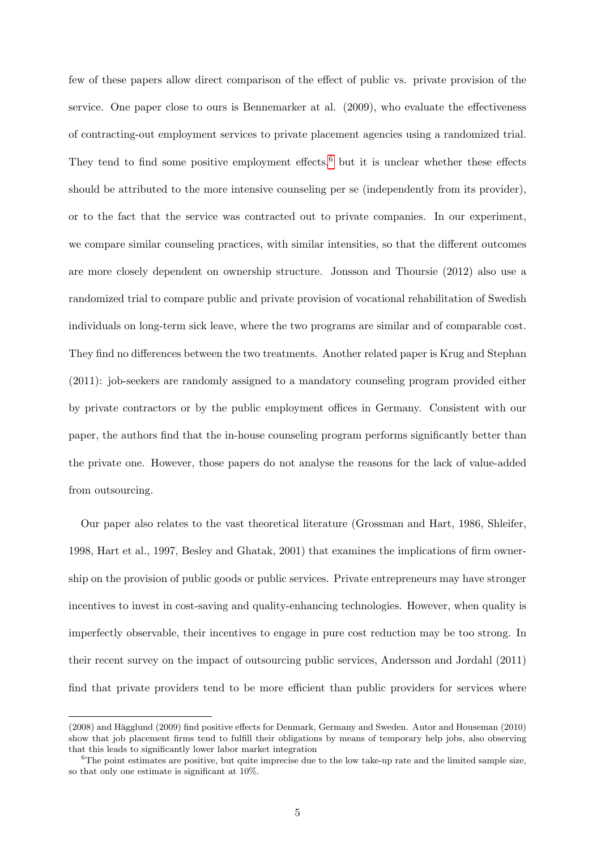few of these papers allow direct comparison of the effect of public vs. private provision of the service. One paper close to ours is Bennemarker at al. (2009), who evaluate the effectiveness of contracting-out employment services to private placement agencies using a randomized trial. They tend to find some positive employment effects,  $6$  but it is unclear whether these effects should be attributed to the more intensive counseling per se (independently from its provider), or to the fact that the service was contracted out to private companies. In our experiment, we compare similar counseling practices, with similar intensities, so that the different outcomes are more closely dependent on ownership structure. Jonsson and Thoursie (2012) also use a randomized trial to compare public and private provision of vocational rehabilitation of Swedish individuals on long-term sick leave, where the two programs are similar and of comparable cost. They find no differences between the two treatments. Another related paper is Krug and Stephan (2011): job-seekers are randomly assigned to a mandatory counseling program provided either by private contractors or by the public employment offices in Germany. Consistent with our paper, the authors find that the in-house counseling program performs significantly better than the private one. However, those papers do not analyse the reasons for the lack of value-added from outsourcing.

Our paper also relates to the vast theoretical literature (Grossman and Hart, 1986, Shleifer, 1998, Hart et al., 1997, Besley and Ghatak, 2001) that examines the implications of firm ownership on the provision of public goods or public services. Private entrepreneurs may have stronger incentives to invest in cost-saving and quality-enhancing technologies. However, when quality is imperfectly observable, their incentives to engage in pure cost reduction may be too strong. In their recent survey on the impact of outsourcing public services, Andersson and Jordahl (2011) find that private providers tend to be more efficient than public providers for services where

<sup>(2008)</sup> and Hägglund (2009) find positive effects for Denmark, Germany and Sweden. Autor and Houseman (2010) show that job placement firms tend to fulfill their obligations by means of temporary help jobs, also observing that this leads to significantly lower labor market integration

<sup>&</sup>lt;sup>6</sup>The point estimates are positive, but quite imprecise due to the low take-up rate and the limited sample size, so that only one estimate is significant at 10%.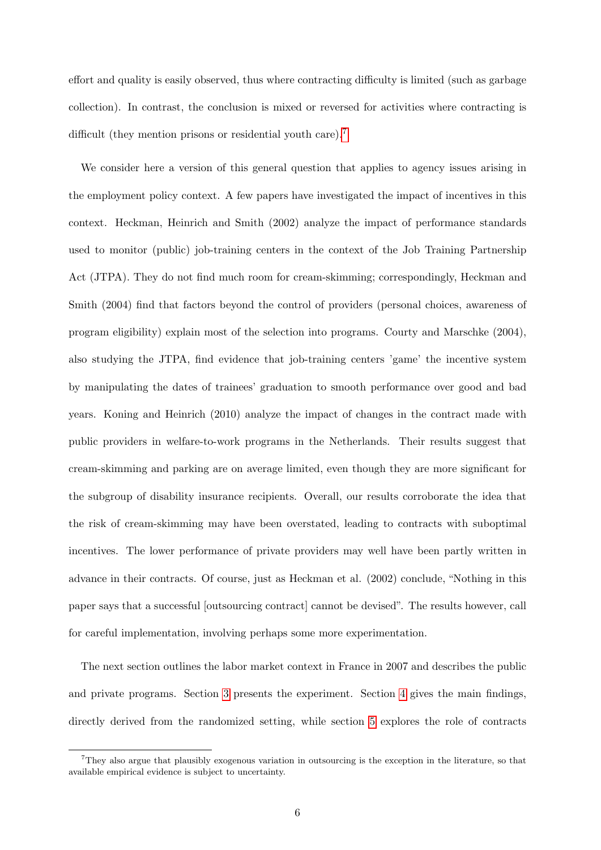effort and quality is easily observed, thus where contracting difficulty is limited (such as garbage collection). In contrast, the conclusion is mixed or reversed for activities where contracting is difficult (they mention prisons or residential youth care).<sup>[7](#page-0-0)</sup>

We consider here a version of this general question that applies to agency issues arising in the employment policy context. A few papers have investigated the impact of incentives in this context. Heckman, Heinrich and Smith (2002) analyze the impact of performance standards used to monitor (public) job-training centers in the context of the Job Training Partnership Act (JTPA). They do not find much room for cream-skimming; correspondingly, Heckman and Smith (2004) find that factors beyond the control of providers (personal choices, awareness of program eligibility) explain most of the selection into programs. Courty and Marschke (2004), also studying the JTPA, find evidence that job-training centers 'game' the incentive system by manipulating the dates of trainees' graduation to smooth performance over good and bad years. Koning and Heinrich (2010) analyze the impact of changes in the contract made with public providers in welfare-to-work programs in the Netherlands. Their results suggest that cream-skimming and parking are on average limited, even though they are more significant for the subgroup of disability insurance recipients. Overall, our results corroborate the idea that the risk of cream-skimming may have been overstated, leading to contracts with suboptimal incentives. The lower performance of private providers may well have been partly written in advance in their contracts. Of course, just as Heckman et al. (2002) conclude, "Nothing in this paper says that a successful [outsourcing contract] cannot be devised". The results however, call for careful implementation, involving perhaps some more experimentation.

The next section outlines the labor market context in France in 2007 and describes the public and private programs. Section [3](#page-9-0) presents the experiment. Section [4](#page-13-0) gives the main findings, directly derived from the randomized setting, while section [5](#page-17-0) explores the role of contracts

<sup>7</sup>They also argue that plausibly exogenous variation in outsourcing is the exception in the literature, so that available empirical evidence is subject to uncertainty.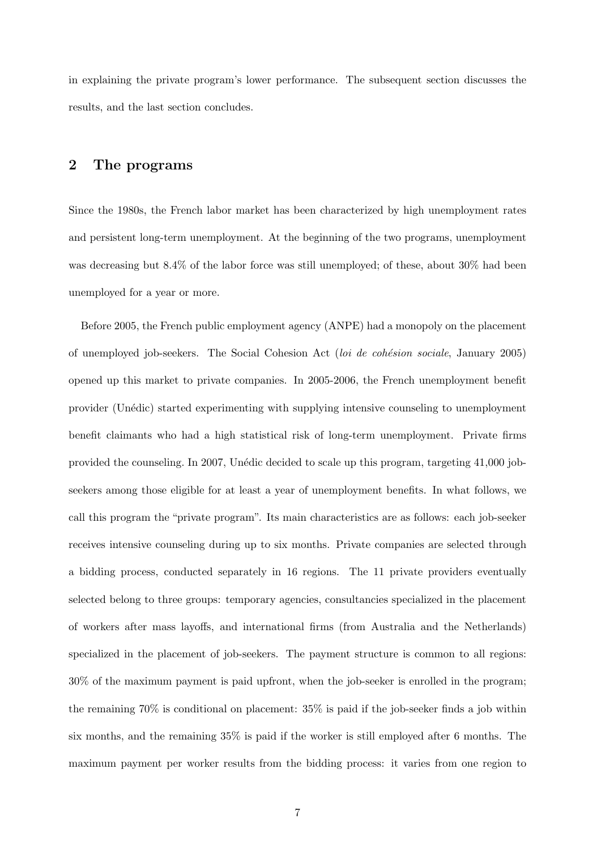in explaining the private program's lower performance. The subsequent section discusses the results, and the last section concludes.

## <span id="page-6-0"></span>2 The programs

Since the 1980s, the French labor market has been characterized by high unemployment rates and persistent long-term unemployment. At the beginning of the two programs, unemployment was decreasing but 8.4% of the labor force was still unemployed; of these, about 30% had been unemployed for a year or more.

Before 2005, the French public employment agency (ANPE) had a monopoly on the placement of unemployed job-seekers. The Social Cohesion Act (loi de cohésion sociale, January 2005) opened up this market to private companies. In 2005-2006, the French unemployment benefit provider (Un´edic) started experimenting with supplying intensive counseling to unemployment benefit claimants who had a high statistical risk of long-term unemployment. Private firms provided the counseling. In 2007, Unédic decided to scale up this program, targeting 41,000 jobseekers among those eligible for at least a year of unemployment benefits. In what follows, we call this program the "private program". Its main characteristics are as follows: each job-seeker receives intensive counseling during up to six months. Private companies are selected through a bidding process, conducted separately in 16 regions. The 11 private providers eventually selected belong to three groups: temporary agencies, consultancies specialized in the placement of workers after mass layoffs, and international firms (from Australia and the Netherlands) specialized in the placement of job-seekers. The payment structure is common to all regions: 30% of the maximum payment is paid upfront, when the job-seeker is enrolled in the program; the remaining  $70\%$  is conditional on placement:  $35\%$  is paid if the job-seeker finds a job within six months, and the remaining 35% is paid if the worker is still employed after 6 months. The maximum payment per worker results from the bidding process: it varies from one region to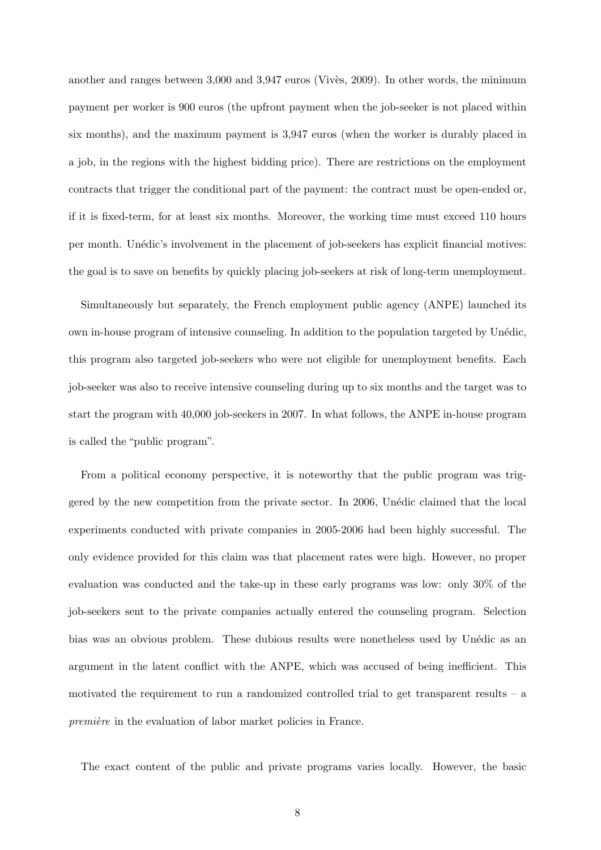another and ranges between  $3,000$  and  $3,947$  euros (Vivès, 2009). In other words, the minimum payment per worker is 900 euros (the upfront payment when the job-seeker is not placed within six months), and the maximum payment is 3,947 euros (when the worker is durably placed in a job, in the regions with the highest bidding price). There are restrictions on the employment contracts that trigger the conditional part of the payment: the contract must be open-ended or, if it is fixed-term, for at least six months. Moreover, the working time must exceed 110 hours per month. Unédic's involvement in the placement of job-seekers has explicit financial motives: the goal is to save on benefits by quickly placing job-seekers at risk of long-term unemployment.

Simultaneously but separately, the French employment public agency (ANPE) launched its own in-house program of intensive counseling. In addition to the population targeted by Unédic, this program also targeted job-seekers who were not eligible for unemployment benefits. Each job-seeker was also to receive intensive counseling during up to six months and the target was to start the program with 40,000 job-seekers in 2007. In what follows, the ANPE in-house program is called the "public program".

From a political economy perspective, it is noteworthy that the public program was triggered by the new competition from the private sector. In 2006, Unédic claimed that the local experiments conducted with private companies in 2005-2006 had been highly successful. The only evidence provided for this claim was that placement rates were high. However, no proper evaluation was conducted and the take-up in these early programs was low: only 30% of the job-seekers sent to the private companies actually entered the counseling program. Selection bias was an obvious problem. These dubious results were nonetheless used by Unédic as an argument in the latent conflict with the ANPE, which was accused of being inefficient. This motivated the requirement to run a randomized controlled trial to get transparent results – a première in the evaluation of labor market policies in France.

The exact content of the public and private programs varies locally. However, the basic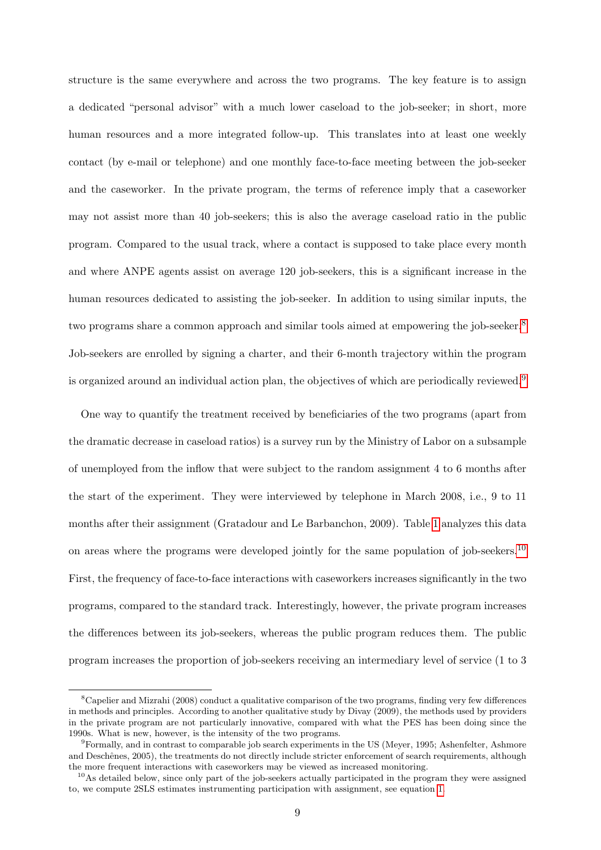structure is the same everywhere and across the two programs. The key feature is to assign a dedicated "personal advisor" with a much lower caseload to the job-seeker; in short, more human resources and a more integrated follow-up. This translates into at least one weekly contact (by e-mail or telephone) and one monthly face-to-face meeting between the job-seeker and the caseworker. In the private program, the terms of reference imply that a caseworker may not assist more than 40 job-seekers; this is also the average caseload ratio in the public program. Compared to the usual track, where a contact is supposed to take place every month and where ANPE agents assist on average 120 job-seekers, this is a significant increase in the human resources dedicated to assisting the job-seeker. In addition to using similar inputs, the two programs share a common approach and similar tools aimed at empowering the job-seeker.<sup>[8](#page-0-0)</sup> Job-seekers are enrolled by signing a charter, and their 6-month trajectory within the program is organized around an individual action plan, the objectives of which are periodically reviewed.<sup>[9](#page-0-0)</sup>

One way to quantify the treatment received by beneficiaries of the two programs (apart from the dramatic decrease in caseload ratios) is a survey run by the Ministry of Labor on a subsample of unemployed from the inflow that were subject to the random assignment 4 to 6 months after the start of the experiment. They were interviewed by telephone in March 2008, i.e., 9 to 11 months after their assignment (Gratadour and Le Barbanchon, 2009). Table [1](#page-40-0) analyzes this data on areas where the programs were developed jointly for the same population of job-seekers.<sup>[10](#page-0-0)</sup> First, the frequency of face-to-face interactions with caseworkers increases significantly in the two programs, compared to the standard track. Interestingly, however, the private program increases the differences between its job-seekers, whereas the public program reduces them. The public program increases the proportion of job-seekers receiving an intermediary level of service (1 to 3

<sup>8</sup>Capelier and Mizrahi (2008) conduct a qualitative comparison of the two programs, finding very few differences in methods and principles. According to another qualitative study by Divay (2009), the methods used by providers in the private program are not particularly innovative, compared with what the PES has been doing since the 1990s. What is new, however, is the intensity of the two programs.

<sup>9</sup>Formally, and in contrast to comparable job search experiments in the US (Meyer, 1995; Ashenfelter, Ashmore and Deschênes, 2005), the treatments do not directly include stricter enforcement of search requirements, although the more frequent interactions with caseworkers may be viewed as increased monitoring.

 $10$ As detailed below, since only part of the job-seekers actually participated in the program they were assigned to, we compute 2SLS estimates instrumenting participation with assignment, see equation [1.](#page-13-1)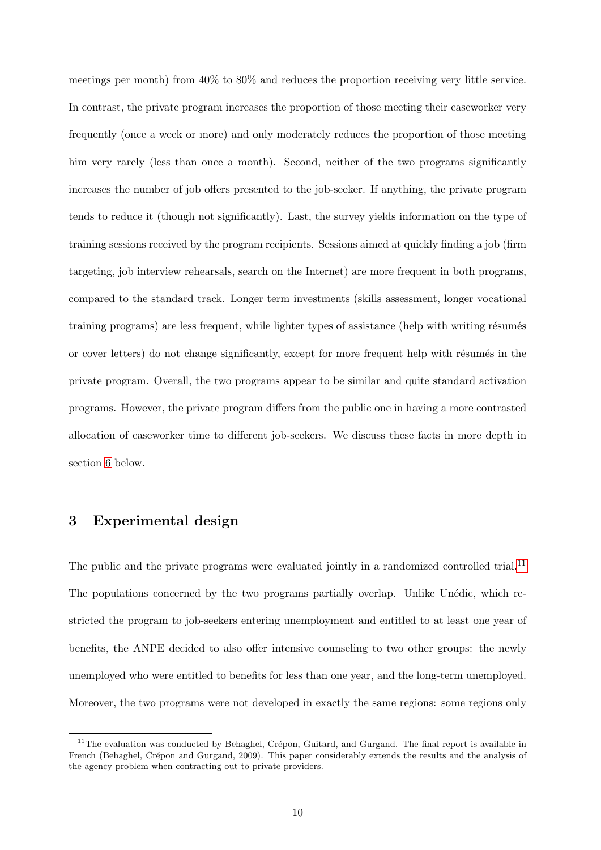meetings per month) from 40% to 80% and reduces the proportion receiving very little service. In contrast, the private program increases the proportion of those meeting their caseworker very frequently (once a week or more) and only moderately reduces the proportion of those meeting him very rarely (less than once a month). Second, neither of the two programs significantly increases the number of job offers presented to the job-seeker. If anything, the private program tends to reduce it (though not significantly). Last, the survey yields information on the type of training sessions received by the program recipients. Sessions aimed at quickly finding a job (firm targeting, job interview rehearsals, search on the Internet) are more frequent in both programs, compared to the standard track. Longer term investments (skills assessment, longer vocational training programs) are less frequent, while lighter types of assistance (help with writing résumés or cover letters) do not change significantly, except for more frequent help with résumés in the private program. Overall, the two programs appear to be similar and quite standard activation programs. However, the private program differs from the public one in having a more contrasted allocation of caseworker time to different job-seekers. We discuss these facts in more depth in section [6](#page-30-0) below.

# <span id="page-9-0"></span>3 Experimental design

The public and the private programs were evaluated jointly in a randomized controlled trial.<sup>[11](#page-0-0)</sup> The populations concerned by the two programs partially overlap. Unlike Unédic, which restricted the program to job-seekers entering unemployment and entitled to at least one year of benefits, the ANPE decided to also offer intensive counseling to two other groups: the newly unemployed who were entitled to benefits for less than one year, and the long-term unemployed. Moreover, the two programs were not developed in exactly the same regions: some regions only

 $11$ The evaluation was conducted by Behaghel, Crépon, Guitard, and Gurgand. The final report is available in French (Behaghel, Crépon and Gurgand, 2009). This paper considerably extends the results and the analysis of the agency problem when contracting out to private providers.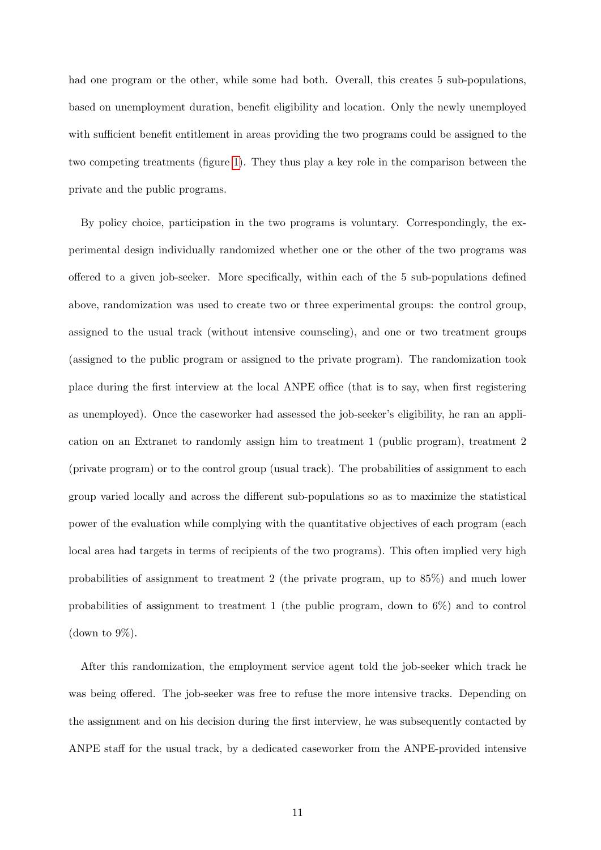had one program or the other, while some had both. Overall, this creates 5 sub-populations, based on unemployment duration, benefit eligibility and location. Only the newly unemployed with sufficient benefit entitlement in areas providing the two programs could be assigned to the two competing treatments (figure [1\)](#page-37-0). They thus play a key role in the comparison between the private and the public programs.

By policy choice, participation in the two programs is voluntary. Correspondingly, the experimental design individually randomized whether one or the other of the two programs was offered to a given job-seeker. More specifically, within each of the 5 sub-populations defined above, randomization was used to create two or three experimental groups: the control group, assigned to the usual track (without intensive counseling), and one or two treatment groups (assigned to the public program or assigned to the private program). The randomization took place during the first interview at the local ANPE office (that is to say, when first registering as unemployed). Once the caseworker had assessed the job-seeker's eligibility, he ran an application on an Extranet to randomly assign him to treatment 1 (public program), treatment 2 (private program) or to the control group (usual track). The probabilities of assignment to each group varied locally and across the different sub-populations so as to maximize the statistical power of the evaluation while complying with the quantitative objectives of each program (each local area had targets in terms of recipients of the two programs). This often implied very high probabilities of assignment to treatment 2 (the private program, up to 85%) and much lower probabilities of assignment to treatment 1 (the public program, down to 6%) and to control (down to  $9\%$ ).

After this randomization, the employment service agent told the job-seeker which track he was being offered. The job-seeker was free to refuse the more intensive tracks. Depending on the assignment and on his decision during the first interview, he was subsequently contacted by ANPE staff for the usual track, by a dedicated caseworker from the ANPE-provided intensive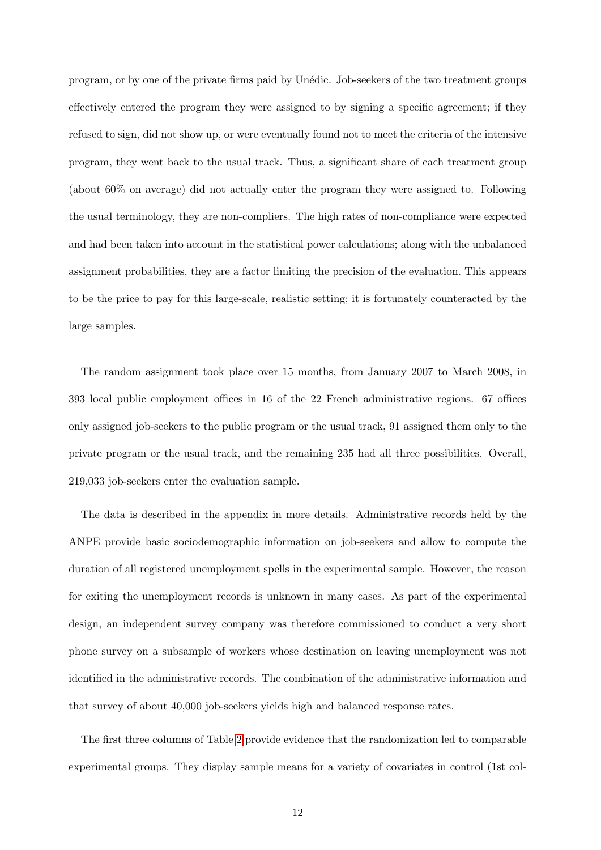program, or by one of the private firms paid by Un´edic. Job-seekers of the two treatment groups effectively entered the program they were assigned to by signing a specific agreement; if they refused to sign, did not show up, or were eventually found not to meet the criteria of the intensive program, they went back to the usual track. Thus, a significant share of each treatment group (about 60% on average) did not actually enter the program they were assigned to. Following the usual terminology, they are non-compliers. The high rates of non-compliance were expected and had been taken into account in the statistical power calculations; along with the unbalanced assignment probabilities, they are a factor limiting the precision of the evaluation. This appears to be the price to pay for this large-scale, realistic setting; it is fortunately counteracted by the large samples.

The random assignment took place over 15 months, from January 2007 to March 2008, in 393 local public employment offices in 16 of the 22 French administrative regions. 67 offices only assigned job-seekers to the public program or the usual track, 91 assigned them only to the private program or the usual track, and the remaining 235 had all three possibilities. Overall, 219,033 job-seekers enter the evaluation sample.

The data is described in the appendix in more details. Administrative records held by the ANPE provide basic sociodemographic information on job-seekers and allow to compute the duration of all registered unemployment spells in the experimental sample. However, the reason for exiting the unemployment records is unknown in many cases. As part of the experimental design, an independent survey company was therefore commissioned to conduct a very short phone survey on a subsample of workers whose destination on leaving unemployment was not identified in the administrative records. The combination of the administrative information and that survey of about 40,000 job-seekers yields high and balanced response rates.

The first three columns of Table [2](#page-41-0) provide evidence that the randomization led to comparable experimental groups. They display sample means for a variety of covariates in control (1st col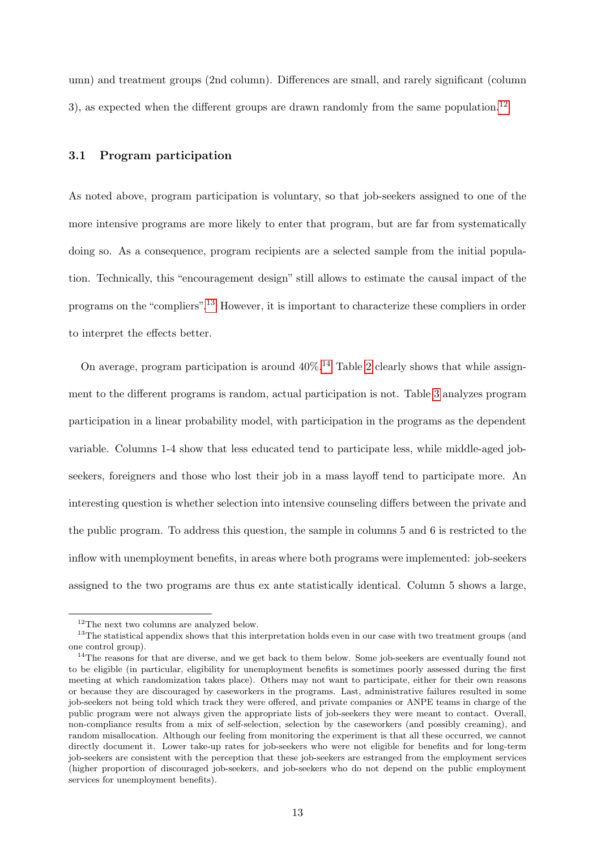umn) and treatment groups (2nd column). Differences are small, and rarely significant (column 3), as expected when the different groups are drawn randomly from the same population.<sup>[12](#page-0-0)</sup>

#### 3.1 Program participation

As noted above, program participation is voluntary, so that job-seekers assigned to one of the more intensive programs are more likely to enter that program, but are far from systematically doing so. As a consequence, program recipients are a selected sample from the initial population. Technically, this "encouragement design" still allows to estimate the causal impact of the programs on the "compliers".[13](#page-0-0) However, it is important to characterize these compliers in order to interpret the effects better.

On average, program participation is around  $40\%$ .<sup>[14](#page-0-0)</sup> Table [2](#page-41-0) clearly shows that while assignment to the different programs is random, actual participation is not. Table [3](#page-42-0) analyzes program participation in a linear probability model, with participation in the programs as the dependent variable. Columns 1-4 show that less educated tend to participate less, while middle-aged jobseekers, foreigners and those who lost their job in a mass layoff tend to participate more. An interesting question is whether selection into intensive counseling differs between the private and the public program. To address this question, the sample in columns 5 and 6 is restricted to the inflow with unemployment benefits, in areas where both programs were implemented: job-seekers assigned to the two programs are thus ex ante statistically identical. Column 5 shows a large,

<sup>&</sup>lt;sup>12</sup>The next two columns are analyzed below.

<sup>&</sup>lt;sup>13</sup>The statistical appendix shows that this interpretation holds even in our case with two treatment groups (and one control group).

 $14$ The reasons for that are diverse, and we get back to them below. Some job-seekers are eventually found not to be eligible (in particular, eligibility for unemployment benefits is sometimes poorly assessed during the first meeting at which randomization takes place). Others may not want to participate, either for their own reasons or because they are discouraged by caseworkers in the programs. Last, administrative failures resulted in some job-seekers not being told which track they were offered, and private companies or ANPE teams in charge of the public program were not always given the appropriate lists of job-seekers they were meant to contact. Overall, non-compliance results from a mix of self-selection, selection by the caseworkers (and possibly creaming), and random misallocation. Although our feeling from monitoring the experiment is that all these occurred, we cannot directly document it. Lower take-up rates for job-seekers who were not eligible for benefits and for long-term job-seekers are consistent with the perception that these job-seekers are estranged from the employment services (higher proportion of discouraged job-seekers, and job-seekers who do not depend on the public employment services for unemployment benefits).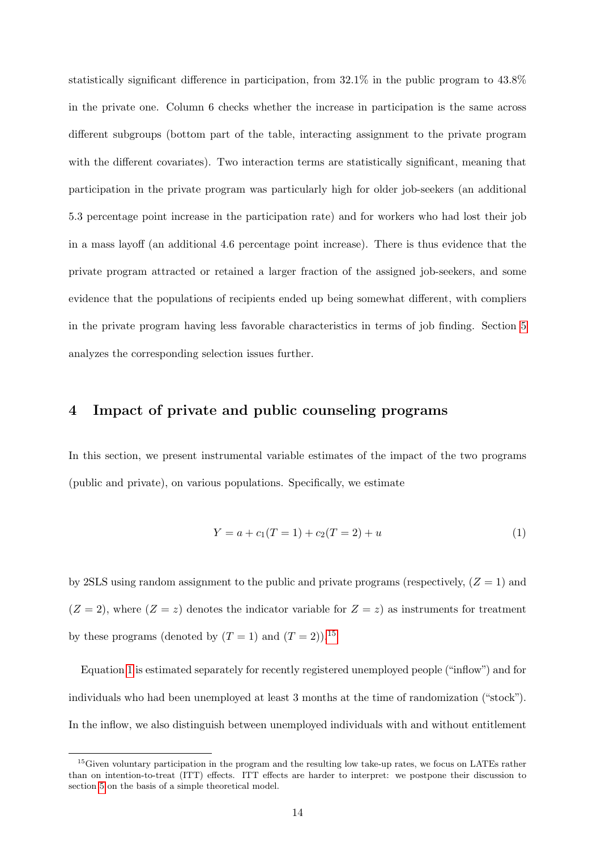statistically significant difference in participation, from 32.1% in the public program to 43.8% in the private one. Column 6 checks whether the increase in participation is the same across different subgroups (bottom part of the table, interacting assignment to the private program with the different covariates). Two interaction terms are statistically significant, meaning that participation in the private program was particularly high for older job-seekers (an additional 5.3 percentage point increase in the participation rate) and for workers who had lost their job in a mass layoff (an additional 4.6 percentage point increase). There is thus evidence that the private program attracted or retained a larger fraction of the assigned job-seekers, and some evidence that the populations of recipients ended up being somewhat different, with compliers in the private program having less favorable characteristics in terms of job finding. Section [5](#page-17-0) analyzes the corresponding selection issues further.

## <span id="page-13-0"></span>4 Impact of private and public counseling programs

In this section, we present instrumental variable estimates of the impact of the two programs (public and private), on various populations. Specifically, we estimate

<span id="page-13-1"></span>
$$
Y = a + c_1(T = 1) + c_2(T = 2) + u \tag{1}
$$

by 2SLS using random assignment to the public and private programs (respectively,  $(Z = 1)$ ) and  $(Z = 2)$ , where  $(Z = z)$  denotes the indicator variable for  $Z = z$ ) as instruments for treatment by these programs (denoted by  $(T = 1)$  and  $(T = 2)$ ).<sup>[15](#page-0-0)</sup>

Equation [1](#page-13-1) is estimated separately for recently registered unemployed people ("inflow") and for individuals who had been unemployed at least 3 months at the time of randomization ("stock"). In the inflow, we also distinguish between unemployed individuals with and without entitlement

<sup>&</sup>lt;sup>15</sup>Given voluntary participation in the program and the resulting low take-up rates, we focus on LATEs rather than on intention-to-treat (ITT) effects. ITT effects are harder to interpret: we postpone their discussion to section [5](#page-17-0) on the basis of a simple theoretical model.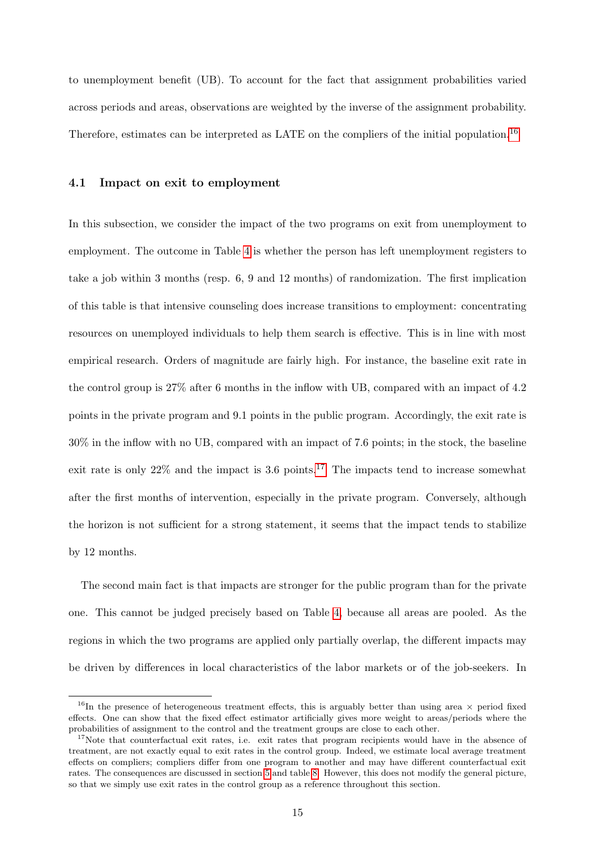to unemployment benefit (UB). To account for the fact that assignment probabilities varied across periods and areas, observations are weighted by the inverse of the assignment probability. Therefore, estimates can be interpreted as LATE on the compliers of the initial population.[16](#page-0-0)

#### 4.1 Impact on exit to employment

In this subsection, we consider the impact of the two programs on exit from unemployment to employment. The outcome in Table [4](#page-43-0) is whether the person has left unemployment registers to take a job within 3 months (resp. 6, 9 and 12 months) of randomization. The first implication of this table is that intensive counseling does increase transitions to employment: concentrating resources on unemployed individuals to help them search is effective. This is in line with most empirical research. Orders of magnitude are fairly high. For instance, the baseline exit rate in the control group is 27% after 6 months in the inflow with UB, compared with an impact of 4.2 points in the private program and 9.1 points in the public program. Accordingly, the exit rate is 30% in the inflow with no UB, compared with an impact of 7.6 points; in the stock, the baseline exit rate is only  $22\%$  and the impact is 3.6 points.<sup>[17](#page-0-0)</sup> The impacts tend to increase somewhat after the first months of intervention, especially in the private program. Conversely, although the horizon is not sufficient for a strong statement, it seems that the impact tends to stabilize by 12 months.

The second main fact is that impacts are stronger for the public program than for the private one. This cannot be judged precisely based on Table [4,](#page-43-0) because all areas are pooled. As the regions in which the two programs are applied only partially overlap, the different impacts may be driven by differences in local characteristics of the labor markets or of the job-seekers. In

<sup>&</sup>lt;sup>16</sup>In the presence of heterogeneous treatment effects, this is arguably better than using area  $\times$  period fixed effects. One can show that the fixed effect estimator artificially gives more weight to areas/periods where the probabilities of assignment to the control and the treatment groups are close to each other.

<sup>&</sup>lt;sup>17</sup>Note that counterfactual exit rates, i.e. exit rates that program recipients would have in the absence of treatment, are not exactly equal to exit rates in the control group. Indeed, we estimate local average treatment effects on compliers; compliers differ from one program to another and may have different counterfactual exit rates. The consequences are discussed in section [5](#page-17-0) and table [8.](#page-47-0) However, this does not modify the general picture, so that we simply use exit rates in the control group as a reference throughout this section.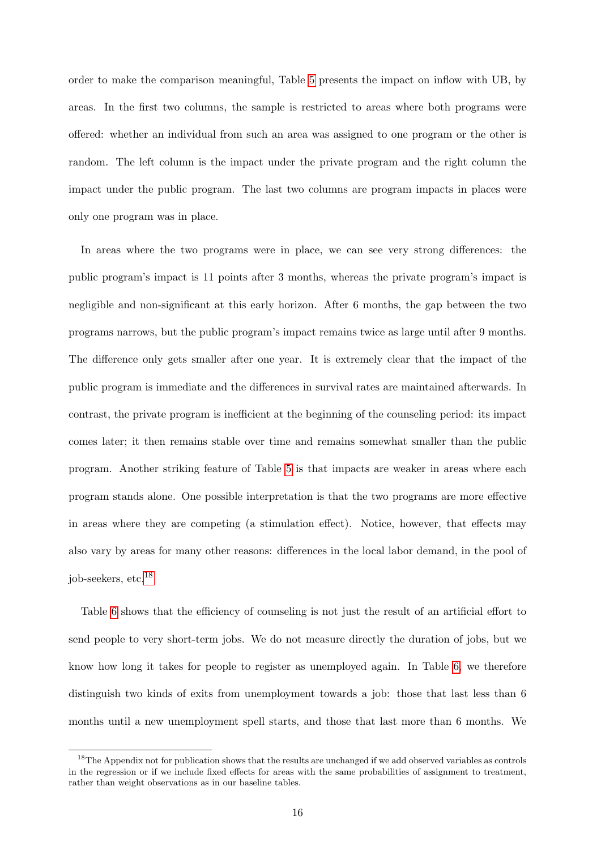order to make the comparison meaningful, Table [5](#page-44-0) presents the impact on inflow with UB, by areas. In the first two columns, the sample is restricted to areas where both programs were offered: whether an individual from such an area was assigned to one program or the other is random. The left column is the impact under the private program and the right column the impact under the public program. The last two columns are program impacts in places were only one program was in place.

In areas where the two programs were in place, we can see very strong differences: the public program's impact is 11 points after 3 months, whereas the private program's impact is negligible and non-significant at this early horizon. After 6 months, the gap between the two programs narrows, but the public program's impact remains twice as large until after 9 months. The difference only gets smaller after one year. It is extremely clear that the impact of the public program is immediate and the differences in survival rates are maintained afterwards. In contrast, the private program is inefficient at the beginning of the counseling period: its impact comes later; it then remains stable over time and remains somewhat smaller than the public program. Another striking feature of Table [5](#page-44-0) is that impacts are weaker in areas where each program stands alone. One possible interpretation is that the two programs are more effective in areas where they are competing (a stimulation effect). Notice, however, that effects may also vary by areas for many other reasons: differences in the local labor demand, in the pool of job-seekers, etc.[18](#page-0-0)

Table [6](#page-45-0) shows that the efficiency of counseling is not just the result of an artificial effort to send people to very short-term jobs. We do not measure directly the duration of jobs, but we know how long it takes for people to register as unemployed again. In Table [6,](#page-45-0) we therefore distinguish two kinds of exits from unemployment towards a job: those that last less than 6 months until a new unemployment spell starts, and those that last more than 6 months. We

 $18$ The Appendix not for publication shows that the results are unchanged if we add observed variables as controls in the regression or if we include fixed effects for areas with the same probabilities of assignment to treatment, rather than weight observations as in our baseline tables.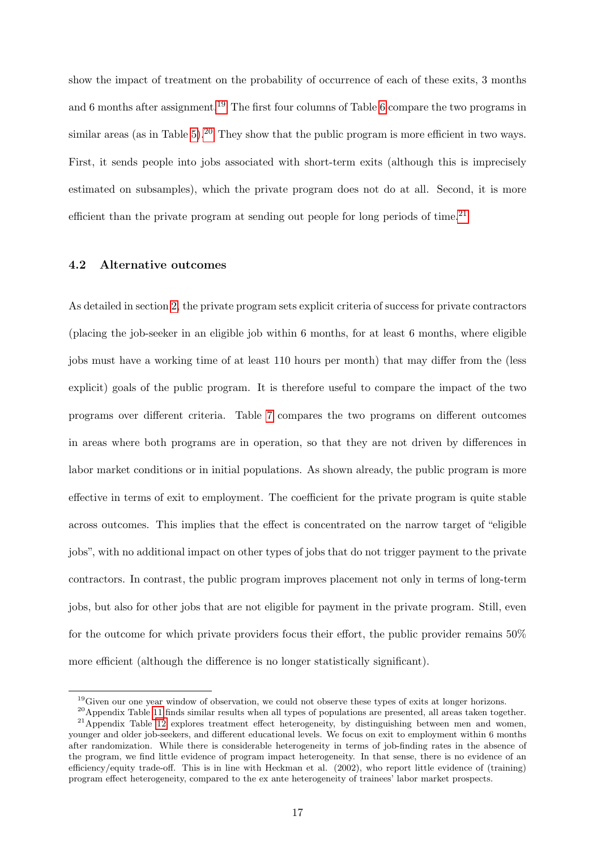show the impact of treatment on the probability of occurrence of each of these exits, 3 months and 6 months after assignment.<sup>[19](#page-0-0)</sup> The first four columns of Table [6](#page-45-0) compare the two programs in similar areas (as in Table [5\)](#page-44-0).<sup>[20](#page-0-0)</sup> They show that the public program is more efficient in two ways. First, it sends people into jobs associated with short-term exits (although this is imprecisely estimated on subsamples), which the private program does not do at all. Second, it is more efficient than the private program at sending out people for long periods of time.<sup>[21](#page-0-0)</sup>

### 4.2 Alternative outcomes

As detailed in section [2,](#page-6-0) the private program sets explicit criteria of success for private contractors (placing the job-seeker in an eligible job within 6 months, for at least 6 months, where eligible jobs must have a working time of at least 110 hours per month) that may differ from the (less explicit) goals of the public program. It is therefore useful to compare the impact of the two programs over different criteria. Table [7](#page-46-0) compares the two programs on different outcomes in areas where both programs are in operation, so that they are not driven by differences in labor market conditions or in initial populations. As shown already, the public program is more effective in terms of exit to employment. The coefficient for the private program is quite stable across outcomes. This implies that the effect is concentrated on the narrow target of "eligible jobs", with no additional impact on other types of jobs that do not trigger payment to the private contractors. In contrast, the public program improves placement not only in terms of long-term jobs, but also for other jobs that are not eligible for payment in the private program. Still, even for the outcome for which private providers focus their effort, the public provider remains 50% more efficient (although the difference is no longer statistically significant).

 $19$  Given our one year window of observation, we could not observe these types of exits at longer horizons.

<sup>20</sup>Appendix Table [11](#page-56-0) finds similar results when all types of populations are presented, all areas taken together.  $21$ Appendix Table [12](#page-57-0) explores treatment effect heterogeneity, by distinguishing between men and women, younger and older job-seekers, and different educational levels. We focus on exit to employment within 6 months after randomization. While there is considerable heterogeneity in terms of job-finding rates in the absence of the program, we find little evidence of program impact heterogeneity. In that sense, there is no evidence of an efficiency/equity trade-off. This is in line with Heckman et al. (2002), who report little evidence of (training) program effect heterogeneity, compared to the ex ante heterogeneity of trainees' labor market prospects.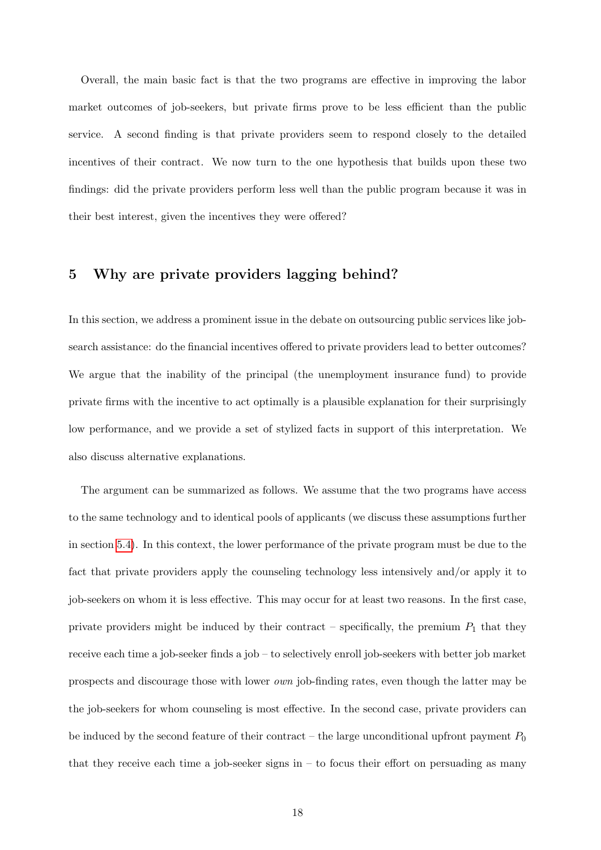Overall, the main basic fact is that the two programs are effective in improving the labor market outcomes of job-seekers, but private firms prove to be less efficient than the public service. A second finding is that private providers seem to respond closely to the detailed incentives of their contract. We now turn to the one hypothesis that builds upon these two findings: did the private providers perform less well than the public program because it was in their best interest, given the incentives they were offered?

## <span id="page-17-0"></span>5 Why are private providers lagging behind?

In this section, we address a prominent issue in the debate on outsourcing public services like jobsearch assistance: do the financial incentives offered to private providers lead to better outcomes? We argue that the inability of the principal (the unemployment insurance fund) to provide private firms with the incentive to act optimally is a plausible explanation for their surprisingly low performance, and we provide a set of stylized facts in support of this interpretation. We also discuss alternative explanations.

The argument can be summarized as follows. We assume that the two programs have access to the same technology and to identical pools of applicants (we discuss these assumptions further in section [5.4\)](#page-27-0). In this context, the lower performance of the private program must be due to the fact that private providers apply the counseling technology less intensively and/or apply it to job-seekers on whom it is less effective. This may occur for at least two reasons. In the first case, private providers might be induced by their contract – specifically, the premium  $P_1$  that they receive each time a job-seeker finds a job – to selectively enroll job-seekers with better job market prospects and discourage those with lower own job-finding rates, even though the latter may be the job-seekers for whom counseling is most effective. In the second case, private providers can be induced by the second feature of their contract – the large unconditional upfront payment  $P_0$ that they receive each time a job-seeker signs in  $-$  to focus their effort on persuading as many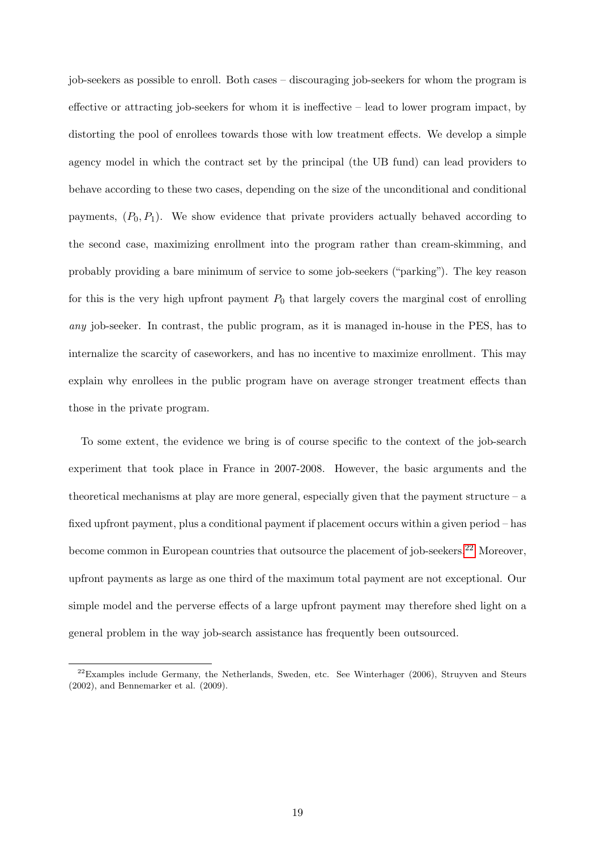job-seekers as possible to enroll. Both cases – discouraging job-seekers for whom the program is effective or attracting job-seekers for whom it is ineffective – lead to lower program impact, by distorting the pool of enrollees towards those with low treatment effects. We develop a simple agency model in which the contract set by the principal (the UB fund) can lead providers to behave according to these two cases, depending on the size of the unconditional and conditional payments,  $(P_0, P_1)$ . We show evidence that private providers actually behaved according to the second case, maximizing enrollment into the program rather than cream-skimming, and probably providing a bare minimum of service to some job-seekers ("parking"). The key reason for this is the very high upfront payment  $P_0$  that largely covers the marginal cost of enrolling any job-seeker. In contrast, the public program, as it is managed in-house in the PES, has to internalize the scarcity of caseworkers, and has no incentive to maximize enrollment. This may explain why enrollees in the public program have on average stronger treatment effects than those in the private program.

To some extent, the evidence we bring is of course specific to the context of the job-search experiment that took place in France in 2007-2008. However, the basic arguments and the theoretical mechanisms at play are more general, especially given that the payment structure  $-$  a fixed upfront payment, plus a conditional payment if placement occurs within a given period – has become common in European countries that outsource the placement of job-seekers.<sup>[22](#page-0-0)</sup> Moreover, upfront payments as large as one third of the maximum total payment are not exceptional. Our simple model and the perverse effects of a large upfront payment may therefore shed light on a general problem in the way job-search assistance has frequently been outsourced.

 $22$ Examples include Germany, the Netherlands, Sweden, etc. See Winterhager (2006), Struyven and Steurs (2002), and Bennemarker et al. (2009).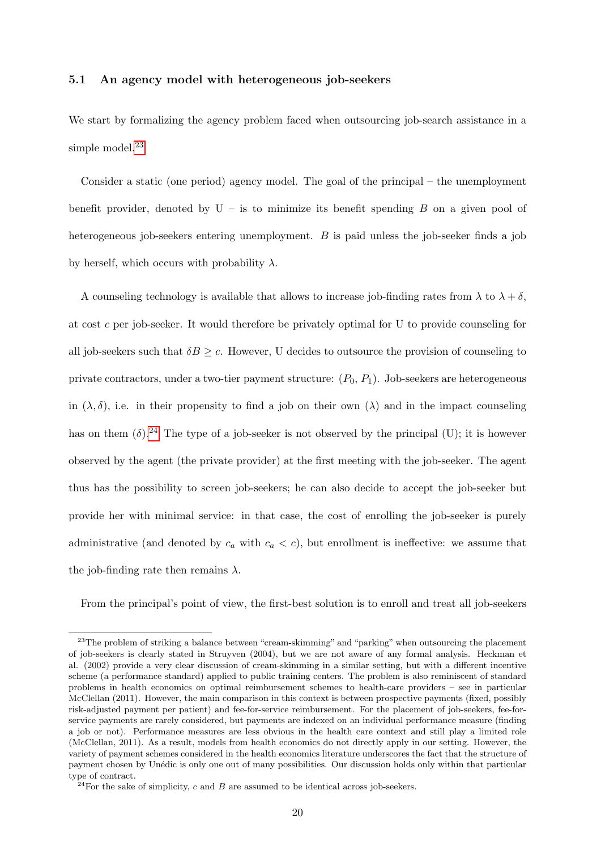#### 5.1 An agency model with heterogeneous job-seekers

We start by formalizing the agency problem faced when outsourcing job-search assistance in a simple model. $23$ 

Consider a static (one period) agency model. The goal of the principal – the unemployment benefit provider, denoted by  $U - i$  is to minimize its benefit spending B on a given pool of heterogeneous job-seekers entering unemployment. B is paid unless the job-seeker finds a job by herself, which occurs with probability  $\lambda$ .

A counseling technology is available that allows to increase job-finding rates from  $\lambda$  to  $\lambda + \delta$ , at cost c per job-seeker. It would therefore be privately optimal for U to provide counseling for all job-seekers such that  $\delta B \geq c$ . However, U decides to outsource the provision of counseling to private contractors, under a two-tier payment structure:  $(P_0, P_1)$ . Job-seekers are heterogeneous in  $(\lambda, \delta)$ , i.e. in their propensity to find a job on their own  $(\lambda)$  and in the impact counseling has on them  $(\delta)$ .<sup>[24](#page-0-0)</sup> The type of a job-seeker is not observed by the principal (U); it is however observed by the agent (the private provider) at the first meeting with the job-seeker. The agent thus has the possibility to screen job-seekers; he can also decide to accept the job-seeker but provide her with minimal service: in that case, the cost of enrolling the job-seeker is purely administrative (and denoted by  $c_a$  with  $c_a < c$ ), but enrollment is ineffective: we assume that the job-finding rate then remains  $\lambda$ .

From the principal's point of view, the first-best solution is to enroll and treat all job-seekers

<sup>&</sup>lt;sup>23</sup>The problem of striking a balance between "cream-skimming" and "parking" when outsourcing the placement of job-seekers is clearly stated in Struyven (2004), but we are not aware of any formal analysis. Heckman et al. (2002) provide a very clear discussion of cream-skimming in a similar setting, but with a different incentive scheme (a performance standard) applied to public training centers. The problem is also reminiscent of standard problems in health economics on optimal reimbursement schemes to health-care providers – see in particular McClellan (2011). However, the main comparison in this context is between prospective payments (fixed, possibly risk-adjusted payment per patient) and fee-for-service reimbursement. For the placement of job-seekers, fee-forservice payments are rarely considered, but payments are indexed on an individual performance measure (finding a job or not). Performance measures are less obvious in the health care context and still play a limited role (McClellan, 2011). As a result, models from health economics do not directly apply in our setting. However, the variety of payment schemes considered in the health economics literature underscores the fact that the structure of payment chosen by Un´edic is only one out of many possibilities. Our discussion holds only within that particular type of contract.

 $24$ For the sake of simplicity, c and B are assumed to be identical across job-seekers.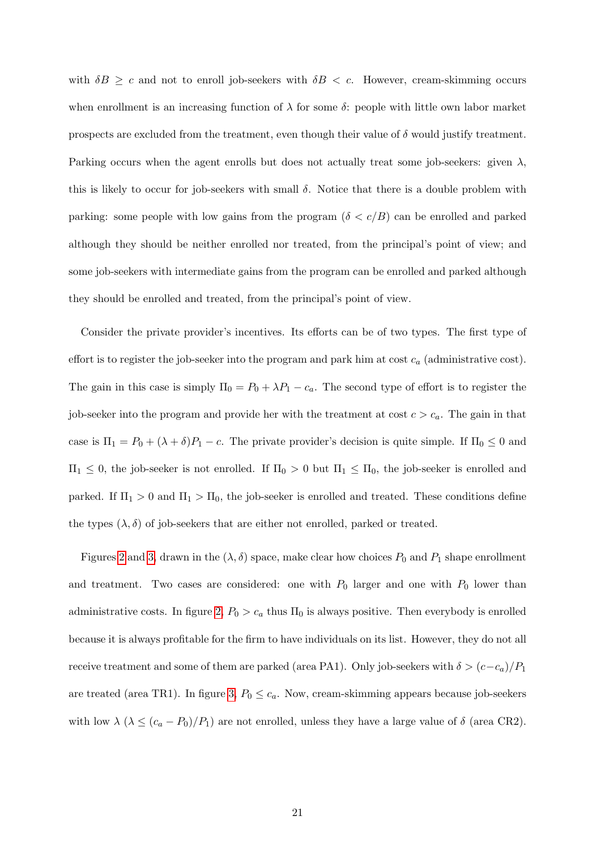with  $\delta B \geq c$  and not to enroll job-seekers with  $\delta B < c$ . However, cream-skimming occurs when enrollment is an increasing function of  $\lambda$  for some  $\delta$ : people with little own labor market prospects are excluded from the treatment, even though their value of  $\delta$  would justify treatment. Parking occurs when the agent enrolls but does not actually treat some job-seekers: given  $\lambda$ , this is likely to occur for job-seekers with small  $\delta$ . Notice that there is a double problem with parking: some people with low gains from the program ( $\delta < c/B$ ) can be enrolled and parked although they should be neither enrolled nor treated, from the principal's point of view; and some job-seekers with intermediate gains from the program can be enrolled and parked although they should be enrolled and treated, from the principal's point of view.

Consider the private provider's incentives. Its efforts can be of two types. The first type of effort is to register the job-seeker into the program and park him at cost  $c_a$  (administrative cost). The gain in this case is simply  $\Pi_0 = P_0 + \lambda P_1 - c_a$ . The second type of effort is to register the job-seeker into the program and provide her with the treatment at cost  $c > c_a$ . The gain in that case is  $\Pi_1 = P_0 + (\lambda + \delta)P_1 - c$ . The private provider's decision is quite simple. If  $\Pi_0 \leq 0$  and  $\Pi_1 \leq 0$ , the job-seeker is not enrolled. If  $\Pi_0 > 0$  but  $\Pi_1 \leq \Pi_0$ , the job-seeker is enrolled and parked. If  $\Pi_1 > 0$  and  $\Pi_1 > \Pi_0$ , the job-seeker is enrolled and treated. These conditions define the types  $(\lambda, \delta)$  of job-seekers that are either not enrolled, parked or treated.

Figures [2](#page-37-1) and [3,](#page-38-0) drawn in the  $(\lambda, \delta)$  space, make clear how choices  $P_0$  and  $P_1$  shape enrollment and treatment. Two cases are considered: one with  $P_0$  larger and one with  $P_0$  lower than administrative costs. In figure [2,](#page-37-1)  $P_0 > c_a$  thus  $\Pi_0$  is always positive. Then everybody is enrolled because it is always profitable for the firm to have individuals on its list. However, they do not all receive treatment and some of them are parked (area PA1). Only job-seekers with  $\delta > (c-c_a)/P_1$ are treated (area TR1). In figure [3,](#page-38-0)  $P_0 \leq c_a$ . Now, cream-skimming appears because job-seekers with low  $\lambda$  ( $\lambda \leq (c_a - P_0)/P_1$ ) are not enrolled, unless they have a large value of  $\delta$  (area CR2).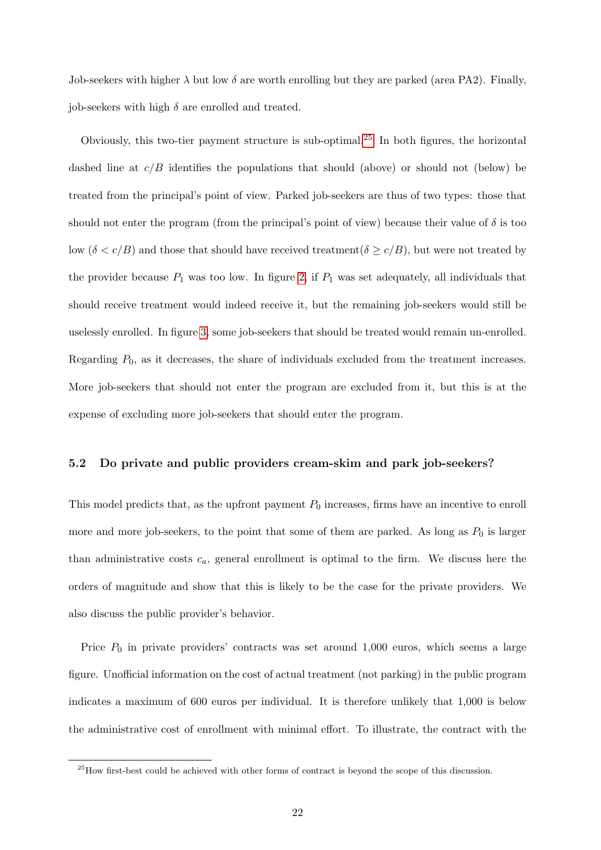Job-seekers with higher  $\lambda$  but low  $\delta$  are worth enrolling but they are parked (area PA2). Finally, iob-seekers with high  $\delta$  are enrolled and treated.

Obviously, this two-tier payment structure is sub-optimal.[25](#page-0-0) In both figures, the horizontal dashed line at  $c/B$  identifies the populations that should (above) or should not (below) be treated from the principal's point of view. Parked job-seekers are thus of two types: those that should not enter the program (from the principal's point of view) because their value of  $\delta$  is too low  $(\delta < c/B)$  and those that should have received treatment( $\delta \ge c/B$ ), but were not treated by the provider because  $P_1$  was too low. In figure [2,](#page-37-1) if  $P_1$  was set adequately, all individuals that should receive treatment would indeed receive it, but the remaining job-seekers would still be uselessly enrolled. In figure [3,](#page-38-0) some job-seekers that should be treated would remain un-enrolled. Regarding  $P_0$ , as it decreases, the share of individuals excluded from the treatment increases. More job-seekers that should not enter the program are excluded from it, but this is at the expense of excluding more job-seekers that should enter the program.

#### 5.2 Do private and public providers cream-skim and park job-seekers?

This model predicts that, as the upfront payment  $P_0$  increases, firms have an incentive to enroll more and more job-seekers, to the point that some of them are parked. As long as  $P_0$  is larger than administrative costs  $c_a$ , general enrollment is optimal to the firm. We discuss here the orders of magnitude and show that this is likely to be the case for the private providers. We also discuss the public provider's behavior.

Price  $P_0$  in private providers' contracts was set around 1,000 euros, which seems a large figure. Unofficial information on the cost of actual treatment (not parking) in the public program indicates a maximum of 600 euros per individual. It is therefore unlikely that 1,000 is below the administrative cost of enrollment with minimal effort. To illustrate, the contract with the

<sup>&</sup>lt;sup>25</sup>How first-best could be achieved with other forms of contract is beyond the scope of this discussion.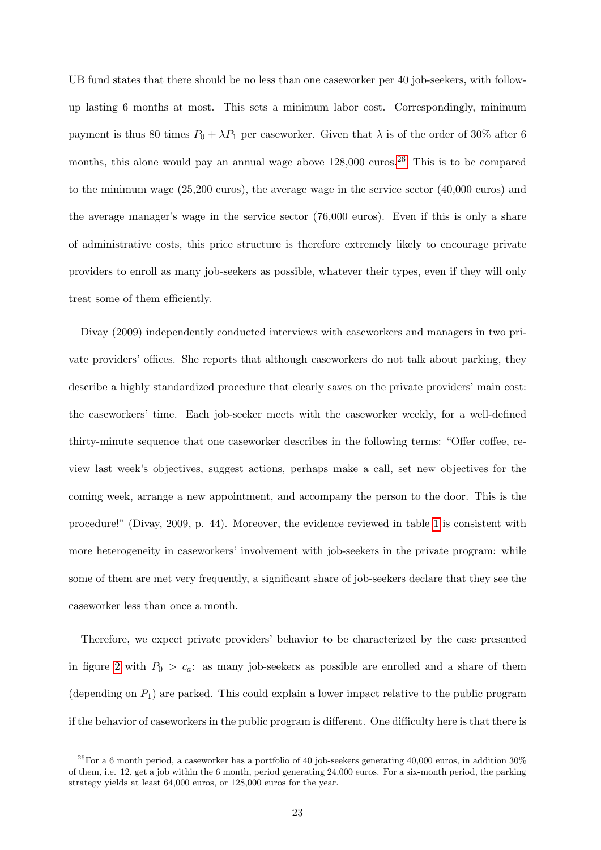UB fund states that there should be no less than one caseworker per 40 job-seekers, with followup lasting 6 months at most. This sets a minimum labor cost. Correspondingly, minimum payment is thus 80 times  $P_0 + \lambda P_1$  per caseworker. Given that  $\lambda$  is of the order of 30% after 6 months, this alone would pay an annual wage above  $128,000$  euros.<sup>[26](#page-0-0)</sup> This is to be compared to the minimum wage (25,200 euros), the average wage in the service sector (40,000 euros) and the average manager's wage in the service sector (76,000 euros). Even if this is only a share of administrative costs, this price structure is therefore extremely likely to encourage private providers to enroll as many job-seekers as possible, whatever their types, even if they will only treat some of them efficiently.

Divay (2009) independently conducted interviews with caseworkers and managers in two private providers' offices. She reports that although caseworkers do not talk about parking, they describe a highly standardized procedure that clearly saves on the private providers' main cost: the caseworkers' time. Each job-seeker meets with the caseworker weekly, for a well-defined thirty-minute sequence that one caseworker describes in the following terms: "Offer coffee, review last week's objectives, suggest actions, perhaps make a call, set new objectives for the coming week, arrange a new appointment, and accompany the person to the door. This is the procedure!" (Divay, 2009, p. 44). Moreover, the evidence reviewed in table [1](#page-40-0) is consistent with more heterogeneity in caseworkers' involvement with job-seekers in the private program: while some of them are met very frequently, a significant share of job-seekers declare that they see the caseworker less than once a month.

Therefore, we expect private providers' behavior to be characterized by the case presented in figure [2](#page-37-1) with  $P_0 > c_a$ : as many job-seekers as possible are enrolled and a share of them (depending on  $P_1$ ) are parked. This could explain a lower impact relative to the public program if the behavior of caseworkers in the public program is different. One difficulty here is that there is

 $^{26}$  For a 6 month period, a caseworker has a portfolio of 40 job-seekers generating 40,000 euros, in addition 30% of them, i.e. 12, get a job within the 6 month, period generating 24,000 euros. For a six-month period, the parking strategy yields at least 64,000 euros, or 128,000 euros for the year.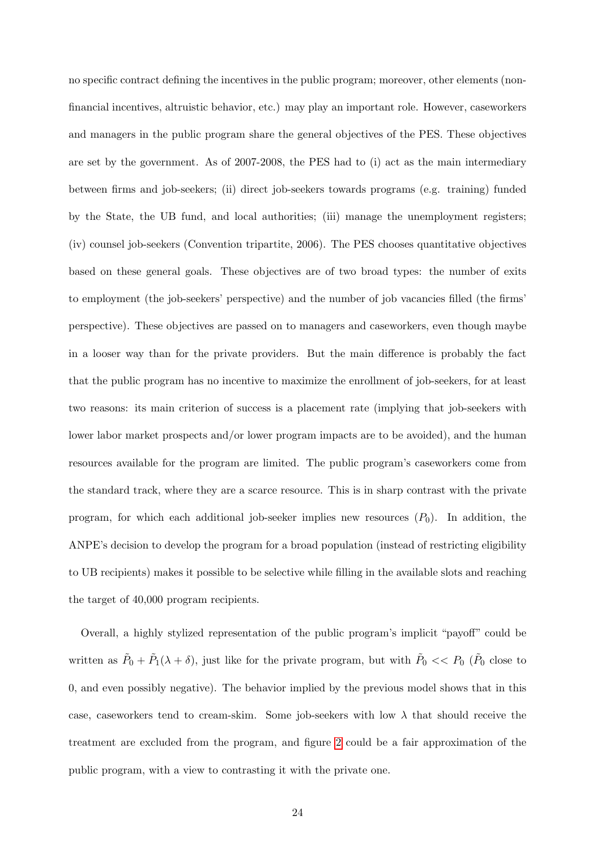no specific contract defining the incentives in the public program; moreover, other elements (nonfinancial incentives, altruistic behavior, etc.) may play an important role. However, caseworkers and managers in the public program share the general objectives of the PES. These objectives are set by the government. As of 2007-2008, the PES had to (i) act as the main intermediary between firms and job-seekers; (ii) direct job-seekers towards programs (e.g. training) funded by the State, the UB fund, and local authorities; (iii) manage the unemployment registers; (iv) counsel job-seekers (Convention tripartite, 2006). The PES chooses quantitative objectives based on these general goals. These objectives are of two broad types: the number of exits to employment (the job-seekers' perspective) and the number of job vacancies filled (the firms' perspective). These objectives are passed on to managers and caseworkers, even though maybe in a looser way than for the private providers. But the main difference is probably the fact that the public program has no incentive to maximize the enrollment of job-seekers, for at least two reasons: its main criterion of success is a placement rate (implying that job-seekers with lower labor market prospects and/or lower program impacts are to be avoided), and the human resources available for the program are limited. The public program's caseworkers come from the standard track, where they are a scarce resource. This is in sharp contrast with the private program, for which each additional job-seeker implies new resources  $(P_0)$ . In addition, the ANPE's decision to develop the program for a broad population (instead of restricting eligibility to UB recipients) makes it possible to be selective while filling in the available slots and reaching the target of 40,000 program recipients.

Overall, a highly stylized representation of the public program's implicit "payoff" could be written as  $\tilde{P}_0 + \tilde{P}_1(\lambda + \delta)$ , just like for the private program, but with  $\tilde{P}_0 \ll P_0$  ( $\tilde{P}_0$  close to 0, and even possibly negative). The behavior implied by the previous model shows that in this case, caseworkers tend to cream-skim. Some job-seekers with low  $\lambda$  that should receive the treatment are excluded from the program, and figure [2](#page-37-1) could be a fair approximation of the public program, with a view to contrasting it with the private one.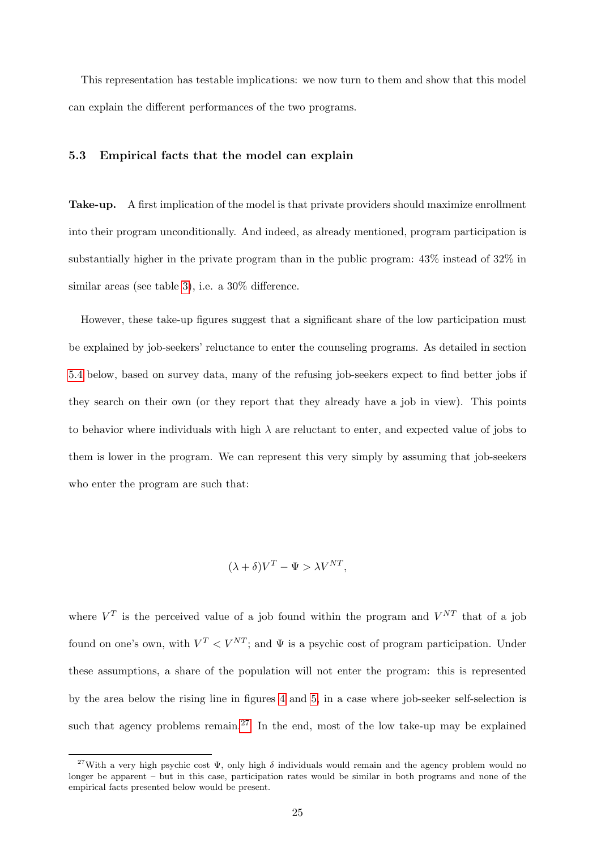This representation has testable implications: we now turn to them and show that this model can explain the different performances of the two programs.

#### <span id="page-24-0"></span>5.3 Empirical facts that the model can explain

Take-up. A first implication of the model is that private providers should maximize enrollment into their program unconditionally. And indeed, as already mentioned, program participation is substantially higher in the private program than in the public program: 43% instead of 32% in similar areas (see table [3\)](#page-42-0), i.e. a 30% difference.

However, these take-up figures suggest that a significant share of the low participation must be explained by job-seekers' reluctance to enter the counseling programs. As detailed in section [5.4](#page-27-0) below, based on survey data, many of the refusing job-seekers expect to find better jobs if they search on their own (or they report that they already have a job in view). This points to behavior where individuals with high  $\lambda$  are reluctant to enter, and expected value of jobs to them is lower in the program. We can represent this very simply by assuming that job-seekers who enter the program are such that:

$$
(\lambda + \delta)V^T - \Psi > \lambda V^{NT},
$$

where  $V^T$  is the perceived value of a job found within the program and  $V^{NT}$  that of a job found on one's own, with  $V^T < V^{NT}$ ; and  $\Psi$  is a psychic cost of program participation. Under these assumptions, a share of the population will not enter the program: this is represented by the area below the rising line in figures [4](#page-38-1) and [5,](#page-39-0) in a case where job-seeker self-selection is such that agency problems remain.<sup>[27](#page-0-0)</sup> In the end, most of the low take-up may be explained

<sup>&</sup>lt;sup>27</sup>With a very high psychic cost  $\Psi$ , only high  $\delta$  individuals would remain and the agency problem would no longer be apparent – but in this case, participation rates would be similar in both programs and none of the empirical facts presented below would be present.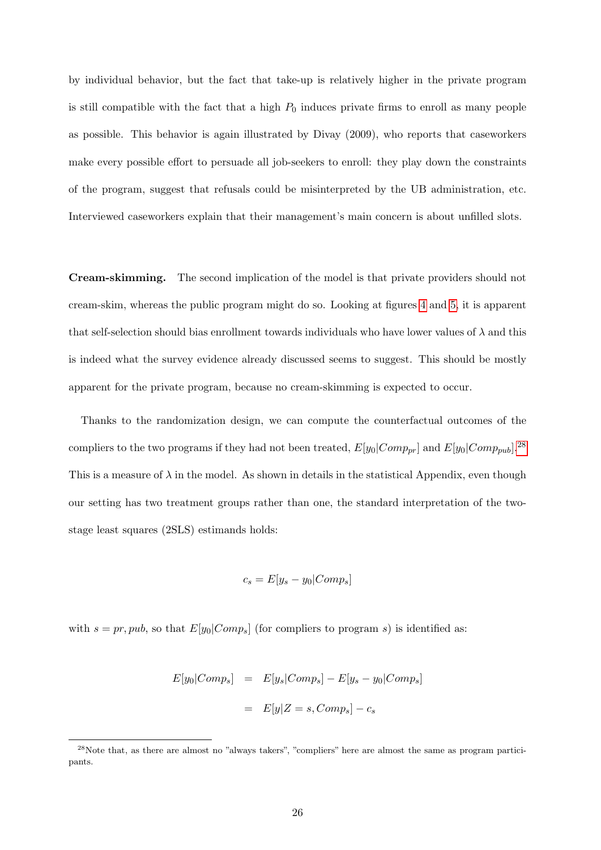by individual behavior, but the fact that take-up is relatively higher in the private program is still compatible with the fact that a high  $P_0$  induces private firms to enroll as many people as possible. This behavior is again illustrated by Divay (2009), who reports that caseworkers make every possible effort to persuade all job-seekers to enroll: they play down the constraints of the program, suggest that refusals could be misinterpreted by the UB administration, etc. Interviewed caseworkers explain that their management's main concern is about unfilled slots.

Cream-skimming. The second implication of the model is that private providers should not cream-skim, whereas the public program might do so. Looking at figures [4](#page-38-1) and [5,](#page-39-0) it is apparent that self-selection should bias enrollment towards individuals who have lower values of  $\lambda$  and this is indeed what the survey evidence already discussed seems to suggest. This should be mostly apparent for the private program, because no cream-skimming is expected to occur.

Thanks to the randomization design, we can compute the counterfactual outcomes of the compliers to the two programs if they had not been treated,  $E[y_0|Comp_{pr}]$  and  $E[y_0|Comp_{pub}]$ .<sup>[28](#page-0-0)</sup> This is a measure of  $\lambda$  in the model. As shown in details in the statistical Appendix, even though our setting has two treatment groups rather than one, the standard interpretation of the twostage least squares (2SLS) estimands holds:

$$
c_s = E[y_s - y_0 | Comp_s]
$$

with  $s = pr, pub$ , so that  $E[y_0|Comp_s]$  (for compliers to program s) is identified as:

$$
E[y_0|Comp_s] = E[y_s|Comp_s] - E[y_s - y_0|Comp_s]
$$

$$
= E[y|Z = s, Comp_s] - c_s
$$

<sup>&</sup>lt;sup>28</sup>Note that, as there are almost no "always takers", "compliers" here are almost the same as program participants.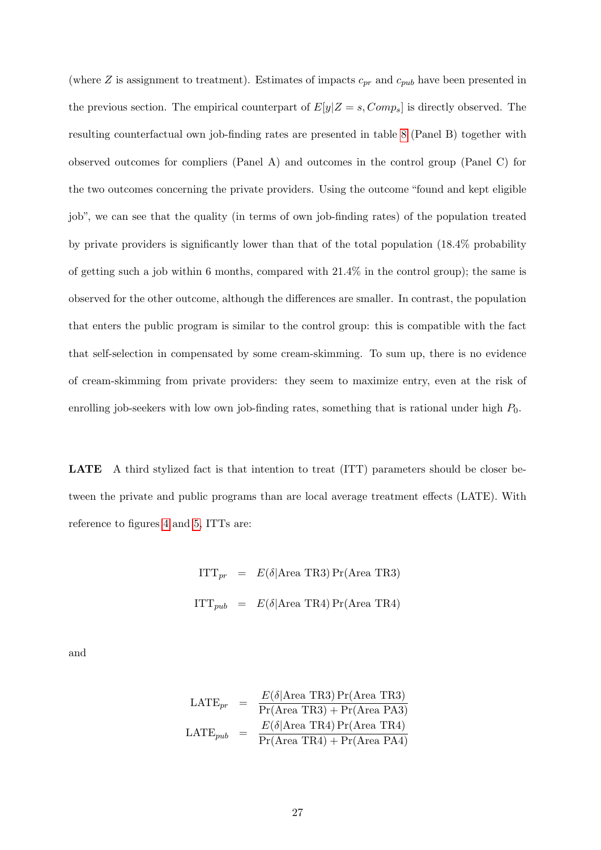(where  $Z$  is assignment to treatment). Estimates of impacts  $c_{pr}$  and  $c_{pub}$  have been presented in the previous section. The empirical counterpart of  $E[y|Z=s, Comp_s]$  is directly observed. The resulting counterfactual own job-finding rates are presented in table [8](#page-47-0) (Panel B) together with observed outcomes for compliers (Panel A) and outcomes in the control group (Panel C) for the two outcomes concerning the private providers. Using the outcome "found and kept eligible job", we can see that the quality (in terms of own job-finding rates) of the population treated by private providers is significantly lower than that of the total population (18.4% probability of getting such a job within 6 months, compared with 21.4% in the control group); the same is observed for the other outcome, although the differences are smaller. In contrast, the population that enters the public program is similar to the control group: this is compatible with the fact that self-selection in compensated by some cream-skimming. To sum up, there is no evidence of cream-skimming from private providers: they seem to maximize entry, even at the risk of enrolling job-seekers with low own job-finding rates, something that is rational under high  $P_0$ .

LATE A third stylized fact is that intention to treat (ITT) parameters should be closer between the private and public programs than are local average treatment effects (LATE). With reference to figures [4](#page-38-1) and [5,](#page-39-0) ITTs are:

> $ITT_{pr} = E(\delta | Area \text{ TR3}) \Pr(\text{Area TR3})$  $\label{eq:ITT} \text{ITT}_{pub} \quad = \quad E(\delta | \text{Area TR4}) \, \text{Pr}(\text{Area TR4})$

and

$$
LATE_{pr} = \frac{E(\delta|\text{Area TR3}) \Pr(\text{Area TR3})}{\Pr(\text{Area TR3}) + \Pr(\text{Area PA3})}
$$

$$
LATE_{pub} = \frac{E(\delta|\text{Area TR4}) \Pr(\text{Area TR4})}{\Pr(\text{Area TR4}) + \Pr(\text{Area PA4})}
$$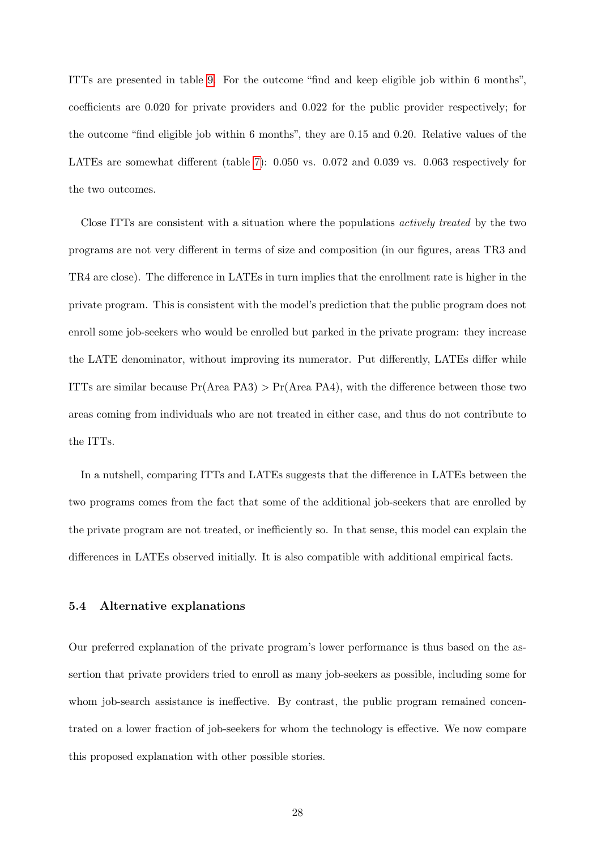ITTs are presented in table [9.](#page-48-0) For the outcome "find and keep eligible job within 6 months", coefficients are 0.020 for private providers and 0.022 for the public provider respectively; for the outcome "find eligible job within 6 months", they are 0.15 and 0.20. Relative values of the LATEs are somewhat different (table [7\)](#page-46-0): 0.050 vs. 0.072 and 0.039 vs. 0.063 respectively for the two outcomes.

Close ITTs are consistent with a situation where the populations actively treated by the two programs are not very different in terms of size and composition (in our figures, areas TR3 and TR4 are close). The difference in LATEs in turn implies that the enrollment rate is higher in the private program. This is consistent with the model's prediction that the public program does not enroll some job-seekers who would be enrolled but parked in the private program: they increase the LATE denominator, without improving its numerator. Put differently, LATEs differ while ITTs are similar because  $Pr(Area PA3) > Pr(Area PA4)$ , with the difference between those two areas coming from individuals who are not treated in either case, and thus do not contribute to the ITTs.

In a nutshell, comparing ITTs and LATEs suggests that the difference in LATEs between the two programs comes from the fact that some of the additional job-seekers that are enrolled by the private program are not treated, or inefficiently so. In that sense, this model can explain the differences in LATEs observed initially. It is also compatible with additional empirical facts.

#### <span id="page-27-0"></span>5.4 Alternative explanations

Our preferred explanation of the private program's lower performance is thus based on the assertion that private providers tried to enroll as many job-seekers as possible, including some for whom job-search assistance is ineffective. By contrast, the public program remained concentrated on a lower fraction of job-seekers for whom the technology is effective. We now compare this proposed explanation with other possible stories.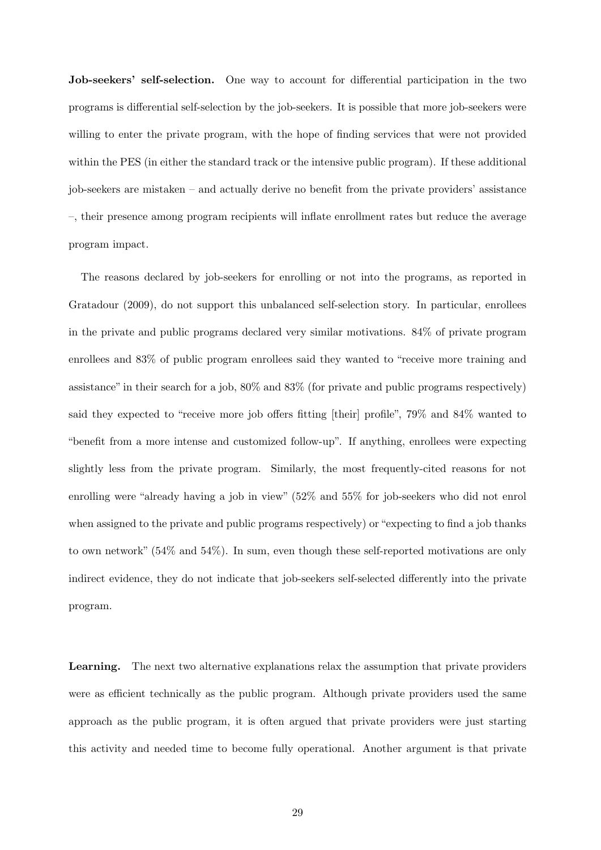Job-seekers' self-selection. One way to account for differential participation in the two programs is differential self-selection by the job-seekers. It is possible that more job-seekers were willing to enter the private program, with the hope of finding services that were not provided within the PES (in either the standard track or the intensive public program). If these additional job-seekers are mistaken – and actually derive no benefit from the private providers' assistance –, their presence among program recipients will inflate enrollment rates but reduce the average program impact.

The reasons declared by job-seekers for enrolling or not into the programs, as reported in Gratadour (2009), do not support this unbalanced self-selection story. In particular, enrollees in the private and public programs declared very similar motivations. 84% of private program enrollees and 83% of public program enrollees said they wanted to "receive more training and assistance" in their search for a job, 80% and 83% (for private and public programs respectively) said they expected to "receive more job offers fitting [their] profile", 79% and 84% wanted to "benefit from a more intense and customized follow-up". If anything, enrollees were expecting slightly less from the private program. Similarly, the most frequently-cited reasons for not enrolling were "already having a job in view" (52% and 55% for job-seekers who did not enrol when assigned to the private and public programs respectively) or "expecting to find a job thanks to own network" (54% and 54%). In sum, even though these self-reported motivations are only indirect evidence, they do not indicate that job-seekers self-selected differently into the private program.

Learning. The next two alternative explanations relax the assumption that private providers were as efficient technically as the public program. Although private providers used the same approach as the public program, it is often argued that private providers were just starting this activity and needed time to become fully operational. Another argument is that private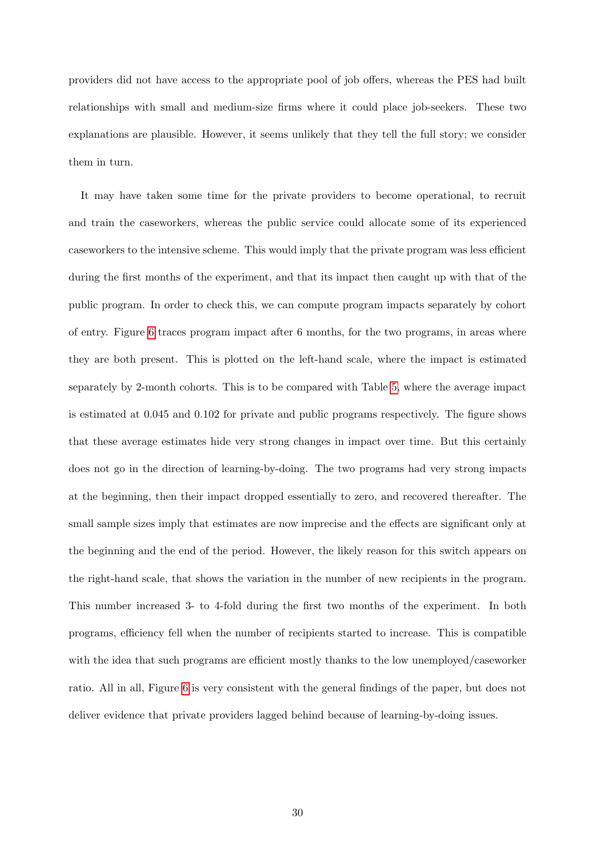providers did not have access to the appropriate pool of job offers, whereas the PES had built relationships with small and medium-size firms where it could place job-seekers. These two explanations are plausible. However, it seems unlikely that they tell the full story; we consider them in turn.

It may have taken some time for the private providers to become operational, to recruit and train the caseworkers, whereas the public service could allocate some of its experienced caseworkers to the intensive scheme. This would imply that the private program was less efficient during the first months of the experiment, and that its impact then caught up with that of the public program. In order to check this, we can compute program impacts separately by cohort of entry. Figure [6](#page-39-1) traces program impact after 6 months, for the two programs, in areas where they are both present. This is plotted on the left-hand scale, where the impact is estimated separately by 2-month cohorts. This is to be compared with Table [5,](#page-44-0) where the average impact is estimated at 0.045 and 0.102 for private and public programs respectively. The figure shows that these average estimates hide very strong changes in impact over time. But this certainly does not go in the direction of learning-by-doing. The two programs had very strong impacts at the beginning, then their impact dropped essentially to zero, and recovered thereafter. The small sample sizes imply that estimates are now imprecise and the effects are significant only at the beginning and the end of the period. However, the likely reason for this switch appears on the right-hand scale, that shows the variation in the number of new recipients in the program. This number increased 3- to 4-fold during the first two months of the experiment. In both programs, efficiency fell when the number of recipients started to increase. This is compatible with the idea that such programs are efficient mostly thanks to the low unemployed/caseworker ratio. All in all, Figure [6](#page-39-1) is very consistent with the general findings of the paper, but does not deliver evidence that private providers lagged behind because of learning-by-doing issues.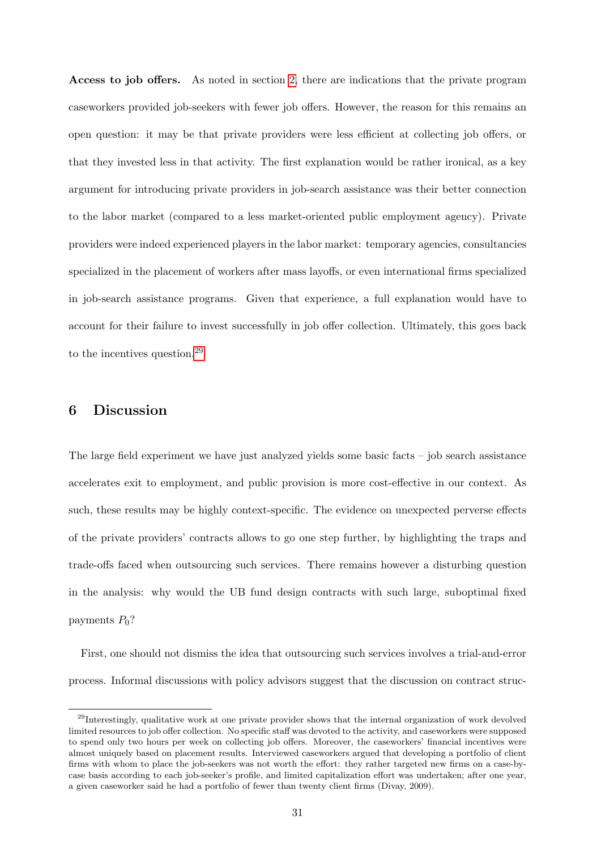Access to job offers. As noted in section [2,](#page-6-0) there are indications that the private program caseworkers provided job-seekers with fewer job offers. However, the reason for this remains an open question: it may be that private providers were less efficient at collecting job offers, or that they invested less in that activity. The first explanation would be rather ironical, as a key argument for introducing private providers in job-search assistance was their better connection to the labor market (compared to a less market-oriented public employment agency). Private providers were indeed experienced players in the labor market: temporary agencies, consultancies specialized in the placement of workers after mass layoffs, or even international firms specialized in job-search assistance programs. Given that experience, a full explanation would have to account for their failure to invest successfully in job offer collection. Ultimately, this goes back to the incentives question.[29](#page-0-0)

## <span id="page-30-0"></span>6 Discussion

The large field experiment we have just analyzed yields some basic facts – job search assistance accelerates exit to employment, and public provision is more cost-effective in our context. As such, these results may be highly context-specific. The evidence on unexpected perverse effects of the private providers' contracts allows to go one step further, by highlighting the traps and trade-offs faced when outsourcing such services. There remains however a disturbing question in the analysis: why would the UB fund design contracts with such large, suboptimal fixed payments  $P_0$ ?

First, one should not dismiss the idea that outsourcing such services involves a trial-and-error process. Informal discussions with policy advisors suggest that the discussion on contract struc-

<sup>&</sup>lt;sup>29</sup>Interestingly, qualitative work at one private provider shows that the internal organization of work devolved limited resources to job offer collection. No specific staff was devoted to the activity, and caseworkers were supposed to spend only two hours per week on collecting job offers. Moreover, the caseworkers' financial incentives were almost uniquely based on placement results. Interviewed caseworkers argued that developing a portfolio of client firms with whom to place the job-seekers was not worth the effort: they rather targeted new firms on a case-bycase basis according to each job-seeker's profile, and limited capitalization effort was undertaken; after one year, a given caseworker said he had a portfolio of fewer than twenty client firms (Divay, 2009).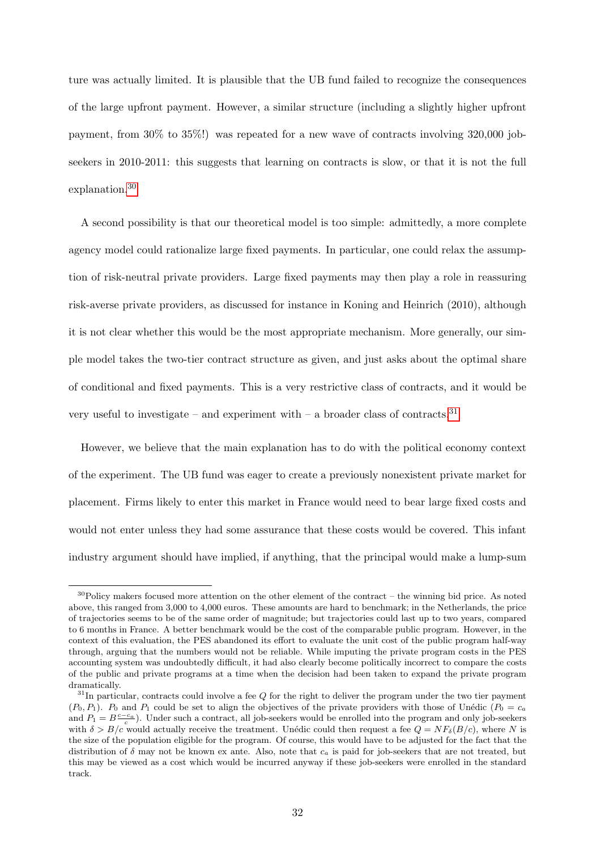ture was actually limited. It is plausible that the UB fund failed to recognize the consequences of the large upfront payment. However, a similar structure (including a slightly higher upfront payment, from 30% to 35%!) was repeated for a new wave of contracts involving 320,000 jobseekers in 2010-2011: this suggests that learning on contracts is slow, or that it is not the full explanation.[30](#page-0-0)

A second possibility is that our theoretical model is too simple: admittedly, a more complete agency model could rationalize large fixed payments. In particular, one could relax the assumption of risk-neutral private providers. Large fixed payments may then play a role in reassuring risk-averse private providers, as discussed for instance in Koning and Heinrich (2010), although it is not clear whether this would be the most appropriate mechanism. More generally, our simple model takes the two-tier contract structure as given, and just asks about the optimal share of conditional and fixed payments. This is a very restrictive class of contracts, and it would be very useful to investigate – and experiment with – a broader class of contracts.<sup>[31](#page-0-0)</sup>

However, we believe that the main explanation has to do with the political economy context of the experiment. The UB fund was eager to create a previously nonexistent private market for placement. Firms likely to enter this market in France would need to bear large fixed costs and would not enter unless they had some assurance that these costs would be covered. This infant industry argument should have implied, if anything, that the principal would make a lump-sum

 $30P<sub>0</sub>$  makers focused more attention on the other element of the contract – the winning bid price. As noted above, this ranged from 3,000 to 4,000 euros. These amounts are hard to benchmark; in the Netherlands, the price of trajectories seems to be of the same order of magnitude; but trajectories could last up to two years, compared to 6 months in France. A better benchmark would be the cost of the comparable public program. However, in the context of this evaluation, the PES abandoned its effort to evaluate the unit cost of the public program half-way through, arguing that the numbers would not be reliable. While imputing the private program costs in the PES accounting system was undoubtedly difficult, it had also clearly become politically incorrect to compare the costs of the public and private programs at a time when the decision had been taken to expand the private program dramatically.

 $31$ In particular, contracts could involve a fee  $Q$  for the right to deliver the program under the two tier payment  $(P_0, P_1)$ .  $P_0$  and  $P_1$  could be set to align the objectives of the private providers with those of Unédic  $(P_0 = c_a)$ and  $P_1 = B \frac{c - c_a}{c}$ ). Under such a contract, all job-seekers would be enrolled into the program and only job-seekers with  $\delta > B/c$  would actually receive the treatment. Unédic could then request a fee  $Q = NF_{\delta}(B/c)$ , where N is the size of the population eligible for the program. Of course, this would have to be adjusted for the fact that the distribution of  $\delta$  may not be known ex ante. Also, note that  $c_a$  is paid for job-seekers that are not treated, but this may be viewed as a cost which would be incurred anyway if these job-seekers were enrolled in the standard track.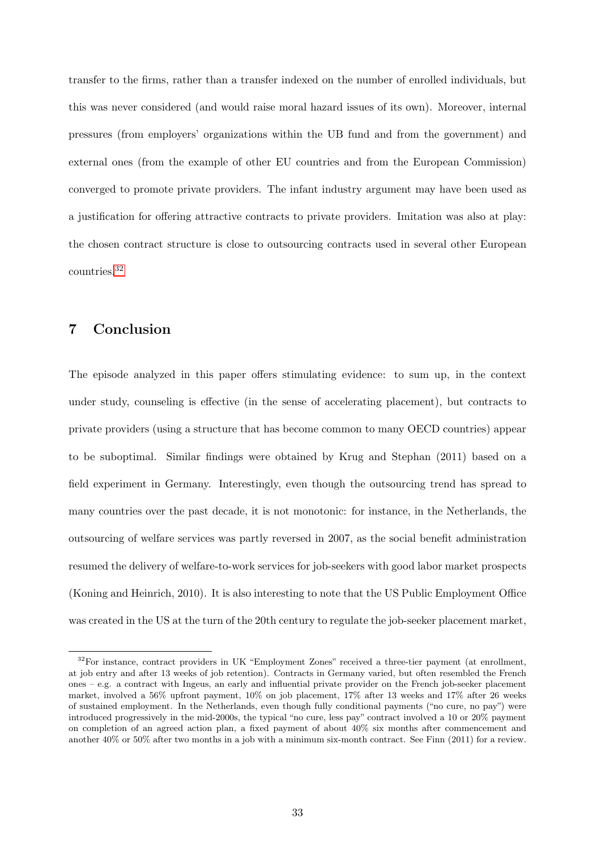transfer to the firms, rather than a transfer indexed on the number of enrolled individuals, but this was never considered (and would raise moral hazard issues of its own). Moreover, internal pressures (from employers' organizations within the UB fund and from the government) and external ones (from the example of other EU countries and from the European Commission) converged to promote private providers. The infant industry argument may have been used as a justification for offering attractive contracts to private providers. Imitation was also at play: the chosen contract structure is close to outsourcing contracts used in several other European countries.[32](#page-0-0)

# 7 Conclusion

The episode analyzed in this paper offers stimulating evidence: to sum up, in the context under study, counseling is effective (in the sense of accelerating placement), but contracts to private providers (using a structure that has become common to many OECD countries) appear to be suboptimal. Similar findings were obtained by Krug and Stephan (2011) based on a field experiment in Germany. Interestingly, even though the outsourcing trend has spread to many countries over the past decade, it is not monotonic: for instance, in the Netherlands, the outsourcing of welfare services was partly reversed in 2007, as the social benefit administration resumed the delivery of welfare-to-work services for job-seekers with good labor market prospects (Koning and Heinrich, 2010). It is also interesting to note that the US Public Employment Office was created in the US at the turn of the 20th century to regulate the job-seeker placement market,

<sup>&</sup>lt;sup>32</sup>For instance, contract providers in UK "Employment Zones" received a three-tier payment (at enrollment, at job entry and after 13 weeks of job retention). Contracts in Germany varied, but often resembled the French ones – e.g. a contract with Ingeus, an early and influential private provider on the French job-seeker placement market, involved a 56% upfront payment, 10% on job placement, 17% after 13 weeks and 17% after 26 weeks of sustained employment. In the Netherlands, even though fully conditional payments ("no cure, no pay") were introduced progressively in the mid-2000s, the typical "no cure, less pay" contract involved a 10 or 20% payment on completion of an agreed action plan, a fixed payment of about 40% six months after commencement and another 40% or 50% after two months in a job with a minimum six-month contract. See Finn (2011) for a review.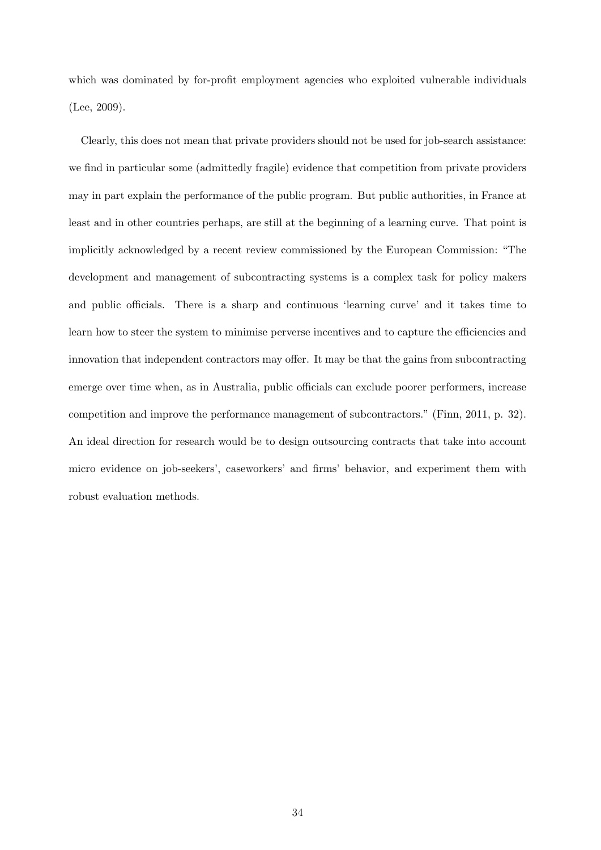which was dominated by for-profit employment agencies who exploited vulnerable individuals (Lee, 2009).

Clearly, this does not mean that private providers should not be used for job-search assistance: we find in particular some (admittedly fragile) evidence that competition from private providers may in part explain the performance of the public program. But public authorities, in France at least and in other countries perhaps, are still at the beginning of a learning curve. That point is implicitly acknowledged by a recent review commissioned by the European Commission: "The development and management of subcontracting systems is a complex task for policy makers and public officials. There is a sharp and continuous 'learning curve' and it takes time to learn how to steer the system to minimise perverse incentives and to capture the efficiencies and innovation that independent contractors may offer. It may be that the gains from subcontracting emerge over time when, as in Australia, public officials can exclude poorer performers, increase competition and improve the performance management of subcontractors." (Finn, 2011, p. 32). An ideal direction for research would be to design outsourcing contracts that take into account micro evidence on job-seekers', caseworkers' and firms' behavior, and experiment them with robust evaluation methods.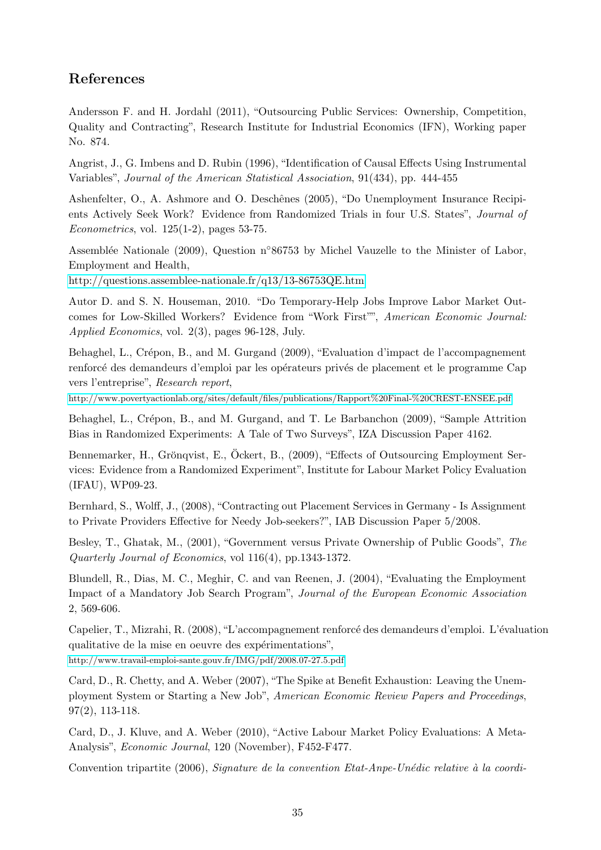# References

Andersson F. and H. Jordahl (2011), "Outsourcing Public Services: Ownership, Competition, Quality and Contracting", Research Institute for Industrial Economics (IFN), Working paper No. 874.

Angrist, J., G. Imbens and D. Rubin (1996), "Identification of Causal Effects Using Instrumental Variables", Journal of the American Statistical Association, 91(434), pp. 444-455

Ashenfelter, O., A. Ashmore and O. Deschênes (2005), "Do Unemployment Insurance Recipients Actively Seek Work? Evidence from Randomized Trials in four U.S. States", Journal of Econometrics, vol. 125(1-2), pages 53-75.

Assemblée Nationale (2009), Question n°86753 by Michel Vauzelle to the Minister of Labor, Employment and Health,

<http://questions.assemblee-nationale.fr/q13/13-86753QE.htm>

Autor D. and S. N. Houseman, 2010. "Do Temporary-Help Jobs Improve Labor Market Outcomes for Low-Skilled Workers? Evidence from "Work First"", American Economic Journal: Applied Economics, vol. 2(3), pages 96-128, July.

Behaghel, L., Crépon, B., and M. Gurgand (2009), "Evaluation d'impact de l'accompagnement renforcé des demandeurs d'emploi par les opérateurs privés de placement et le programme Cap vers l'entreprise", Research report,

<http://www.povertyactionlab.org/sites/default/files/publications/Rapport%20Final-%20CREST-ENSEE.pdf>

Behaghel, L., Crépon, B., and M. Gurgand, and T. Le Barbanchon (2009), "Sample Attrition Bias in Randomized Experiments: A Tale of Two Surveys", IZA Discussion Paper 4162.

Bennemarker, H., Grönqvist, E., Ockert, B., (2009), "Effects of Outsourcing Employment Services: Evidence from a Randomized Experiment", Institute for Labour Market Policy Evaluation (IFAU), WP09-23.

Bernhard, S., Wolff, J., (2008), "Contracting out Placement Services in Germany - Is Assignment to Private Providers Effective for Needy Job-seekers?", IAB Discussion Paper 5/2008.

Besley, T., Ghatak, M., (2001), "Government versus Private Ownership of Public Goods", The Quarterly Journal of Economics, vol 116(4), pp.1343-1372.

Blundell, R., Dias, M. C., Meghir, C. and van Reenen, J. (2004), "Evaluating the Employment Impact of a Mandatory Job Search Program", Journal of the European Economic Association 2, 569-606.

Capelier, T., Mizrahi, R. (2008), "L'accompagnement renforcé des demandeurs d'emploi. L'évaluation qualitative de la mise en oeuvre des expérimentations", <http://www.travail-emploi-sante.gouv.fr/IMG/pdf/2008.07-27.5.pdf>

Card, D., R. Chetty, and A. Weber (2007), "The Spike at Benefit Exhaustion: Leaving the Unemployment System or Starting a New Job", American Economic Review Papers and Proceedings, 97(2), 113-118.

Card, D., J. Kluve, and A. Weber (2010), "Active Labour Market Policy Evaluations: A Meta-Analysis", Economic Journal, 120 (November), F452-F477.

Convention tripartite (2006), Signature de la convention Etat-Anpe-Unédic relative à la coordi-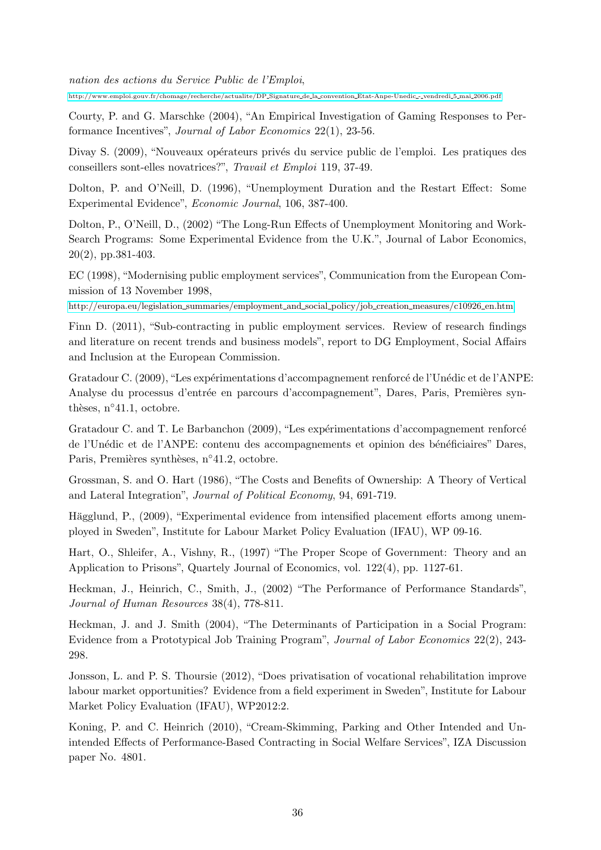[http://www.emploi.gouv.fr/chomage/recherche/actualite/DP](http://www.emploi.gouv.fr/chomage/recherche/actualite/DP_Signature_de_la_convention_Etat-Anpe-Unedic_-_vendredi_5_mai_2006.pdf) Signature de la convention Etat-Anpe-Unedic - vendredi 5 mai 2006.pdf

Courty, P. and G. Marschke (2004), "An Empirical Investigation of Gaming Responses to Performance Incentives", Journal of Labor Economics 22(1), 23-56.

Divay S. (2009), "Nouveaux opérateurs privés du service public de l'emploi. Les pratiques des conseillers sont-elles novatrices?", Travail et Emploi 119, 37-49.

Dolton, P. and O'Neill, D. (1996), "Unemployment Duration and the Restart Effect: Some Experimental Evidence", Economic Journal, 106, 387-400.

Dolton, P., O'Neill, D., (2002) "The Long-Run Effects of Unemployment Monitoring and Work-Search Programs: Some Experimental Evidence from the U.K.", Journal of Labor Economics, 20(2), pp.381-403.

EC (1998), "Modernising public employment services", Communication from the European Commission of 13 November 1998,

[http://europa.eu/legislation](http://europa.eu/legislation_summaries/employment_and_social_policy/job_creation_measures/c10926_en.htm) summaries/employment and social policy/job creation measures/c10926 en.htm

Finn D. (2011), "Sub-contracting in public employment services. Review of research findings and literature on recent trends and business models", report to DG Employment, Social Affairs and Inclusion at the European Commission.

Gratadour C. (2009), "Les expérimentations d'accompagnement renforcé de l'Unédic et de l'ANPE: Analyse du processus d'entrée en parcours d'accompagnement", Dares, Paris, Premières synthèses,  $n<sup>°</sup>41.1$ , octobre.

Gratadour C. and T. Le Barbanchon (2009), "Les expérimentations d'accompagnement renforcé de l'Unédic et de l'ANPE: contenu des accompagnements et opinion des bénéficiaires" Dares, Paris, Premières synthèses, n°41.2, octobre.

Grossman, S. and O. Hart (1986), "The Costs and Benefits of Ownership: A Theory of Vertical and Lateral Integration", Journal of Political Economy, 94, 691-719.

Hägglund, P., (2009), "Experimental evidence from intensified placement efforts among unemployed in Sweden", Institute for Labour Market Policy Evaluation (IFAU), WP 09-16.

Hart, O., Shleifer, A., Vishny, R., (1997) "The Proper Scope of Government: Theory and an Application to Prisons", Quartely Journal of Economics, vol. 122(4), pp. 1127-61.

Heckman, J., Heinrich, C., Smith, J., (2002) "The Performance of Performance Standards", Journal of Human Resources 38(4), 778-811.

Heckman, J. and J. Smith (2004), "The Determinants of Participation in a Social Program: Evidence from a Prototypical Job Training Program", Journal of Labor Economics 22(2), 243- 298.

Jonsson, L. and P. S. Thoursie (2012), "Does privatisation of vocational rehabilitation improve labour market opportunities? Evidence from a field experiment in Sweden", Institute for Labour Market Policy Evaluation (IFAU), WP2012:2.

Koning, P. and C. Heinrich (2010), "Cream-Skimming, Parking and Other Intended and Unintended Effects of Performance-Based Contracting in Social Welfare Services", IZA Discussion paper No. 4801.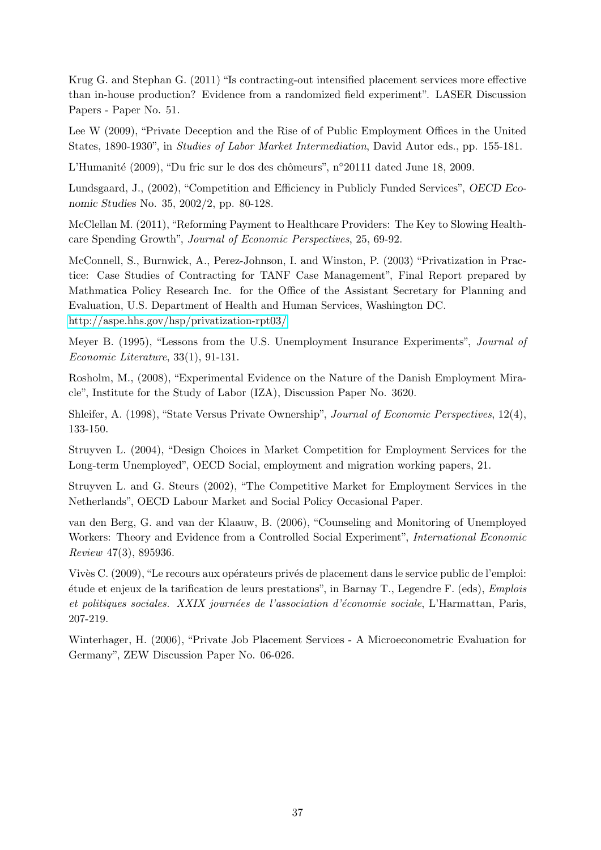Krug G. and Stephan G. (2011) "Is contracting-out intensified placement services more effective than in-house production? Evidence from a randomized field experiment". LASER Discussion Papers - Paper No. 51.

Lee W (2009), "Private Deception and the Rise of of Public Employment Offices in the United States, 1890-1930", in Studies of Labor Market Intermediation, David Autor eds., pp. 155-181.

L'Humanité (2009), "Du fric sur le dos des chômeurs", n°20111 dated June 18, 2009.

Lundsgaard, J., (2002), "Competition and Efficiency in Publicly Funded Services", OECD Economic Studies No. 35, 2002/2, pp. 80-128.

McClellan M. (2011), "Reforming Payment to Healthcare Providers: The Key to Slowing Healthcare Spending Growth", Journal of Economic Perspectives, 25, 69-92.

McConnell, S., Burnwick, A., Perez-Johnson, I. and Winston, P. (2003) "Privatization in Practice: Case Studies of Contracting for TANF Case Management", Final Report prepared by Mathmatica Policy Research Inc. for the Office of the Assistant Secretary for Planning and Evaluation, U.S. Department of Health and Human Services, Washington DC. <http://aspe.hhs.gov/hsp/privatization-rpt03/>

Meyer B. (1995), "Lessons from the U.S. Unemployment Insurance Experiments", Journal of Economic Literature, 33(1), 91-131.

Rosholm, M., (2008), "Experimental Evidence on the Nature of the Danish Employment Miracle", Institute for the Study of Labor (IZA), Discussion Paper No. 3620.

Shleifer, A. (1998), "State Versus Private Ownership", Journal of Economic Perspectives, 12(4), 133-150.

Struyven L. (2004), "Design Choices in Market Competition for Employment Services for the Long-term Unemployed", OECD Social, employment and migration working papers, 21.

Struyven L. and G. Steurs (2002), "The Competitive Market for Employment Services in the Netherlands", OECD Labour Market and Social Policy Occasional Paper.

van den Berg, G. and van der Klaauw, B. (2006), "Counseling and Monitoring of Unemployed Workers: Theory and Evidence from a Controlled Social Experiment", International Economic Review 47(3), 895936.

Vivès C. (2009), "Le recours aux opérateurs privés de placement dans le service public de l'emploi: ´etude et enjeux de la tarification de leurs prestations", in Barnay T., Legendre F. (eds), Emplois et politiques sociales. XXIX journées de l'association d'économie sociale, L'Harmattan, Paris, 207-219.

Winterhager, H. (2006), "Private Job Placement Services - A Microeconometric Evaluation for Germany", ZEW Discussion Paper No. 06-026.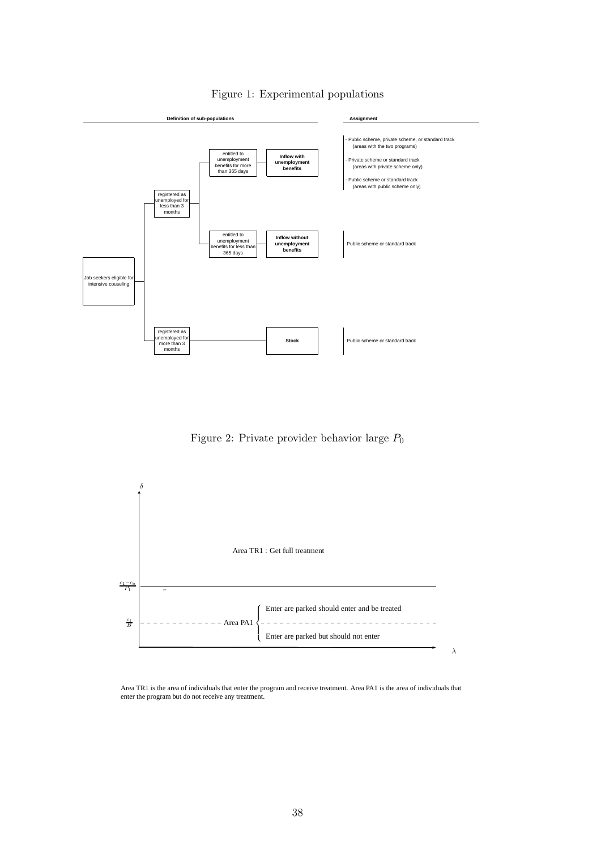

#### <span id="page-37-0"></span>Figure 1: Experimental populations

<span id="page-37-1"></span>Figure 2: Private provider behavior large  $P_0$ 



Area TR1 is the area of individuals that enter the program and receive treatment. Area PA1 is the area of individuals that enter the program but do not receive any treatment.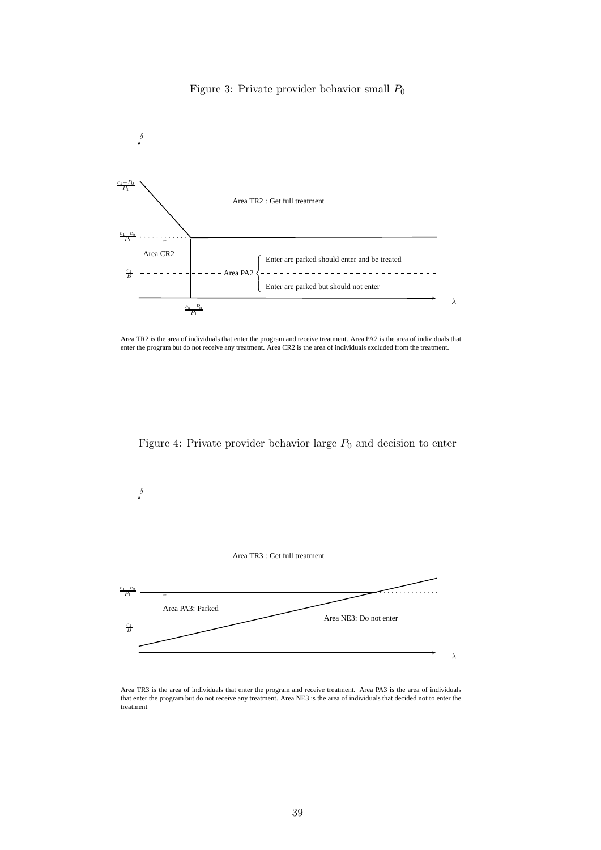<span id="page-38-0"></span>



Area TR2 is the area of individuals that enter the program and receive treatment. Area PA2 is the area of individuals that enter the program but do not receive any treatment. Area CR2 is the area of individuals excluded from the treatment.

<span id="page-38-1"></span>Figure 4: Private provider behavior large  $P_0$  and decision to enter



Area TR3 is the area of individuals that enter the program and receive treatment. Area PA3 is the area of individuals that enter the program but do not receive any treatment. Area NE3 is the area of individuals that decided not to enter the treatment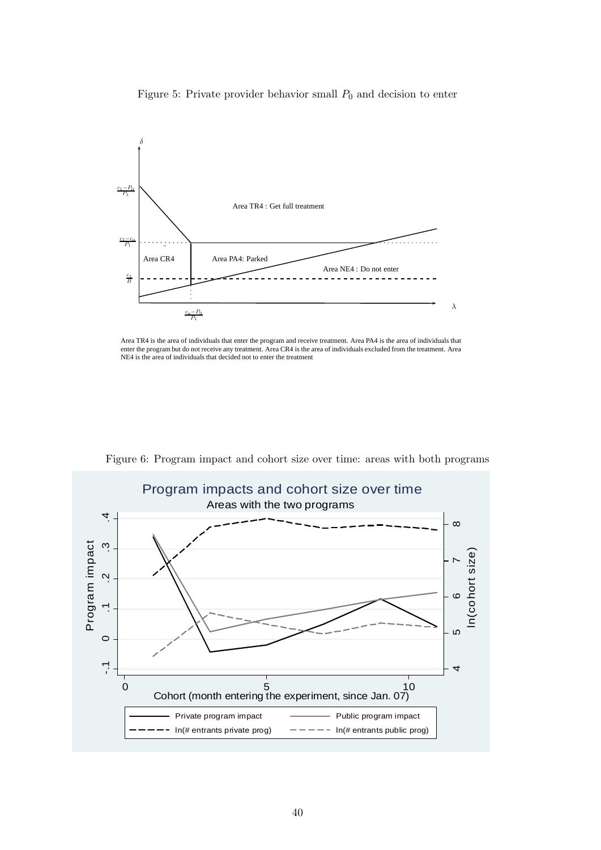<span id="page-39-0"></span>Figure 5: Private provider behavior small  $P_0$  and decision to enter



Area TR4 is the area of individuals that enter the program and receive treatment. Area PA4 is the area of individuals that enter the program but do not receive any treatment. Area CR4 is the area of individuals excluded from the treatment. Area NE4 is the area of individuals that decided not to enter the treatment



<span id="page-39-1"></span>Figure 6: Program impact and cohort size over time: areas with both programs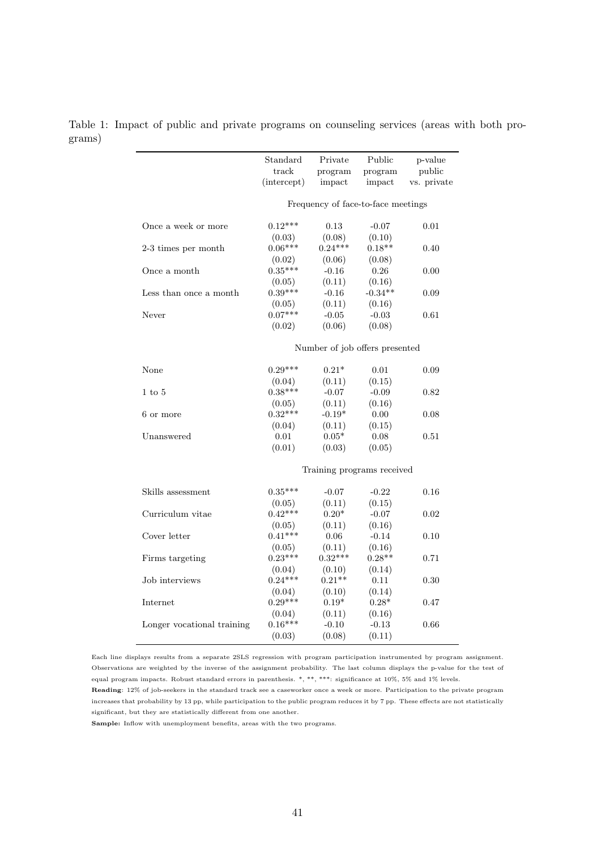<span id="page-40-0"></span>

|                            | Standard<br>track | Private           | Public                             | p-value<br>public |
|----------------------------|-------------------|-------------------|------------------------------------|-------------------|
|                            | (intercept)       | program<br>impact | program<br>impact                  | vs. private       |
|                            |                   |                   | Frequency of face-to-face meetings |                   |
| Once a week or more        | $0.12***$         | 0.13              | $-0.07$                            | 0.01              |
|                            | (0.03)            | (0.08)            | (0.10)                             |                   |
| 2-3 times per month        | $0.06***$         | $0.24***$         | $0.18**$                           | 0.40              |
|                            | (0.02)            | (0.06)            | (0.08)                             |                   |
| Once a month               | $0.35***$         | $-0.16$           | 0.26                               | 0.00              |
|                            | (0.05)            | (0.11)            | (0.16)                             |                   |
| Less than once a month     | $0.39***$         | $-0.16$           | $-0.34**$                          | 0.09              |
|                            | (0.05)            | (0.11)            | (0.16)                             |                   |
| Never                      | $0.07***$         | $-0.05$           | $-0.03$                            | 0.61              |
|                            | (0.02)            | (0.06)            | (0.08)                             |                   |
|                            |                   |                   | Number of job offers presented     |                   |
| None                       | $0.29***$         | $0.21*$           | 0.01                               | 0.09              |
|                            | (0.04)            | (0.11)            | (0.15)                             |                   |
| $1 \text{ to } 5$          | $0.38***$         | $-0.07$           | $-0.09$                            | 0.82              |
|                            | (0.05)            | (0.11)            | (0.16)                             |                   |
| 6 or more                  | $0.32***$         | $-0.19*$          | 0.00                               | 0.08              |
|                            | (0.04)            | (0.11)            | (0.15)                             |                   |
| Unanswered                 | 0.01              | $0.05^{\ast}$     | 0.08                               | 0.51              |
|                            | (0.01)            | (0.03)            | (0.05)                             |                   |
|                            |                   |                   | Training programs received         |                   |
| Skills assessment          | $0.35***$         | $-0.07$           | $-0.22$                            | 0.16              |
|                            | (0.05)            | (0.11)            | (0.15)                             |                   |
| Curriculum vitae           | $0.42***$         | $0.20*$           | $-0.07$                            | 0.02              |
|                            | (0.05)            | (0.11)            | (0.16)                             |                   |
| Cover letter               | $0.41***$         | $0.06\,$          | $-0.14$                            | 0.10              |
|                            | (0.05)            | (0.11)            | (0.16)                             |                   |
| Firms targeting            | $0.23***$         | $0.32***$         | $0.28**$                           | 0.71              |
|                            | (0.04)            | (0.10)            | (0.14)                             |                   |
| Job interviews             | $0.24***$         | $0.21**$          | $0.11\,$                           | 0.30              |
|                            | (0.04)            | (0.10)            | (0.14)                             |                   |
| Internet                   | $0.29***$         | $0.19^{*}$        | $0.28*$                            | 0.47              |
|                            | (0.04)            | (0.11)            | (0.16)                             |                   |
| Longer vocational training | $0.16***$         | $-0.10$           | $-0.13$                            | 0.66              |
|                            | (0.03)            | (0.08)            | (0.11)                             |                   |

Table 1: Impact of public and private programs on counseling services (areas with both programs)

Each line displays results from a separate 2SLS regression with program participation instrumented by program assignment. Observations are weighted by the inverse of the assignment probability. The last column displays the p-value for the test of equal program impacts. Robust standard errors in parenthesis. \*, \*\*, \*\*\*: significance at 10%, 5% and 1% levels.

Reading: 12% of job-seekers in the standard track see a caseworker once a week or more. Participation to the private program increases that probability by 13 pp, while participation to the public program reduces it by 7 pp. These effects are not statistically significant, but they are statistically different from one another.

Sample: Inflow with unemployment benefits, areas with the two programs.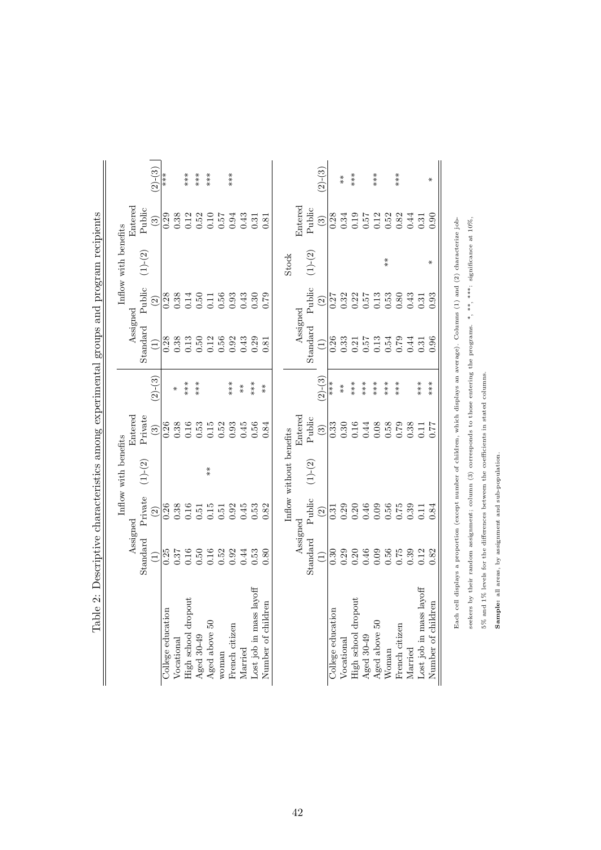<span id="page-41-0"></span>

|                                          |                                                          |                             | Inflow with benefits    |                                                   |             |                 |                                                                                              | Inflow with benefits |                                                     |                    |
|------------------------------------------|----------------------------------------------------------|-----------------------------|-------------------------|---------------------------------------------------|-------------|-----------------|----------------------------------------------------------------------------------------------|----------------------|-----------------------------------------------------|--------------------|
|                                          | Assigned                                                 |                             |                         | Entered                                           |             | Assigned        |                                                                                              |                      | Entered                                             |                    |
|                                          | Standard                                                 | Private                     | $(1)-(2)$               | Private                                           |             | Standard        | Public                                                                                       | $(1)-(2)$            | Public                                              |                    |
|                                          |                                                          | $\widehat{\Omega}$          |                         | $\begin{pmatrix} 3 \end{pmatrix}$                 | $(2)-(3)$   |                 | $\odot$                                                                                      |                      | $\odot$                                             | $(2)-(3)$          |
| College education                        |                                                          |                             |                         | 0.26                                              |             |                 |                                                                                              |                      |                                                     | $***$ $*$          |
| Vocational                               |                                                          |                             |                         | $0.38\,$                                          | ₩           |                 |                                                                                              |                      | $0.29$<br>$0.38$                                    |                    |
| High school dropout                      |                                                          | $0.38$<br>$0.38$<br>$0.51$  |                         | 0.16                                              | ***         |                 |                                                                                              |                      |                                                     | $***$              |
| Aged 30-49                               |                                                          |                             |                         | 0.53                                              | ***         |                 |                                                                                              |                      | $0.12$<br>$0.52$                                    | $***$              |
| Aged above 50                            | $0.35$<br>$0.37$<br>$0.50$<br>$0.50$<br>$0.52$<br>$0.32$ | $0.15\,$                    | $*$                     | $0.15\,$                                          |             |                 | $0.3840156$<br>$0.3610156$                                                                   |                      | $\begin{array}{c} 0.10 \\ 0.57 \end{array}$         | ***                |
| woman                                    |                                                          | $0.51\,$                    |                         | 0.52                                              |             |                 |                                                                                              |                      |                                                     |                    |
| French citizen                           |                                                          | 0.92                        |                         | 0.93                                              | $***$       | 0.92            | $0.93$<br>$0.43$                                                                             |                      | 0.94                                                | ***                |
| Married                                  | 0.44                                                     | 0.45                        |                         | 0.45                                              | $*$         | 0.43            |                                                                                              |                      | 0.43                                                |                    |
| $_{\mathrm{layoff}}$<br>Lost job in mass | 0.53                                                     | 0.53                        |                         | 0.56                                              | $***$       | 0.29            | 0.30                                                                                         |                      | $\!0.31$                                            |                    |
| Number of children                       | 0.80                                                     | 0.82                        |                         | 0.84                                              | $* \ast$    | 0.81            | 0.79                                                                                         |                      | 0.81                                                |                    |
|                                          |                                                          |                             | Inflow without benefits |                                                   |             |                 |                                                                                              | <b>Stock</b>         |                                                     |                    |
|                                          | Assigned                                                 |                             |                         | Entered                                           |             | Assigned        |                                                                                              |                      | Entered                                             |                    |
|                                          | Standard                                                 | Public                      | $(1)-(2)$               | Public                                            |             | Standard        | Public                                                                                       | $(1)-(2)$            | Public                                              |                    |
|                                          | $\widehat{\Xi}$                                          | $\odot$                     |                         | $\binom{3}{2}$                                    | $(2)-(3)$   | $\widehat{\Xi}$ | $\widetilde{c}$                                                                              |                      | $\odot$                                             | $(2)-(3)$          |
| College education                        | 0.30                                                     |                             |                         |                                                   | ***         |                 |                                                                                              |                      |                                                     |                    |
| Vocational                               |                                                          |                             |                         |                                                   | $* \atop *$ |                 |                                                                                              |                      |                                                     | $* \ast$           |
| High school dropout                      |                                                          | 33<br>0.30<br>0.000<br>0.50 |                         | $\begin{array}{c} 33 \\ 0.30 \\ 0.16 \end{array}$ | $***$       |                 | $\begin{array}{c} 27 \\ 0.32 \\ 0.51 \\ 0.51 \\ 0.53 \\ 0.53 \\ 0.03 \\ 0.03 \\ \end{array}$ |                      | $0.34$<br>$0.34$<br>$0.19$                          | $***$              |
| Aged 30-49                               |                                                          |                             |                         | 0.44                                              | ***         |                 |                                                                                              |                      | 0.57                                                |                    |
| Aged above 50                            |                                                          |                             |                         | $0.08\,$                                          | ***         |                 |                                                                                              |                      |                                                     | $***$              |
| Woman                                    |                                                          |                             |                         | $0.58$<br>0.79                                    | $***$       |                 |                                                                                              | $* \ast$             | $\begin{array}{c} 0.12 \\ 0.52 \\ 0.82 \end{array}$ |                    |
| French citizen                           | 0.75                                                     | 0.75                        |                         |                                                   | $***$       | 0.79            |                                                                                              |                      |                                                     | $**\n  * \n  * \n$ |
| Married                                  | 0.39                                                     | 0.39                        |                         | 0.38                                              |             | 0.44            | 0.43                                                                                         |                      | $0.44$<br>$0.31$                                    |                    |
| Lost job in mass layoff                  | 0.12                                                     | 0.11                        |                         | 0.11                                              | ***         | 0.31            | 0.31                                                                                         |                      |                                                     |                    |
| Number of children                       | 0.82                                                     | 0.84                        |                         | 0.77                                              | ***         | 0.96            | 0.93                                                                                         | ⋇                    | 0.90                                                | ⋇                  |

seekers by their random assignment; column (3) corresponds to those entering the programs. \*, \*\*, \*\*\*: significance at 10%,

seekers by their random assignment; column (3) corresponds to those entering the programs. \*, \*\*, \*\*, significance at 10%,

5% and 1% levels for the differences between the coefficients in stated columns.

 $5\%$  and  $1\%$  levels for the differences between the coefficients in stated columns.

Sample: all areas, by assignment and sub-population.

Sample: all areas, by assignment and sub-population.

Table 2: Descriptive characteristics among experimental groups and program recipients Table 2: Descriptive characteristics among experimental groups and program recipients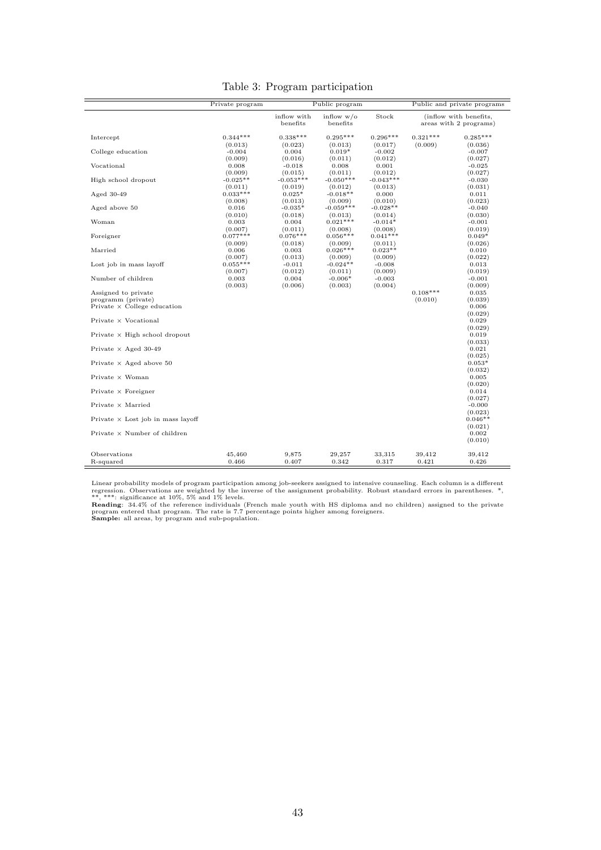|                                                                                 | Private program                |                                | Public program                      |                                    |                       | Public and private programs                      |
|---------------------------------------------------------------------------------|--------------------------------|--------------------------------|-------------------------------------|------------------------------------|-----------------------|--------------------------------------------------|
|                                                                                 |                                | inflow with<br>benefits        | inflow $w/o$<br>benefits            | Stock                              |                       | (inflow with benefits,<br>areas with 2 programs) |
| Intercept                                                                       | $0.344***$<br>(0.013)          | $0.338***$<br>(0.023)          | $0.295***$<br>(0.013)               | $0.296***$<br>(0.017)              | $0.321***$<br>(0.009) | $0.285***$<br>(0.036)                            |
| College education                                                               | $-0.004$<br>(0.009)            | 0.004<br>(0.016)               | $0.019*$<br>(0.011)                 | $-0.002$<br>(0.012)                |                       | $-0.007$<br>(0.027)                              |
| Vocational                                                                      | 0.008<br>(0.009)               | $-0.018$<br>(0.015)            | 0.008<br>(0.011)                    | 0.001<br>(0.012)                   |                       | $-0.025$<br>(0.027)                              |
| High school dropout                                                             | $-0.025**$<br>(0.011)          | $-0.053***$<br>(0.019)         | $-0.050***$<br>(0.012)              | $-0.043***$<br>(0.013)             |                       | $-0.030$<br>(0.031)                              |
| Aged $30-49$                                                                    | $0.033***$<br>(0.008)          | $0.025*$<br>(0.013)            | $-0.018**$<br>(0.009)               | 0.000<br>(0.010)                   |                       | 0.011<br>(0.023)                                 |
| Aged above 50                                                                   | 0.016<br>(0.010)               | $-0.035*$<br>(0.018)           | $-0.059***$<br>(0.013)              | $-0.028**$<br>(0.014)              |                       | $-0.040$<br>(0.030)                              |
| Woman<br>Foreigner                                                              | 0.003<br>(0.007)<br>$0.077***$ | 0.004<br>(0.011)<br>$0.076***$ | $0.021***$<br>(0.008)<br>$0.056***$ | $-0.014*$<br>(0.008)<br>$0.041***$ |                       | $-0.001$<br>(0.019)<br>$0.049*$                  |
| Married                                                                         | (0.009)<br>0.006               | (0.018)<br>0.003               | (0.009)<br>$0.026***$               | (0.011)<br>$0.023**$               |                       | (0.026)<br>0.010                                 |
| Lost job in mass layoff                                                         | (0.007)<br>$0.055***$          | (0.013)<br>$-0.011$            | (0.009)<br>$-0.024**$               | (0.009)<br>$-0.008$                |                       | (0.022)<br>0.013                                 |
| Number of children                                                              | (0.007)<br>0.003               | (0.012)<br>0.004               | (0.011)<br>$-0.006*$                | (0.009)<br>$-0.003$                |                       | (0.019)<br>$-0.001$                              |
| Assigned to private<br>programm (private)<br>Private $\times$ College education | (0.003)                        | (0.006)                        | (0.003)                             | (0.004)                            | $0.108***$<br>(0.010) | (0.009)<br>0.035<br>(0.039)<br>0.006             |
| Private × Vocational                                                            |                                |                                |                                     |                                    |                       | (0.029)<br>0.029                                 |
| Private $\times$ High school dropout                                            |                                |                                |                                     |                                    |                       | (0.029)<br>0.019<br>(0.033)                      |
| Private $\times$ Aged 30-49                                                     |                                |                                |                                     |                                    |                       | 0.021<br>(0.025)                                 |
| Private $\times$ Aged above 50                                                  |                                |                                |                                     |                                    |                       | $0.053*$<br>(0.032)                              |
| Private × Woman                                                                 |                                |                                |                                     |                                    |                       | 0.005<br>(0.020)                                 |
| Private $\times$ Foreigner                                                      |                                |                                |                                     |                                    |                       | 0.014<br>(0.027)                                 |
| Private × Married                                                               |                                |                                |                                     |                                    |                       | $-0.000$<br>(0.023)                              |
| Private $\times$ Lost job in mass layoff<br>Private $\times$ Number of children |                                |                                |                                     |                                    |                       | $0.046**$<br>(0.021)<br>0.002<br>(0.010)         |
| Observations                                                                    | 45,460                         | 9,875                          | 29,257                              | 33,315                             | 39,412                | 39,412                                           |

<span id="page-42-0"></span>Table 3: Program participation

Linear probability models of program participation among job-seekers assigned to intensive counseling. Each column is a different regression. Observations are weighted by the inverse of the assignment probability. Robust s

 $R$ -squared 6.426 0.466 0.407 0.342 0.317 0.421 0.426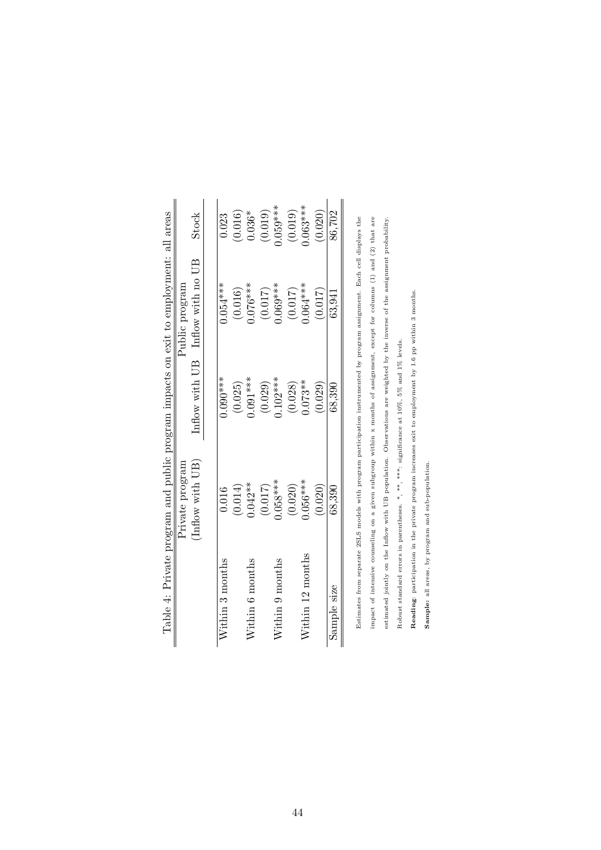<span id="page-43-0"></span>

|                     |                 |            | Table 4: Private program and public program impacts on exit to employment: all areas |            |
|---------------------|-----------------|------------|--------------------------------------------------------------------------------------|------------|
|                     | Private program |            | Public program                                                                       |            |
|                     | Inflow with UB  |            | Inflow with UB Inflow with no UB                                                     | Stock      |
| Within 3 months     | 0.016           | $0.090***$ | $0.054***$                                                                           | 0.023      |
|                     | (0.014)         | (0.025)    | $(0.016)$<br>$0.076***$                                                              | (0.016)    |
| Nithin 6 months     | $0.042**$       | $0.091***$ |                                                                                      | $0.036*$   |
|                     | (0.017)         | (0.029)    | $(0.017)$<br>0.069***                                                                | (0.019)    |
| Within 9 months     | $0.058***$      | $0.102***$ |                                                                                      | $0.059***$ |
|                     | (0.020)         | (0.028)    | (0.017)                                                                              | (0.019)    |
| $W$ ithin 12 months | $0.056***$      | $0.073**$  | $0.064***$                                                                           | $0.063***$ |
|                     | (0.020)         | (0.029)    | (0.017)                                                                              | (0.020)    |
| Sample size         | 68,390          | 68,390     | 63,941                                                                               | 86.702     |
|                     |                 |            |                                                                                      |            |

Estimates from separate 2SLS models with program participation instrumented by program assignment. Each cell displays the impact of intensive counseling on a given subgroup within x months of assignment, except for columns (1) and (2) that are estimated jointly on the Inflow with UB population. Observations are weighted by the inverse of the assignment probability. Estimates from separate 2SLS models with program participation instrumented by program assignment. Each cell displays the impact of intensive counseling on a given subgroup within x months of assignment, except for columns (1) and (2) that are estimated jointly on the Inflow with UB population. Observations are weighted by the inverse of the assignment probability. Robust standard errors in parentheses. \*, \*\*, \*\*\*: significance at  $10\%, 5\%$  and  $1\%$  levels. Robust standard errors in parentheses. \*, \*\*, \*\*\*: significance at 10%, 5% and 1% levels.

Reading: participation in the private program increases exit to employment by 1.6 pp within 3 months. Reading: participation in the private program increases exit to employment by 1.6 pp within 3 months.

Sample: all areas, by program and sub-population. Sample: all areas, by program and sub-population.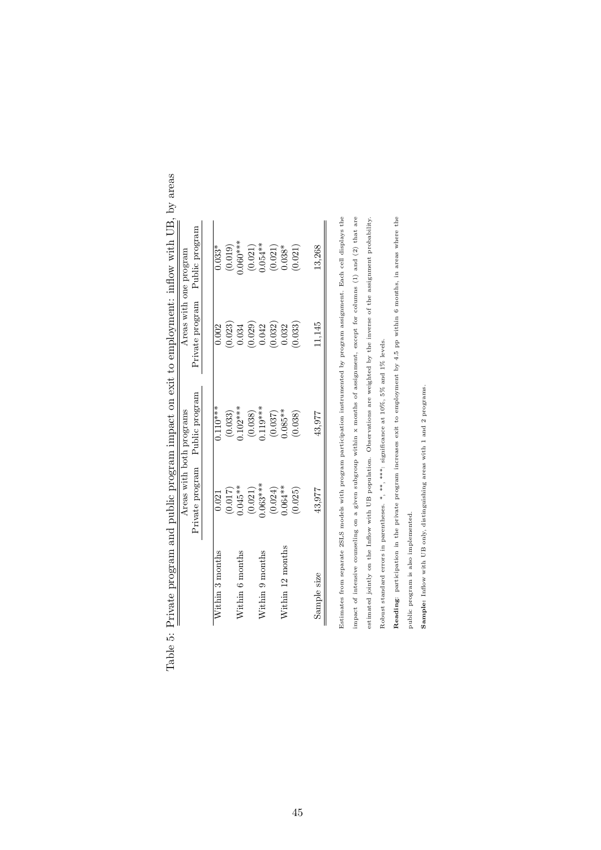|                  | Areas with both programs |                         |                              | Areas with one program  |
|------------------|--------------------------|-------------------------|------------------------------|-------------------------|
|                  | Private program          | Public program          | Private program              | Public program          |
| Nithin 3 months  | 0.021                    | $0.110***$              | 0.002                        | $0.033*$                |
|                  | $(0.017)$<br>$0.045**$   |                         | $\left(0.023\right)$ $0.034$ |                         |
| Nithin 6 months  |                          | $(0.033)$<br>$0.102***$ |                              | $(0.019)$<br>$0.060***$ |
|                  | $(0.021)$<br>0.063***    | $(0.038)$<br>$0.119***$ | $(0.029)$<br>$0.042$         | $(0.021)$<br>$0.054**$  |
| Vithin 9 months  |                          |                         |                              |                         |
|                  |                          | $(0.037)$<br>$0.085**$  | $(0.032)$<br>$0.032$         |                         |
| Vithin 12 months | $(0.024)$<br>$0.064**$   |                         |                              | $(0.021)$<br>$0.038*$   |
|                  | (0.025)                  | (0.038)                 | (0.033)                      | (0.021)                 |
| Sample size      | 43,977                   | 43,977                  | 1.145                        | 13.268                  |

<span id="page-44-0"></span>

| 5                                              |   |
|------------------------------------------------|---|
|                                                |   |
| $\frac{1}{2}$                                  |   |
|                                                |   |
| .<br>.<br>.                                    |   |
| į<br>i                                         |   |
|                                                |   |
|                                                |   |
| י<br>י                                         | I |
| $\frac{1}{2}$<br>$\overline{\phantom{a}}$<br>i |   |
| i                                              |   |
|                                                |   |
|                                                |   |
| $\frac{1}{2}$<br>I<br>l                        |   |

Estimates from separate 2SLS models with program participation instrumented by program assignment. Each cell displays the impact of intensive counseling on a given subgroup within x months of assignment, except for columns (1) and (2) that are estimated jointly on the Inflow with UB population. Observations are weighted by the inverse of the assignment probability. Estimates from separate 2SLS models with program participation instrumented by program assignment. Each cell displays the impact of intensive counseling on a given subgroup within x months of assignment, except for columns (1) and (2) that are estimated jointly on the Inflow with UB population. Observations are weighted by the inverse of the assignment probability. Robust standard errors in parentheses. \*, \*\*\*, \*s\*\*: significance at  $10\%, 5\%$  and  $1\%$  levels. Robust standard errors in parentheses. \*, \*\*, \*\*\*\*: significance at 10%, 5% and 1% levels.

Reading: participation in the private program increases exit to employment by 4.5 pp within 6 months, in areas where the Reading: participation in the private program increases exit to employment by 4.5 pp within 6 months, in areas where the

public program is also implemented. public program is also implemented. Sample: Inflow with UB only, distinguishing areas with 1 and 2 programs. Sample: Inflow with UB only, distinguishing areas with 1 and 2 programs.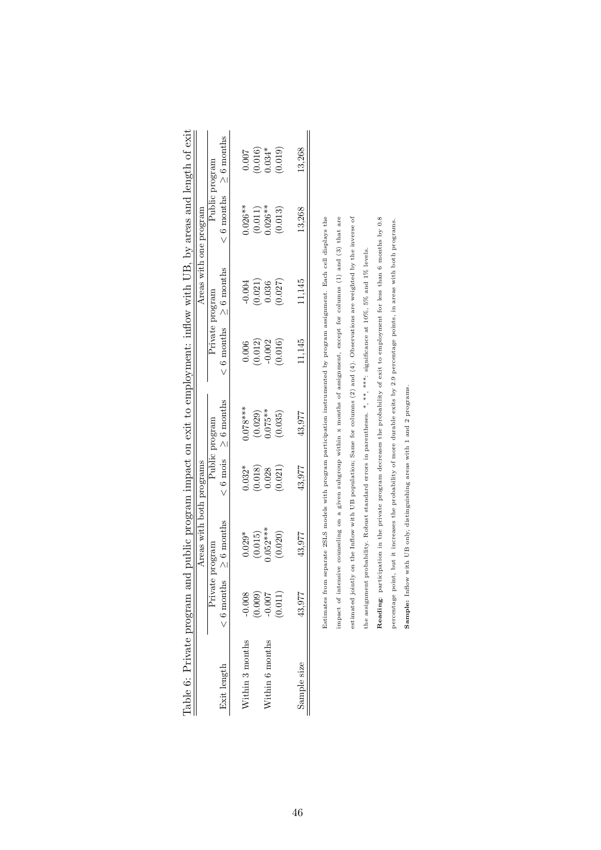<span id="page-45-0"></span>

|                 |                                                | Areas with both programs<br>$\begin{array}{c} \n\end{array}$                                                                                                                                                                  | $\overline{\phantom{a}}$                        |                        |                 | Areas with one program          |                        |                              |
|-----------------|------------------------------------------------|-------------------------------------------------------------------------------------------------------------------------------------------------------------------------------------------------------------------------------|-------------------------------------------------|------------------------|-----------------|---------------------------------|------------------------|------------------------------|
|                 | Private                                        | program                                                                                                                                                                                                                       |                                                 | Public program         | Private program |                                 | Public program         |                              |
| Exit length     | $< 6$ months                                   | $\geq$ 6 months                                                                                                                                                                                                               |                                                 |                        |                 | $\leq 6$ months $\geq 6$ months |                        | $< 6$ months $\geq 6$ months |
| Within 3 months |                                                | $0.029*$                                                                                                                                                                                                                      | $0.032*$                                        | $0.078***$             | 0.006           | $-0.004$                        | $0.026**$              | 0.007                        |
|                 | $-0.008$<br>$(0.009)$<br>$-0.007$<br>$(0.011)$ | (0.015)                                                                                                                                                                                                                       |                                                 | $(0.029)$<br>$0.075**$ |                 |                                 |                        |                              |
| Within 6 months |                                                | $0.052***$                                                                                                                                                                                                                    | $\begin{array}{c} (0.018) \\ 0.028 \end{array}$ |                        | (0.012)         | $(0.021)$<br>0.036              | $(0.011)$<br>$0.026**$ | $(0.016)$<br>0.034*          |
|                 |                                                | (0.020)                                                                                                                                                                                                                       | (0.021)                                         | (0.035)                | (0.016)         | (0.027)                         | (0.013)                | (0.019)                      |
| Sample size     | 43,977                                         | 43.977                                                                                                                                                                                                                        | 43.977                                          | 43,977                 | 11,145          | 11,145                          | 13,268                 | 13.268                       |
|                 | Datimeter from                                 | a de Caracter de la component de la component de la component de la component de la component de la component de la component de la component de la component de la component de la component de la component de la component |                                                 |                        |                 |                                 |                        |                              |

| with UB, by areas and length of exit<br>in The Lines                         | reas with one pri-                   |
|------------------------------------------------------------------------------|--------------------------------------|
| j                                                                            |                                      |
| nd public program impact on exit to employment: inflow with Ul<br>フィン シューション | rase unth hoth no.<br>AT AND AND THE |

impact of intensive counseling on a given subgroup within  $x$  months of assignment, except for columns (1) and (3) that are estimated jointly on the Inflow with UB population; Same for columns (2) and (4). Observations are weighted by the inverse of Reading: participation in the private program decreases the probability of exit to employment for less than 6 months by 0.8 Estimates from separate 25LS models with program participation instrumented by program assignment. Each cell displays the Estimates from separate 2SLS models with program participation instrumented by program assignment. Each cell displays the impact of intensive counseling on a given subgroup within x months of assignment, except for columns (1) and (3) that are estimated jointly on the Inflow with UB population; Same for columns (2) and (4). Observations are weighted by the inverse of Reading: participation in the private program decreases the probability of exit to employment for less than 6 months by 0.8 the assignment probability. Robust standard errors in parentheses. \*, \*\*\*, significance at  $10\%$ , 5% and  $1\%$  levels. the assignment probability. Robust standard errors in parentheses. \*, \*\*, \*\*\*: significance at 10%, 5% and 1% levels.

percentage point, but it increases the probability of more durable exits by 2.9 percentage points, in areas with both programs.

percentage point, but it increases the probability of more durable exits by 2.9 percentage points, in areas with both programs.

Sample: Inflow with UB only, distinguishing areas with 1 and 2 programs.

Sample: Inflow with UB only, distinguishing areas with 1 and 2 programs.

46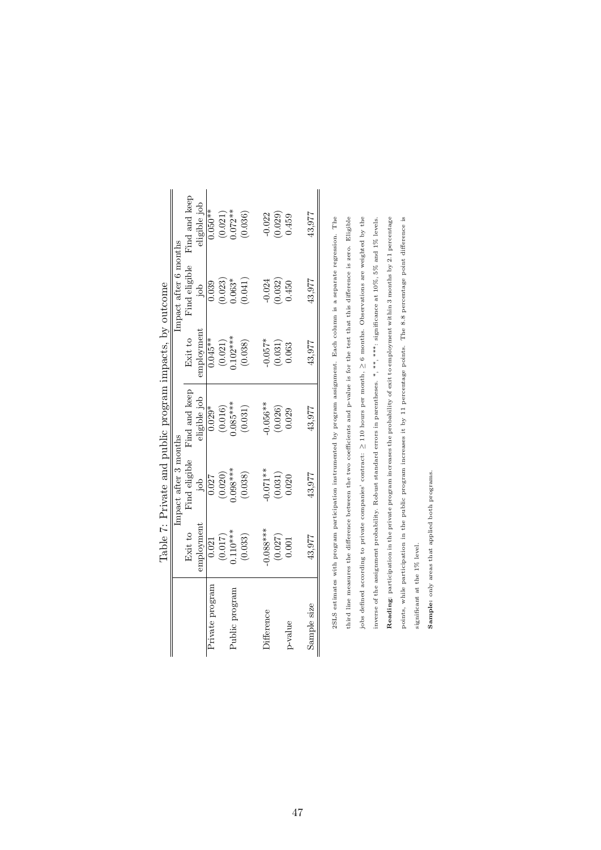<span id="page-46-0"></span>

|                   |                                               |                              | Table 7: Private and public program impacts, by outcome |                               |                       |                                                        |
|-------------------|-----------------------------------------------|------------------------------|---------------------------------------------------------|-------------------------------|-----------------------|--------------------------------------------------------|
|                   |                                               | Impact after 3 months        |                                                         |                               | Impact after 6 months |                                                        |
|                   | Exit to                                       | Find eligible                | Find and keep                                           | Exit to                       | Find eligible         | Find and keep                                          |
|                   | employment                                    | dol                          | ligible job                                             | employment                    | doi                   | ligible job                                            |
| Private program   | 0.021                                         | 0.027                        | $0.029*$                                                | $0.045**$                     | 0.039                 | $0.050**$                                              |
|                   | $(0.017)$<br>0.110***                         | $(0.020)$<br>$0.038***$      | $(0.016)$<br>$0.085***$                                 | $(0.021)$<br>0.102***         | $(0.023)$<br>$0.063*$ |                                                        |
| Public program    |                                               |                              |                                                         |                               |                       | $(0.021)$<br>$0.072**$<br>$(0.036)$                    |
|                   | (0.033)                                       | (0.038)                      | (0.031)                                                 | (0.038)                       | (0.041)               |                                                        |
| <i>difference</i> | $0.088***$                                    | $0.071**$                    | $0.056**$                                               | $0.057*$                      | 0.024                 |                                                        |
|                   | $\begin{array}{c} (0.027)\\0.001 \end{array}$ | $\left(0.031\right)$ $0.020$ | $(0.026)$<br>$0.029$                                    | $\left( 0.031\right)$ $0.063$ | $(0.032)$<br>0.450    | $\begin{array}{c} 0.022 \\ 0.029 \\ 0.459 \end{array}$ |
| p-value           |                                               |                              |                                                         |                               |                       |                                                        |
| Sample size       | 43,977                                        | 43,977                       | 43,977                                                  | 43.977                        | 43,977                | 43,977                                                 |

2SLS estimates with program participation instrumented by program assignment. Bach column is a separate regression. The third line measures the difference between the two coefficients and p-value is for the test that this difference is zero. Eligible jobs defined according to private companies' contract:  $\geq 110$  hours per month,  $\geq 6$  months. Observations are weighted by the Reading: participation in the private program increases the probability of exit to employment within 3 months by 2.1 percentage points, while participation in the public program increases it by 11 percentage points. The 8.8 percentage point difference is inverse of the assignment probability. Robust standard errors in parentheses. \*, \*\*, \*\*\*, significance at  $10\%$ , 5% and 1% levels. 2SLS estimates with program participation instrumented by program assignment. Each column is a separate regression. The third line measures the difference between the two coefficients and p-value is for the test that this difference is zero. Eligible jobs defined according to private companies' contract: ≥ 110 hours per month, ≥ 6 months. Observations are weighted by the Reading: participation in the private program increases the probability of exit to employment within 3 months by 2.1 percentage inverse of the assignment probability. Robust standard errors in parentheses. \*, \*\*, \*\*\*: significance at 10%, 5% and 1% levels. points, while participation in the public program increases it by 11 percentage points. The 8.8 percentage point difference is

Sample: only areas that applied both programs. Sample: only areas that applied both programs.

significant at the 1% level.

significant at the 1% level.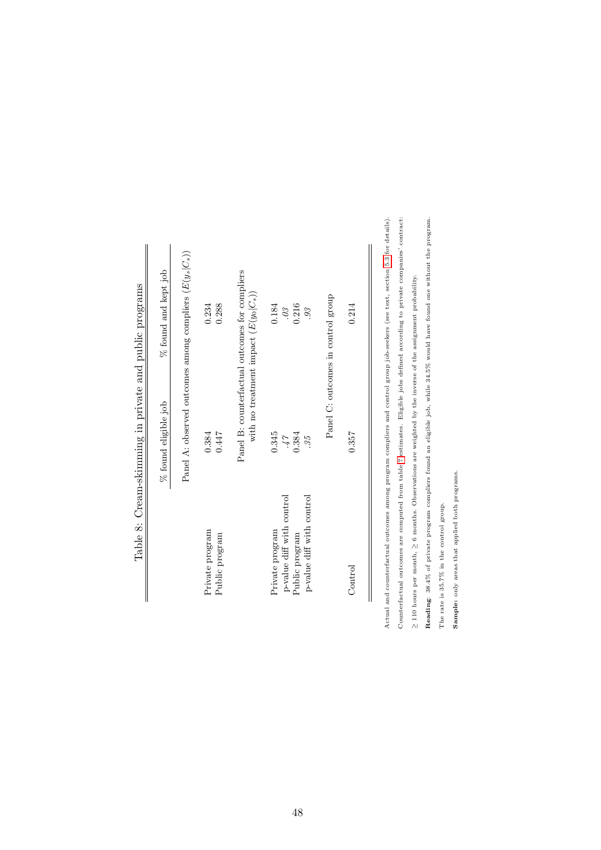|                                   | enne of otholio band was announced in Strumento of the same of the same of the same of the same of the same of the same of the same of the same of the same of the same of the same of the same of the same of the same of the |                                                                                           |
|-----------------------------------|--------------------------------------------------------------------------------------------------------------------------------------------------------------------------------------------------------------------------------|-------------------------------------------------------------------------------------------|
|                                   | % found eligible job                                                                                                                                                                                                           | % found and kept job                                                                      |
|                                   |                                                                                                                                                                                                                                | Panel A: observed outcomes among compliers $(E(y_s C_s))$                                 |
| Private program<br>Public program | 0.447<br>0.384                                                                                                                                                                                                                 | 0.234<br>0.288                                                                            |
|                                   |                                                                                                                                                                                                                                | Panel B: counterfactual outcomes for compliers<br>with no treatment impact $(E(y_0 C_s))$ |
| Private program                   | 0.345                                                                                                                                                                                                                          | 0.184                                                                                     |
| p-value diff with control         | 17                                                                                                                                                                                                                             | 0 <sup>3</sup>                                                                            |
| Public program                    | 0.384                                                                                                                                                                                                                          | 0.216                                                                                     |
| p-value diff with control         | 35.                                                                                                                                                                                                                            | 93                                                                                        |
|                                   |                                                                                                                                                                                                                                | Panel C: outcomes in control group                                                        |
| Control                           | 0.357                                                                                                                                                                                                                          | 0.214                                                                                     |
|                                   |                                                                                                                                                                                                                                |                                                                                           |
|                                   |                                                                                                                                                                                                                                |                                                                                           |

Table 8: Cream-skimming in private and public programs Table 8: Cream-skimming in private and public programs <span id="page-47-0"></span>Actual and counterfactual outcomes among program compliers and control group job-seekers (see text, section 5.3 for details). Counterfactual outcomes are computed from table 7 estimates. Eligible jobs defined according to private companies' contract: Actual and counterfactual outcomes among program compliers and control group job-seekers (see text, section [5.3](#page-24-0) for details). Counterfactual outcomes are computed from table [7](#page-46-0) estimates. Eligible jobs defined according to private companies' contract:

 $\geq$  110 hours per month,  $\geq$  6 months. Observations are weighted by the inverse of the assignment probability. 110 hours per month, ≥ 6 months. Observations are weighted by the inverse of the assignment probability. Reading: 38.4% of private program compliers found an eligible job, while 34.5% would have found one without the program. Reading: 38.4% of private program compliers found an eligible job, while 34.5% would have found one without the program. The rate is 35.7% in the control group. The rate is 35.7% in the control group.

Sample: only areas that applied both programs. Sample: only areas that applied both programs.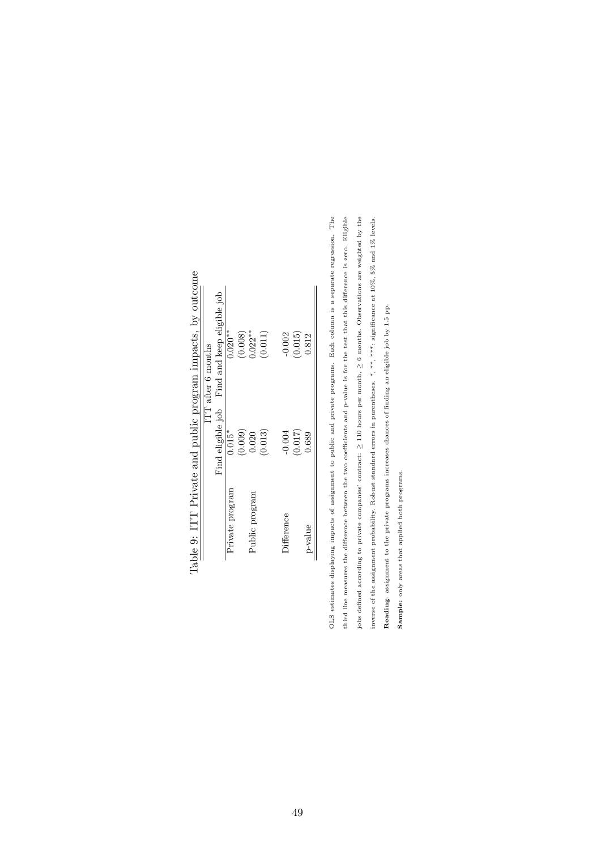|                 |          | ITT after 6 months                           |
|-----------------|----------|----------------------------------------------|
|                 |          | Find eligible job Find and keep eligible job |
| Private program | $0.015*$ | $0.020**$                                    |
|                 | (0.009)  | (0.008)                                      |
| Public program  | 0.020    | $0.022**$                                    |
|                 | (0.013)  | (0.011)                                      |
| $Difference$    | $-0.004$ | $-0.002$                                     |
|                 | (0.017)  | (0.015)                                      |
| p-value         | 0.689    | 0.812                                        |

me ł,  $\cdot$  $\ddot{z}$ J,  $T-1-0$  room  $T$ .

third line measures the difference between the two coefficients and p-value is for the test that this difference is zero. Eligible OLS estimates displaying impacts of assignment to public and private programs. Each column is a separate regression. The jobs defined according to private companies' contract:  $\geq$  110 hours per month,  $\geq$  6 months. Observations are weighted by the inverse of the assignment probability. Robust standard errors in parentheses. \*, \*\*\*, \*\*\*\*, significance at 10%, 5% and 1% levels. OLS estimates displaying impacts of assignment to public and private programs. Each column is a separate regression. The third line measures the difference between the two coefficients and p-value is for the test that this difference is zero. Eligible jobs defined according to private companies' contract: ≥ 110 hours per month, ≥ 6 months. Observations are weighted by the inverse of the assignment probability. Robust standard errors in parentheses. \*, \*\*, \*\*\*: significance at 10%, 5% and 1% levels. Reading: assignment to the private programs increases chances of finding an eligible job by 1.5 pp. Reading: assignment to the private programs increases chances of finding an eligible job by 1.5 pp.

Sample: only areas that applied both programs.

<span id="page-48-0"></span>Sample: only areas that applied both programs.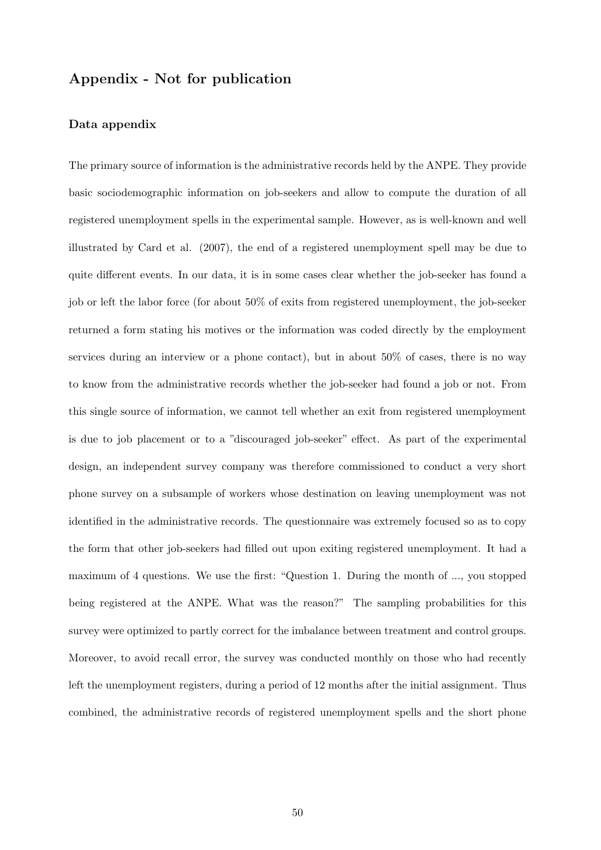## Appendix - Not for publication

#### Data appendix

The primary source of information is the administrative records held by the ANPE. They provide basic sociodemographic information on job-seekers and allow to compute the duration of all registered unemployment spells in the experimental sample. However, as is well-known and well illustrated by Card et al. (2007), the end of a registered unemployment spell may be due to quite different events. In our data, it is in some cases clear whether the job-seeker has found a job or left the labor force (for about 50% of exits from registered unemployment, the job-seeker returned a form stating his motives or the information was coded directly by the employment services during an interview or a phone contact), but in about 50% of cases, there is no way to know from the administrative records whether the job-seeker had found a job or not. From this single source of information, we cannot tell whether an exit from registered unemployment is due to job placement or to a "discouraged job-seeker" effect. As part of the experimental design, an independent survey company was therefore commissioned to conduct a very short phone survey on a subsample of workers whose destination on leaving unemployment was not identified in the administrative records. The questionnaire was extremely focused so as to copy the form that other job-seekers had filled out upon exiting registered unemployment. It had a maximum of 4 questions. We use the first: "Question 1. During the month of ..., you stopped being registered at the ANPE. What was the reason?" The sampling probabilities for this survey were optimized to partly correct for the imbalance between treatment and control groups. Moreover, to avoid recall error, the survey was conducted monthly on those who had recently left the unemployment registers, during a period of 12 months after the initial assignment. Thus combined, the administrative records of registered unemployment spells and the short phone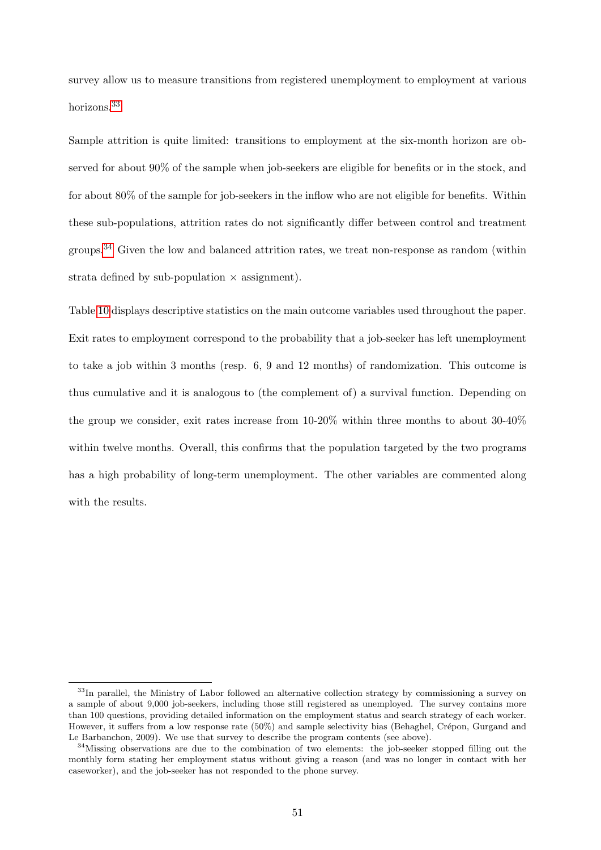survey allow us to measure transitions from registered unemployment to employment at various horizons.[33](#page-0-0)

Sample attrition is quite limited: transitions to employment at the six-month horizon are observed for about 90% of the sample when job-seekers are eligible for benefits or in the stock, and for about 80% of the sample for job-seekers in the inflow who are not eligible for benefits. Within these sub-populations, attrition rates do not significantly differ between control and treatment groups.[34](#page-0-0) Given the low and balanced attrition rates, we treat non-response as random (within strata defined by sub-population  $\times$  assignment).

Table [10](#page-55-0) displays descriptive statistics on the main outcome variables used throughout the paper. Exit rates to employment correspond to the probability that a job-seeker has left unemployment to take a job within 3 months (resp. 6, 9 and 12 months) of randomization. This outcome is thus cumulative and it is analogous to (the complement of) a survival function. Depending on the group we consider, exit rates increase from 10-20% within three months to about 30-40% within twelve months. Overall, this confirms that the population targeted by the two programs has a high probability of long-term unemployment. The other variables are commented along with the results.

<sup>&</sup>lt;sup>33</sup>In parallel, the Ministry of Labor followed an alternative collection strategy by commissioning a survey on a sample of about 9,000 job-seekers, including those still registered as unemployed. The survey contains more than 100 questions, providing detailed information on the employment status and search strategy of each worker. However, it suffers from a low response rate (50%) and sample selectivity bias (Behaghel, Crépon, Gurgand and Le Barbanchon, 2009). We use that survey to describe the program contents (see above).

 $34$ Missing observations are due to the combination of two elements: the job-seeker stopped filling out the monthly form stating her employment status without giving a reason (and was no longer in contact with her caseworker), and the job-seeker has not responded to the phone survey.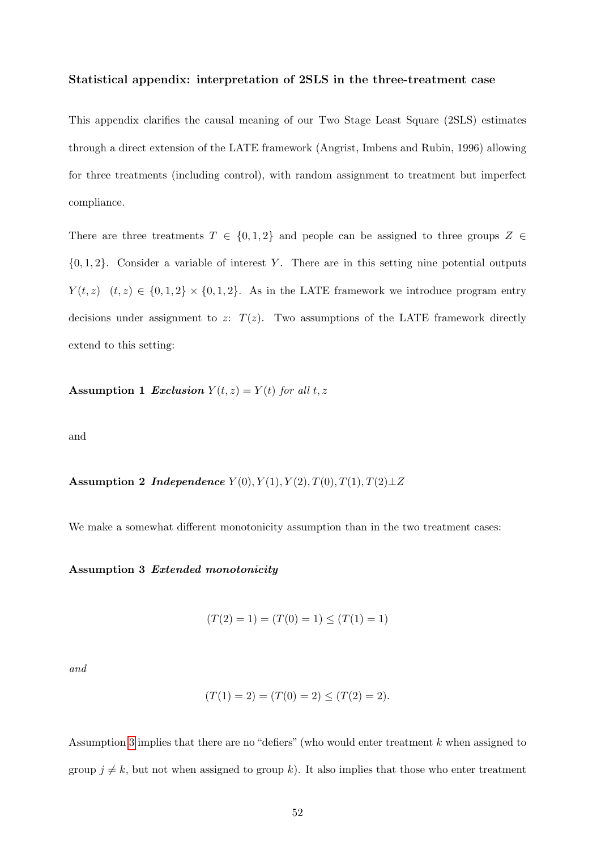#### Statistical appendix: interpretation of 2SLS in the three-treatment case

This appendix clarifies the causal meaning of our Two Stage Least Square (2SLS) estimates through a direct extension of the LATE framework (Angrist, Imbens and Rubin, 1996) allowing for three treatments (including control), with random assignment to treatment but imperfect compliance.

There are three treatments  $T \in \{0, 1, 2\}$  and people can be assigned to three groups  $Z \in$  $\{0, 1, 2\}$ . Consider a variable of interest Y. There are in this setting nine potential outputs  $Y(t, z)$   $(t, z) \in \{0, 1, 2\} \times \{0, 1, 2\}$ . As in the LATE framework we introduce program entry decisions under assignment to z:  $T(z)$ . Two assumptions of the LATE framework directly extend to this setting:

<span id="page-51-1"></span>Assumption 1 Exclusion  $Y(t, z) = Y(t)$  for all t, z

<span id="page-51-2"></span>and

Assumption 2 *Independence*  $Y(0), Y(1), Y(2), T(0), T(1), T(2) \perp Z$ 

We make a somewhat different monotonicity assumption than in the two treatment cases:

#### Assumption 3 Extended monotonicity

<span id="page-51-0"></span>
$$
(T(2) = 1) = (T(0) = 1) \le (T(1) = 1)
$$

and

$$
(T(1) = 2) = (T(0) = 2) \le (T(2) = 2).
$$

Assumption [3](#page-51-0) implies that there are no "defiers" (who would enter treatment k when assigned to group  $j \neq k$ , but not when assigned to group k). It also implies that those who enter treatment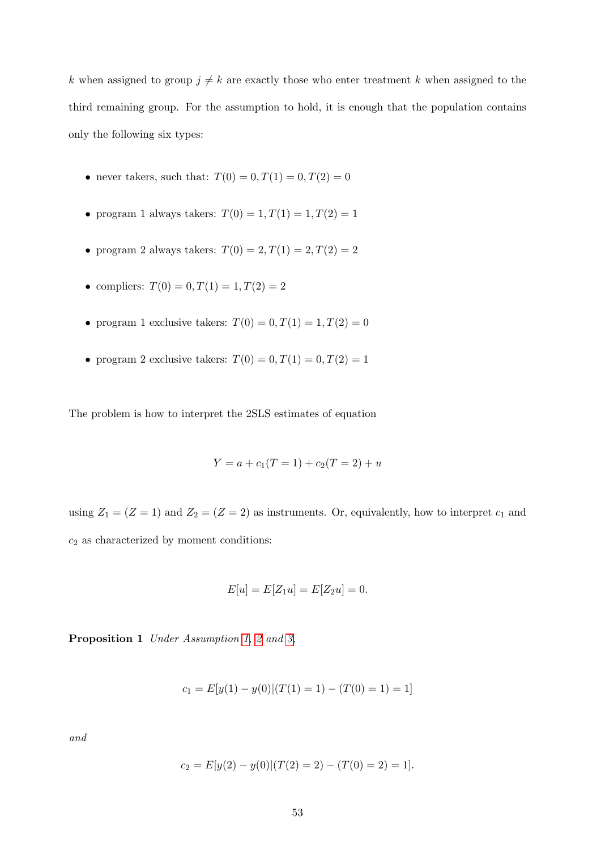k when assigned to group  $j \neq k$  are exactly those who enter treatment k when assigned to the third remaining group. For the assumption to hold, it is enough that the population contains only the following six types:

- never takers, such that:  $T(0) = 0, T(1) = 0, T(2) = 0$
- program 1 always takers:  $T(0) = 1, T(1) = 1, T(2) = 1$
- program 2 always takers:  $T(0) = 2, T(1) = 2, T(2) = 2$
- compliers:  $T(0) = 0, T(1) = 1, T(2) = 2$
- program 1 exclusive takers:  $T(0) = 0, T(1) = 1, T(2) = 0$
- program 2 exclusive takers:  $T(0) = 0, T(1) = 0, T(2) = 1$

The problem is how to interpret the 2SLS estimates of equation

$$
Y = a + c_1(T = 1) + c_2(T = 2) + u
$$

using  $Z_1 = (Z = 1)$  and  $Z_2 = (Z = 2)$  as instruments. Or, equivalently, how to interpret  $c_1$  and  $c_2$  as characterized by moment conditions:

$$
E[u] = E[Z_1 u] = E[Z_2 u] = 0.
$$

<span id="page-52-0"></span>Proposition 1 Under Assumption [1,](#page-51-1) [2](#page-51-2) and [3,](#page-51-0)

$$
c_1 = E[y(1) - y(0)|(T(1) = 1) - (T(0) = 1) = 1]
$$

and

$$
c_2 = E[y(2) - y(0)|(T(2) = 2) - (T(0) = 2) = 1].
$$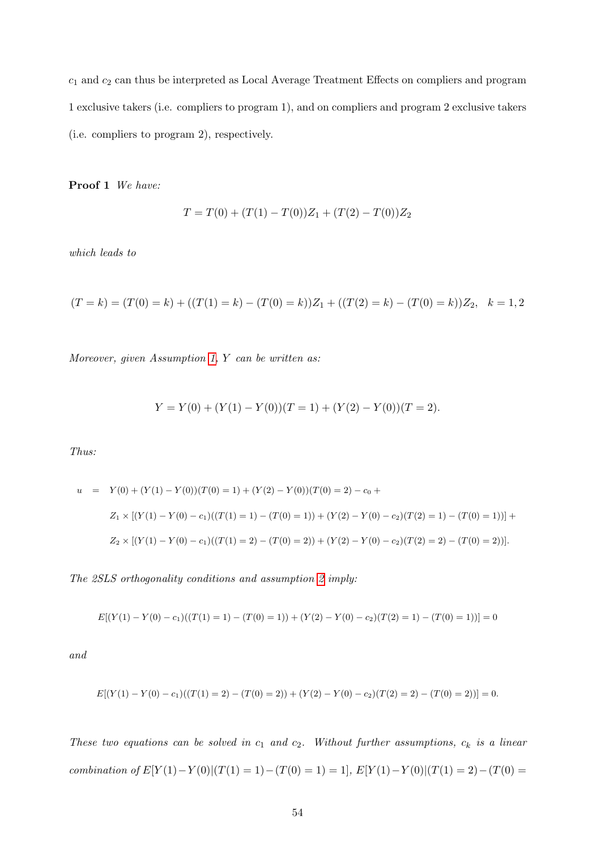$c_1$  and  $c_2$  can thus be interpreted as Local Average Treatment Effects on compliers and program 1 exclusive takers (i.e. compliers to program 1), and on compliers and program 2 exclusive takers (i.e. compliers to program 2), respectively.

Proof 1 We have:

$$
T = T(0) + (T(1) - T(0))Z_1 + (T(2) - T(0))Z_2
$$

which leads to

$$
(T = k) = (T(0) = k) + ((T(1) = k) - (T(0) = k))Z_1 + ((T(2) = k) - (T(0) = k))Z_2, k = 1, 2
$$

Moreover, given Assumption [1,](#page-51-1) Y can be written as:

$$
Y = Y(0) + (Y(1) – Y(0))(T = 1) + (Y(2) – Y(0))(T = 2).
$$

Thus:

$$
u = Y(0) + (Y(1) - Y(0))(T(0) = 1) + (Y(2) - Y(0))(T(0) = 2) - c_0 +
$$
  
\n
$$
Z_1 \times [(Y(1) - Y(0) - c_1)((T(1) = 1) - (T(0) = 1)) + (Y(2) - Y(0) - c_2)(T(2) = 1) - (T(0) = 1))] +
$$
  
\n
$$
Z_2 \times [(Y(1) - Y(0) - c_1)((T(1) = 2) - (T(0) = 2)) + (Y(2) - Y(0) - c_2)(T(2) = 2) - (T(0) = 2))].
$$

The 2SLS orthogonality conditions and assumption [2](#page-51-2) imply:

$$
E[(Y(1) - Y(0) - c_1)((T(1) = 1) - (T(0) = 1)) + (Y(2) - Y(0) - c_2)(T(2) = 1) - (T(0) = 1))] = 0
$$

and

$$
E[(Y(1) - Y(0) - c_1)((T(1) = 2) - (T(0) = 2)) + (Y(2) - Y(0) - c_2)(T(2) = 2) - (T(0) = 2))] = 0.
$$

These two equations can be solved in  $c_1$  and  $c_2$ . Without further assumptions,  $c_k$  is a linear combination of  $E[Y(1) - Y(0)|(T(1) = 1) - (T(0) = 1) = 1]$ ,  $E[Y(1) - Y(0)|(T(1) = 2) - (T(0) = 1)$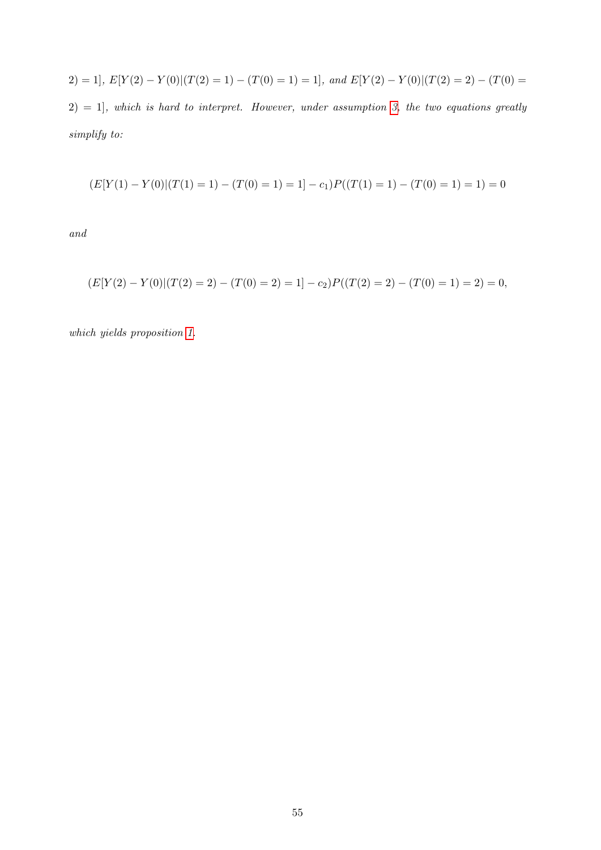$$
2) = 1, \ E[Y(2) - Y(0)|(T(2) = 1) - (T(0) = 1) = 1], \ and \ E[Y(2) - Y(0)|(T(2) = 2) - (T(0) = 2) = 1], \ which \ is \ hard \ to \ interpret. However, under assumption 3, the two equations greatly simplify to:
$$

$$
(E[Y(1) - Y(0)|(T(1) = 1) - (T(0) = 1) = 1] - c_1)P((T(1) = 1) - (T(0) = 1) = 1) = 0
$$

and

$$
(E[Y(2) - Y(0)|(T(2) = 2) - (T(0) = 2) = 1] - c_2)P((T(2) = 2) - (T(0) = 1) = 2) = 0,
$$

which yields proposition [1.](#page-52-0)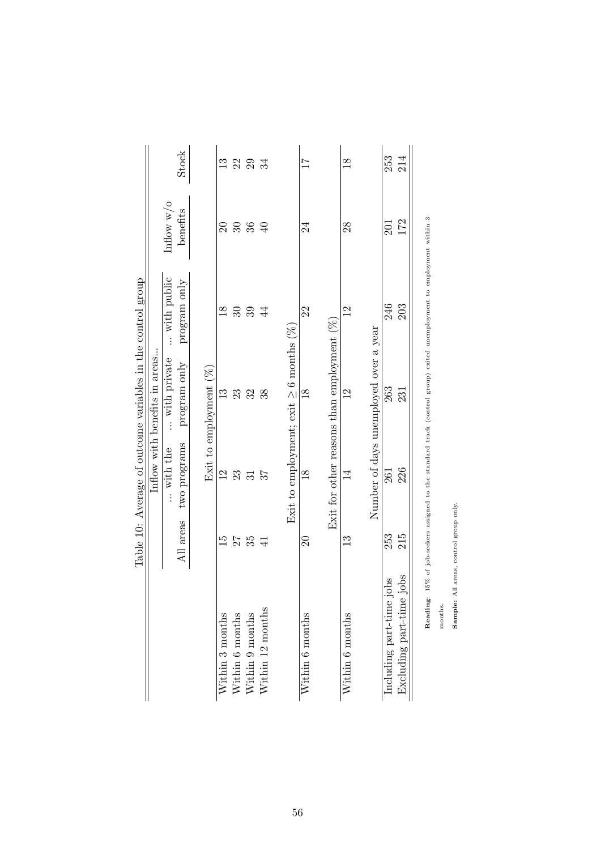<span id="page-55-0"></span>

|                             |                 |                 | Table 10: Average of outcome variables in the control group |                |                      |       |
|-----------------------------|-----------------|-----------------|-------------------------------------------------------------|----------------|----------------------|-------|
|                             |                 |                 | Inflow with benefits in areas                               |                |                      |       |
|                             |                 | with the        | with private                                                | with public    | Inflow $w$ / $\circ$ |       |
|                             | All areas       | two programs    | program only                                                | program only   | benefits             | Stock |
|                             |                 |                 |                                                             |                |                      |       |
|                             |                 |                 | Exit to employment $(\%)$                                   |                |                      |       |
| Within 3 months             | $\overline{15}$ | $\overline{2}$  | $\mathbb{C}$                                                | $\frac{8}{18}$ | $\Omega$             | 13    |
| Within 6 months             | $27$<br>$35$    | 23              | 23                                                          | $\mathcal{S}$  | $36\,$               | 22    |
| Within 9 months             |                 | $\overline{31}$ | 32                                                          | 39             |                      | 29    |
| Within 12 months            | $\overline{41}$ |                 | 38                                                          | $\overline{4}$ | $\overline{40}$      | 34    |
|                             |                 |                 | Exit to employment; exit $\geq 6$ months (%)                |                |                      |       |
| Within 6 months             | $\Omega$        | $\frac{8}{10}$  | $\frac{8}{18}$                                              | 22             | 24                   | 17    |
|                             |                 |                 | Exit for other reasons than employment $(\%)$               |                |                      |       |
| Within 6 months             | $\mathbf{13}$   | $\overline{1}$  | $^{12}$                                                     | $^{12}$        | $^{28}$              | 18    |
|                             |                 |                 | Number of days unemployed over a year                       |                |                      |       |
| Including part-time jobs    | 253             | 261             | 263                                                         | 246            | 201                  | 253   |
| iobs<br>Excluding part-time | 215             | 226             | 231                                                         | 203            | 172                  | 214   |
|                             |                 |                 |                                                             |                |                      |       |

Reading: 15% of job-seekers assigned to the standard track (control group) exited unemployment to employment within  $3$ Reading: 15% of job-seekers assigned to the standard track (control group) exited unemployment to employment within 3

months.

Sample: All areas, control group only. Sample: All areas, control group only.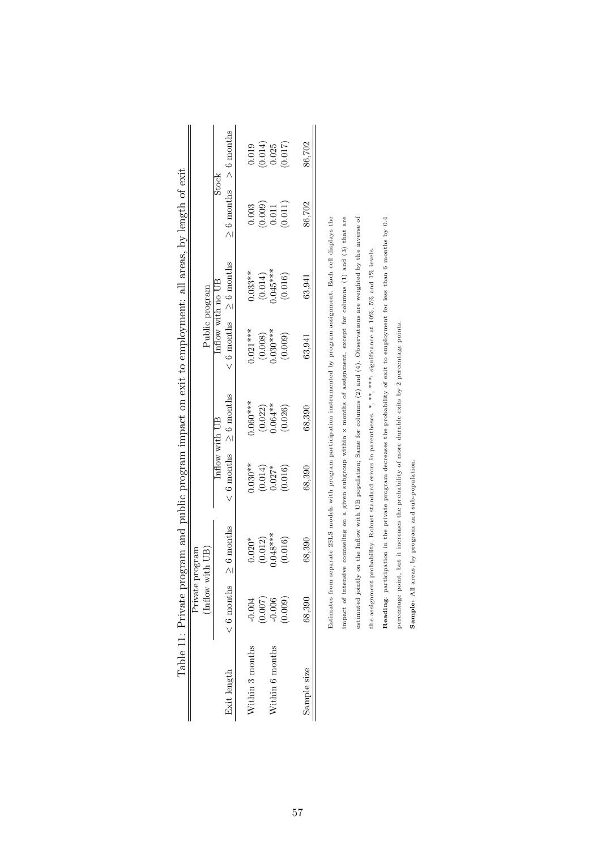<span id="page-56-0"></span>

|                 |              | Private program                                                                                                                                                                                                               |                     |                              |                              |                        |                                                 |                      |
|-----------------|--------------|-------------------------------------------------------------------------------------------------------------------------------------------------------------------------------------------------------------------------------|---------------------|------------------------------|------------------------------|------------------------|-------------------------------------------------|----------------------|
|                 |              | (Indow with UB)                                                                                                                                                                                                               |                     |                              | Public program               |                        |                                                 |                      |
|                 |              |                                                                                                                                                                                                                               | Inflow with UB      |                              | Inflow with no UB            |                        | <b>Stock</b>                                    |                      |
| Exit length     | $< 6$ months | $\geq$ 6 months                                                                                                                                                                                                               |                     | $< 6$ months $\geq 6$ months | $< 6$ months $\geq 6$ months |                        | $\geq 6$ months $> 6$ months                    |                      |
|                 |              |                                                                                                                                                                                                                               |                     |                              |                              |                        |                                                 |                      |
| Vithin 3 months | $-0.004$     | $0.020*$                                                                                                                                                                                                                      | $0.030**$           | $0.060***$                   | $0.021***$                   | $0.033**$              | 0.003                                           | 0.019                |
|                 |              | $(0.012)$<br>0.048***                                                                                                                                                                                                         | $(0.014)$<br>0.027* | $(0.022)$<br>0.064 **        | $(0.008)$<br>$0.030***$      | $(0.014)$<br>0.045**** | $\begin{array}{c} (0.009) \\ 0.011 \end{array}$ | $(0.014)$<br>$0.025$ |
| Nithin 6 months | (0.007)      |                                                                                                                                                                                                                               |                     |                              |                              |                        |                                                 |                      |
|                 | (0.009)      | (0.016)                                                                                                                                                                                                                       | (0.016)             | (0.026)                      | (0.009)                      | (0.016)                | (0.011)                                         | (710.0)              |
|                 |              |                                                                                                                                                                                                                               |                     |                              |                              |                        |                                                 |                      |
| Sample size     | 68,390       | 68,390                                                                                                                                                                                                                        | 68,390              | 68,390                       | 63.941                       | 63,941                 | 86,702                                          | 86,702               |
|                 |              |                                                                                                                                                                                                                               |                     |                              |                              |                        |                                                 |                      |
|                 |              | Estimates from separate 2SLS models with program participation instrumented by program assignment. Each cell displays the                                                                                                     |                     |                              |                              |                        |                                                 |                      |
|                 |              | one that ( ) [ one formation and the second term of the contract of the contract of the commutation of the contract of the contract of the second of the contract of the second of the contract of the contract of the contra |                     |                              |                              |                        |                                                 |                      |

| J             |   |
|---------------|---|
|               |   |
| $\frac{1}{2}$ |   |
| i             |   |
|               |   |
|               |   |
|               |   |
|               |   |
|               |   |
| ı             |   |
| $\frac{1}{2}$ |   |
|               |   |
|               |   |
| ;             |   |
|               |   |
|               |   |
|               |   |
|               |   |
|               |   |
| I             |   |
|               |   |
|               |   |
|               |   |
|               |   |
|               |   |
|               | ì |
| ١             |   |
|               |   |
|               |   |
| Ï             | l |
| I<br>ׇ֚֕֡     |   |
| I<br>İ        |   |
| ļ             |   |
| $-22$<br>E    |   |
|               |   |

estimated jointly on the Inflow with UB population; Same for columns (2) and (4). Observations are weighted by the inverse of counseling on a given subgroup within x months of assignment, except for columns (1) and (3) that are impact of intensive counseling on a given subgroup within x months of assignment, except for columns (1) and (3) that are estimated jointly on the Inflow with UB population; Same for columns (2) and (4). Observations are weighted by the inverse of the assignment probability. Robust standard errors in parentheses. \*, \*\*\*, significance at 10%, 5% and 1% levels. the assignment probability. Robust standard errors in parentheses. \*, \*\*, \*\*\*: significance at 10%, 5% and 1% levels. impact of intensive

Reading: participation in the private program decreases the probability of exit to employment for less than 6 months by 0.4

Reading: participation in the private program decreases the probability of exit to employment for less than 6 months by 0.4

percentage point, but it increases the probability of more durable exits by 2 percentage points.

percentage point, but it increases the probability of more durable exits by 2 percentage points.

Sample: All areas, by program and sub-population.

Sample: All areas, by program and sub-population.

57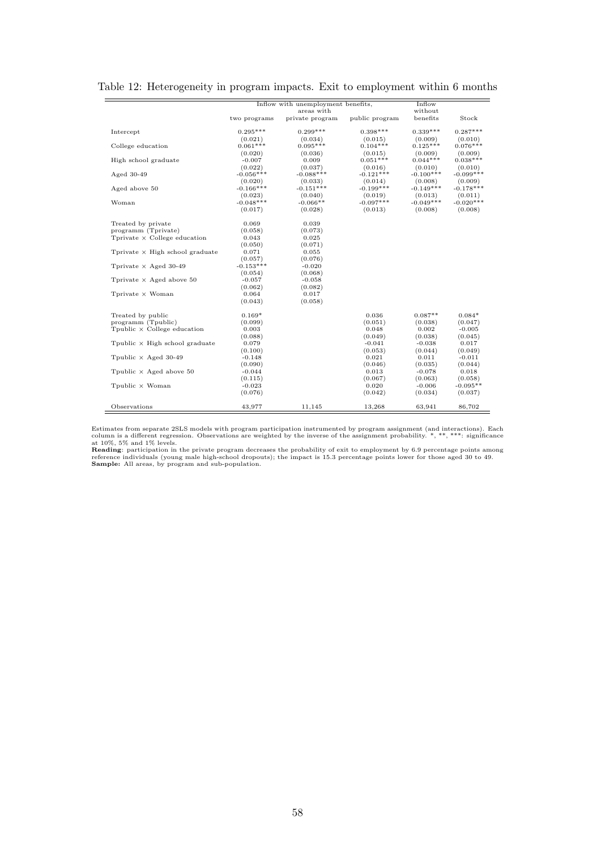<span id="page-57-0"></span>

|                                              |              | Inflow with unemployment benefits, |                | Inflow      |             |
|----------------------------------------------|--------------|------------------------------------|----------------|-------------|-------------|
|                                              |              | areas with                         |                | without     |             |
|                                              | two programs | private program                    | public program | benefits    | Stock       |
|                                              |              |                                    |                |             |             |
| Intercept                                    | $0.295***$   | $0.299***$                         | $0.398***$     | $0.339***$  | $0.287***$  |
|                                              | (0.021)      | (0.034)                            | (0.015)        | (0.009)     | (0.010)     |
| College education                            | $0.061***$   | $0.095***$                         | $0.104***$     | $0.125***$  | $0.076***$  |
|                                              | (0.020)      | (0.036)                            | (0.015)        | (0.009)     | (0.009)     |
| High school graduate                         | $-0.007$     | 0.009                              | $0.051***$     | $0.044***$  | $0.038***$  |
|                                              | (0.022)      | (0.037)                            | (0.016)        | (0.010)     | (0.010)     |
| Aged $30-49$                                 | $-0.056***$  | $-0.088***$                        | $-0.121***$    | $-0.100***$ | $-0.099***$ |
|                                              | (0.020)      | (0.033)                            | (0.014)        | (0.008)     | (0.009)     |
| Aged above 50                                | $-0.166***$  | $-0.151***$                        | $-0.199***$    | $-0.149***$ | $-0.178***$ |
|                                              | (0.023)      | (0.040)                            | (0.019)        | (0.013)     | (0.011)     |
| Woman                                        | $-0.048***$  | $-0.066**$                         | $-0.097***$    | $-0.049***$ | $-0.020***$ |
|                                              | (0.017)      | (0.028)                            | (0.013)        | (0.008)     | (0.008)     |
|                                              |              |                                    |                |             |             |
| Treated by private                           | 0.069        | 0.039                              |                |             |             |
| programm (Tprivate)                          | (0.058)      | (0.073)                            |                |             |             |
| Tprivate $\times$ College education          | 0.043        | 0.025                              |                |             |             |
|                                              | (0.050)      | (0.071)                            |                |             |             |
| Tprivate $\times$ High school graduate       | 0.071        | 0.055                              |                |             |             |
|                                              | (0.057)      | (0.076)                            |                |             |             |
| Tprivate $\times$ Aged 30-49                 | $-0.153***$  | $-0.020$                           |                |             |             |
|                                              | (0.054)      | (0.068)                            |                |             |             |
| Tprivate $\times$ Aged above 50              | $-0.057$     | $-0.058$                           |                |             |             |
|                                              | (0.062)      | (0.082)                            |                |             |             |
| Tprivate $\times$ Woman                      | 0.064        | 0.017                              |                |             |             |
|                                              | (0.043)      | (0.058)                            |                |             |             |
|                                              |              |                                    |                |             |             |
| Treated by public                            | $0.169*$     |                                    | 0.036          | $0.087**$   | $0.084*$    |
| programm (Tpublic)                           | (0.099)      |                                    | (0.051)        | (0.038)     | (0.047)     |
| $T_{\text{public}} \times$ College education | 0.003        |                                    | 0.048          | 0.002       | $-0.005$    |
|                                              | (0.088)      |                                    | (0.049)        | (0.038)     | (0.045)     |
| Tpublic $\times$ High school graduate        | 0.079        |                                    | $-0.041$       | $-0.038$    | 0.017       |
|                                              | (0.100)      |                                    | (0.053)        | (0.044)     | (0.049)     |
| Tpublic $\times$ Aged 30-49                  | $-0.148$     |                                    | 0.021          | 0.011       | $-0.011$    |
|                                              | (0.090)      |                                    | (0.046)        | (0.035)     | (0.044)     |
| Tpublic $\times$ Aged above 50               | $-0.044$     |                                    | 0.013          | $-0.078$    | 0.018       |
|                                              | (0.115)      |                                    | (0.067)        | (0.063)     | (0.058)     |
| Tpublic $\times$ Woman                       | $-0.023$     |                                    | 0.020          | $-0.006$    | $-0.095**$  |
|                                              | (0.076)      |                                    | (0.042)        | (0.034)     | (0.037)     |
|                                              |              |                                    |                |             |             |
| Observations                                 | 43,977       | 11,145                             | 13,268         | 63,941      | 86,702      |

## Table 12: Heterogeneity in program impacts. Exit to employment within 6 months

Estimates from separate 2SLS models with program participation instrumented by program assignment (and interactions). Each column is a different regression. Observations are weighted by the inverse of the assignment proba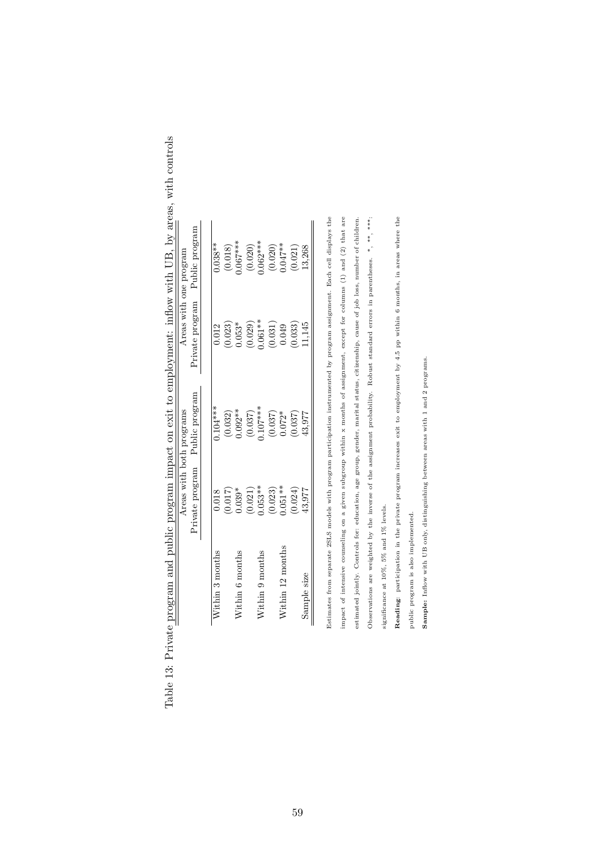|                      | Areas with both programs |                         |                                           | Areas with one program  |
|----------------------|--------------------------|-------------------------|-------------------------------------------|-------------------------|
|                      | Private program          | Public program          | Private program                           | Public program          |
| Within 3 months      | 0.018                    | $0.104***$              | 0.012                                     | $0.038**$               |
|                      |                          |                         |                                           |                         |
| $N$ ithin 6 months   | $(0.017)$<br>0.039*      | $(0.032)$<br>$0.092**$  | $(0.023)$<br>0.053*                       | $(0.018)$<br>$0.067***$ |
|                      | $(0.021)$<br>$0.053**$   | $(0.037)$<br>$0.107***$ | $(0.029)$<br>$0.061**$                    |                         |
| $N$ ithin $9$ months |                          |                         |                                           | $(0.020)$<br>0.062***   |
|                      | $(0.023)$<br>$0.051**$   | $(0.037)$<br>$0.072*$   | $\left(0.031\right)$ $\left(0.049\right)$ | $(0.020)$<br>$0.047**$  |
| $N$ ithin 12 months  |                          |                         |                                           |                         |
|                      | (0.024)                  | (0.037)                 | (0.033)                                   | (0.021)                 |
| Sample size          | 43,977                   | 13.977                  | 11,145                                    | 13,268                  |

| $\frac{1}{2}$                                             |  |
|-----------------------------------------------------------|--|
| )<br> <br> <br>$\int$                                     |  |
|                                                           |  |
|                                                           |  |
|                                                           |  |
| $\frac{1}{2}$                                             |  |
|                                                           |  |
|                                                           |  |
|                                                           |  |
|                                                           |  |
| リー・コン                                                     |  |
| ׅ֧֧֧֧֧֚֚֚֚֚֚֚֚֚֚֚֚֚֚֚֚֚֚֚֡֡֡֡֜֓֝֬֝֓֝֓֝֬֝<br>$\frac{1}{2}$ |  |
| .<br>ו<br>l<br>ĺ                                          |  |
| $\frac{1}{2}$                                             |  |
| E<br>E<br>į<br>l                                          |  |

Estimates from separate 2SLS models with program participation instrumented by program assignment. Each cell displays the impact of intensive counseling on a given subgroup within  $x$  months of assignment, except for columns (1) and (2) that are Estimates from separate 2SLS models with program participation instrumented by program assignment. Each cell displays the impact of intensive counseling on a given subgroup within x months of assignment, except for columns (1) and (2) that are

estimated jointly. Controls for: education, age group, gender, marital status, citizenship, cause of job loss, number of children. Observations are weighted by the inverse of the assignment probability. Robust standard errors in parentheses. \*, \*\*\*\* estimated jointly. Controls for: education, age group, gender, marital status, citizenship, cause of job loss, number of children. Observations are weighted by the inverse of the assignment probability. Robust standard errors in parentheses. \*, \*\*, \*\*\* significance at  $10\%, 5\%$  and  $1\%$  levels. significance at 10%, 5% and 1% levels.

Reading: participation in the private program increases exit to employment by 4.5 pp within 6 months, in areas where the Reading: participation in the private program increases exit to employment by 4.5 pp within 6 months, in areas where the

public program is also implemented. public program is also implemented.

Sample: Inflow with UB only, distinguishing between areas with 1 and 2 programs. Sample: Inflow with UB only, distinguishing between areas with 1 and 2 programs.